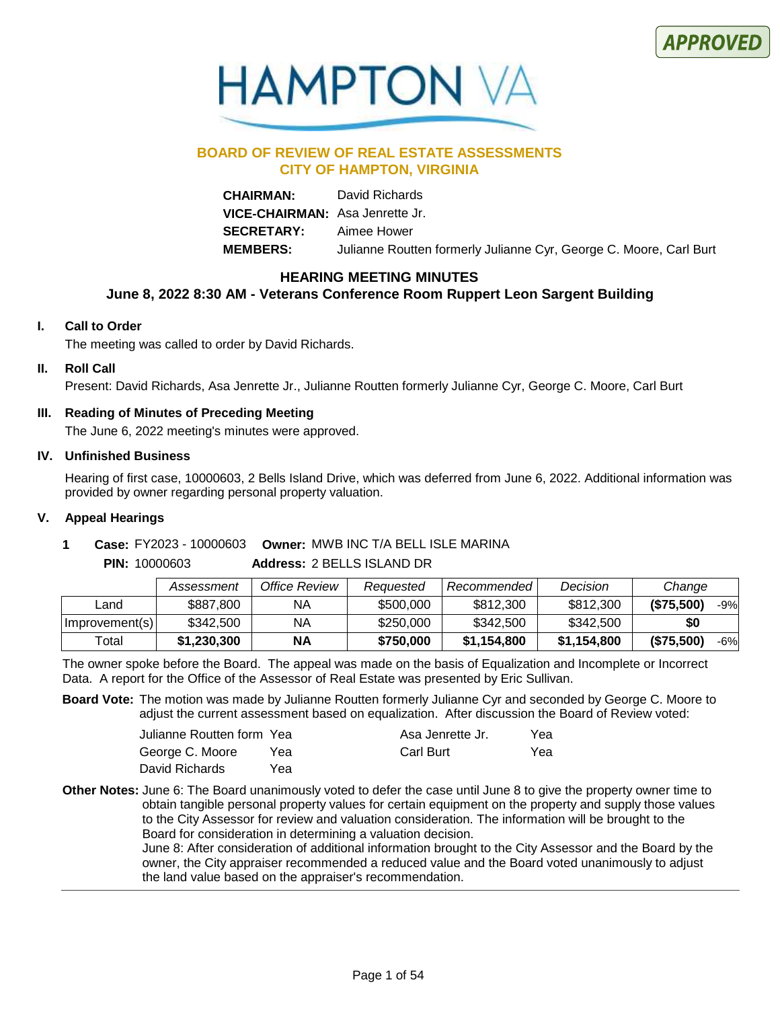



### **BOARD OF REVIEW OF REAL ESTATE ASSESSMENTS CITY OF HAMPTON, VIRGINIA**

**CHAIRMAN:** David Richards **VICE-CHAIRMAN:** Asa Jenrette Jr. **SECRETARY:** Aimee Hower **MEMBERS:** Julianne Routten formerly Julianne Cyr, George C. Moore, Carl Burt

### **HEARING MEETING MINUTES**

### **June 8, 2022 8:30 AM - Veterans Conference Room Ruppert Leon Sargent Building**

### **I. Call to Order**

The meeting was called to order by David Richards.

### **II. Roll Call**

Present: David Richards, Asa Jenrette Jr., Julianne Routten formerly Julianne Cyr, George C. Moore, Carl Burt

### **III. Reading of Minutes of Preceding Meeting**

The June 6, 2022 meeting's minutes were approved.

### **IV. Unfinished Business**

Hearing of first case, 10000603, 2 Bells Island Drive, which was deferred from June 6, 2022. Additional information was provided by owner regarding personal property valuation.

### **V. Appeal Hearings**

### **1 Case:** FY2023 - 10000603 Owner: MWB INC T/A BELL ISLE MARINA

### **Address:** 2 BELLS ISLAND DR **PIN:** 10000603

|                | Assessment  | Office Review | Reauested | Recommended | Decision    | Change            |
|----------------|-------------|---------------|-----------|-------------|-------------|-------------------|
| ∟and           | \$887,800   | ΝA            | \$500,000 | \$812,300   | \$812,300   | (\$75,500)<br>-9% |
| Improvement(s) | \$342,500   | ΝA            | \$250,000 | \$342,500   | \$342,500   | \$0               |
| ⊤otal          | \$1,230,300 | ΝA            | \$750,000 | \$1,154,800 | \$1,154,800 | (\$75,500)<br>-6% |

The owner spoke before the Board. The appeal was made on the basis of Equalization and Incomplete or Incorrect Data. A report for the Office of the Assessor of Real Estate was presented by Eric Sullivan.

**Board Vote:** The motion was made by Julianne Routten formerly Julianne Cyr and seconded by George C. Moore to adjust the current assessment based on equalization. After discussion the Board of Review voted:

| Julianne Routten form Yea |     | Asa Jenrette Jr. | Yea |
|---------------------------|-----|------------------|-----|
| George C. Moore           | Yea | Carl Burt        | Yea |
| David Richards            | Yea |                  |     |

Other Notes: June 6: The Board unanimously voted to defer the case until June 8 to give the property owner time to obtain tangible personal property values for certain equipment on the property and supply those values to the City Assessor for review and valuation consideration. The information will be brought to the Board for consideration in determining a valuation decision.

June 8: After consideration of additional information brought to the City Assessor and the Board by the owner, the City appraiser recommended a reduced value and the Board voted unanimously to adjust the land value based on the appraiser's recommendation.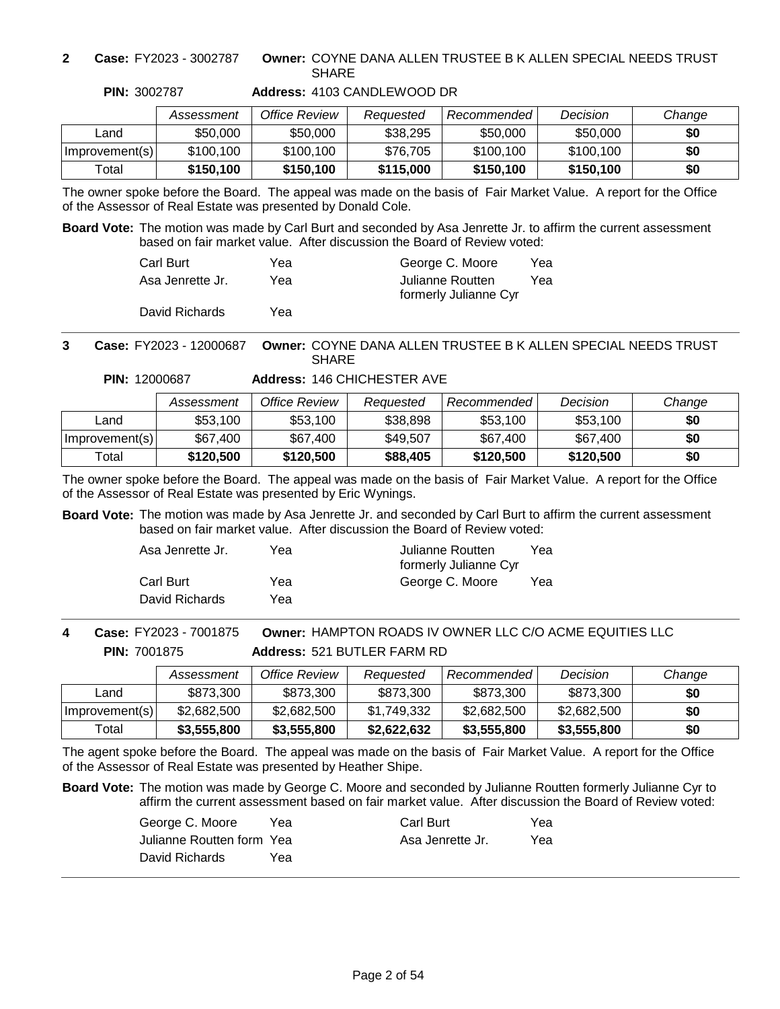**2 Case:** FY2023 - 3002787

**PIN:** 3002787

### **Owner:** COYNE DANA ALLEN TRUSTEE B K ALLEN SPECIAL NEEDS TRUST **SHARF**

|                | Assessment | Office Review | Reauested | <b>Recommended</b> | Decision  | Change |
|----------------|------------|---------------|-----------|--------------------|-----------|--------|
| ∟and           | \$50,000   | \$50,000      | \$38,295  | \$50,000           | \$50,000  | \$0    |
| Improvement(s) | \$100.100  | \$100.100     | \$76.705  | \$100.100          | \$100.100 | \$0    |
| Total          | \$150,100  | \$150.100     | \$115,000 | \$150,100          | \$150.100 | \$0    |

### **Address:** 4103 CANDLEWOOD DR

The owner spoke before the Board. The appeal was made on the basis of Fair Market Value. A report for the Office of the Assessor of Real Estate was presented by Donald Cole.

**Board Vote:** The motion was made by Carl Burt and seconded by Asa Jenrette Jr. to affirm the current assessment based on fair market value. After discussion the Board of Review voted:

| Carl Burt        | Yea | George C. Moore       | Yea |
|------------------|-----|-----------------------|-----|
| Asa Jenrette Jr. | Yea | Julianne Routten      | Yea |
|                  |     | formerly Julianne Cyr |     |
| David Richards   | Yea |                       |     |

### **Owner:** COYNE DANA ALLEN TRUSTEE B K ALLEN SPECIAL NEEDS TRUST **SHARE 3 Case:** FY2023 - 12000687

**PIN:** 12000687

**Address:** 146 CHICHESTER AVE

|                | Assessment | Office Review | Reauested | Recommended | Decision  | Change |
|----------------|------------|---------------|-----------|-------------|-----------|--------|
| ∟and           | \$53.100   | \$53,100      | \$38,898  | \$53,100    | \$53,100  | \$0    |
| Improvement(s) | \$67,400   | \$67,400      | \$49,507  | \$67,400    | \$67,400  | \$0    |
| Total          | \$120,500  | \$120,500     | \$88,405  | \$120,500   | \$120,500 | \$0    |

The owner spoke before the Board. The appeal was made on the basis of Fair Market Value. A report for the Office of the Assessor of Real Estate was presented by Eric Wynings.

**Board Vote:** The motion was made by Asa Jenrette Jr. and seconded by Carl Burt to affirm the current assessment based on fair market value. After discussion the Board of Review voted:

| Asa Jenrette Jr. | Yea | Julianne Routten<br>formerly Julianne Cyr | Yea |
|------------------|-----|-------------------------------------------|-----|
| Carl Burt        | Yea | George C. Moore                           | Yea |
| David Richards   | Yea |                                           |     |

**PIN:** 7001875 **4 Case:** FY2023 - 7001875

**Address:** 521 BUTLER FARM RD **Owner:** HAMPTON ROADS IV OWNER LLC C/O ACME EQUITIES LLC

|                | Assessment  | Office Review | Reauested   | Recommended | Decision    | Change |
|----------------|-------------|---------------|-------------|-------------|-------------|--------|
| Land           | \$873,300   | \$873,300     | \$873,300   | \$873,300   | \$873,300   | \$0    |
| Improvement(s) | \$2,682,500 | \$2,682,500   | \$1,749,332 | \$2,682,500 | \$2,682,500 | \$0    |
| Total          | \$3,555,800 | \$3,555,800   | \$2,622,632 | \$3,555,800 | \$3,555,800 | \$0    |

The agent spoke before the Board. The appeal was made on the basis of Fair Market Value. A report for the Office of the Assessor of Real Estate was presented by Heather Shipe.

| George C. Moore           | Yea | Carl Burt        | Yea |
|---------------------------|-----|------------------|-----|
| Julianne Routten form Yea |     | Asa Jenrette Jr. | Yea |
| David Richards            | Үеа |                  |     |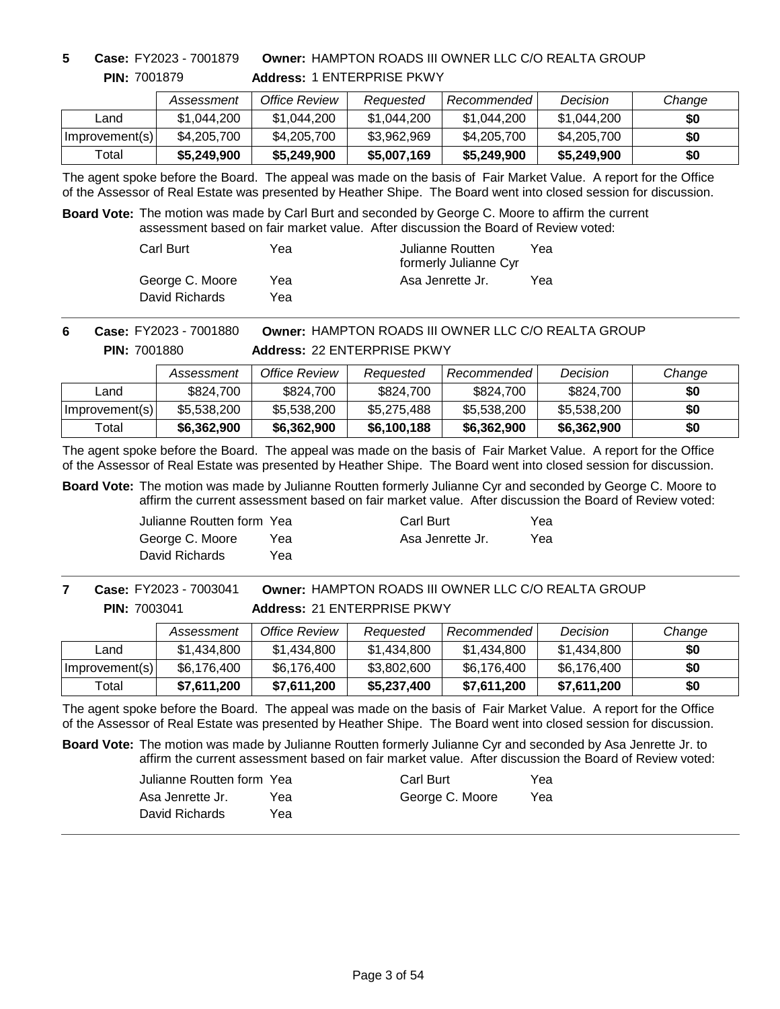**5 Case:** FY2023 - 7001879

**PIN:** 7001879

**Address:** 1 ENTERPRISE PKWY **Owner:** HAMPTON ROADS III OWNER LLC C/O REALTA GROUP

|                | Assessment  | Office Review | Reauested   | Recommended | Decision    | Change |
|----------------|-------------|---------------|-------------|-------------|-------------|--------|
| Land           | \$1,044,200 | \$1.044.200   | \$1.044.200 | \$1.044.200 | \$1,044,200 | \$0    |
| Improvement(s) | \$4,205,700 | \$4,205,700   | \$3,962,969 | \$4,205,700 | \$4,205,700 | \$0    |
| Total          | \$5,249,900 | \$5,249,900   | \$5,007,169 | \$5,249,900 | \$5,249,900 | \$0    |

The agent spoke before the Board. The appeal was made on the basis of Fair Market Value. A report for the Office of the Assessor of Real Estate was presented by Heather Shipe. The Board went into closed session for discussion.

**Board Vote:** The motion was made by Carl Burt and seconded by George C. Moore to affirm the current assessment based on fair market value. After discussion the Board of Review voted:

| Carl Burt       | Yea | Julianne Routten<br>formerly Julianne Cyr | Үеа |
|-----------------|-----|-------------------------------------------|-----|
| George C. Moore | Yea | Asa Jenrette Jr.                          | Yea |
| David Richards  | Yea |                                           |     |

**Owner:** HAMPTON ROADS III OWNER LLC C/O REALTA GROUP **PIN:** 7001880 **6 Case:** FY2023 - 7001880

**Address:** 22 ENTERPRISE PKWY

|                | Assessment  | Office Review | Reauested   | Recommended | Decision    | Change |
|----------------|-------------|---------------|-------------|-------------|-------------|--------|
| Land           | \$824,700   | \$824,700     | \$824,700   | \$824,700   | \$824,700   | \$0    |
| Improvement(s) | \$5,538,200 | \$5,538,200   | \$5,275,488 | \$5,538,200 | \$5,538,200 | \$0    |
| Total          | \$6,362,900 | \$6,362,900   | \$6,100,188 | \$6,362,900 | \$6,362,900 | \$0    |

The agent spoke before the Board. The appeal was made on the basis of Fair Market Value. A report for the Office of the Assessor of Real Estate was presented by Heather Shipe. The Board went into closed session for discussion.

**Board Vote:** The motion was made by Julianne Routten formerly Julianne Cyr and seconded by George C. Moore to affirm the current assessment based on fair market value. After discussion the Board of Review voted:

> Julianne Routten form Yea George C. Moore David Richards Yea Yea

Carl Burt Asa Jenrette Jr. Yea Yea

**PIN:** 7003041 **7 Case:** FY2023 - 7003041

**Address:** 21 ENTERPRISE PKWY **Owner:** HAMPTON ROADS III OWNER LLC C/O REALTA GROUP

|                | Assessment  | Office Review | Reauested   | Recommended | Decision    | Change |
|----------------|-------------|---------------|-------------|-------------|-------------|--------|
| Land           | \$1.434.800 | \$1.434.800   | \$1,434,800 | \$1,434,800 | \$1.434.800 | \$0    |
| Improvement(s) | \$6,176,400 | \$6,176,400   | \$3,802,600 | \$6,176,400 | \$6,176,400 | \$0    |
| Total          | \$7,611,200 | \$7,611,200   | \$5,237,400 | \$7,611,200 | \$7,611,200 | \$0    |

The agent spoke before the Board. The appeal was made on the basis of Fair Market Value. A report for the Office of the Assessor of Real Estate was presented by Heather Shipe. The Board went into closed session for discussion.

| Julianne Routten form Yea |     | Carl Burt       | Yea |
|---------------------------|-----|-----------------|-----|
| Asa Jenrette Jr.          | Yea | George C. Moore | Yea |
| David Richards            | Үеа |                 |     |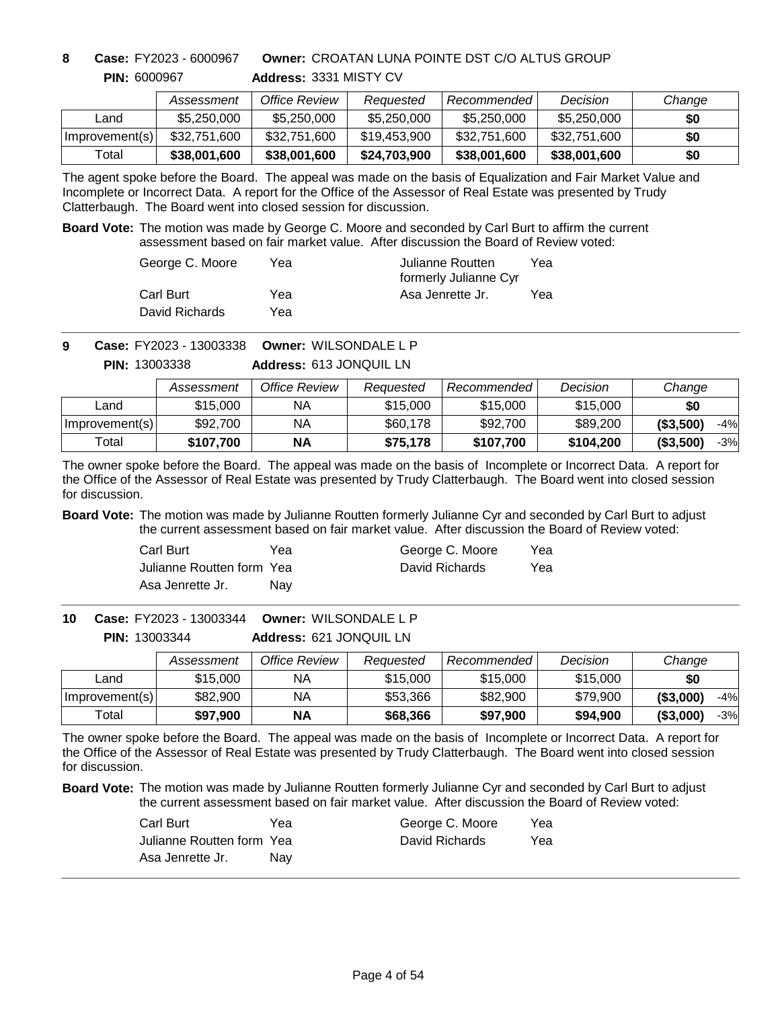### **PIN:** 6000967 **8 Case:** FY2023 - 6000967

**Owner:** CROATAN LUNA POINTE DST C/O ALTUS GROUP

|                | Assessment   | Office Review | Reauested    | Recommended  | Decision     | Change |
|----------------|--------------|---------------|--------------|--------------|--------------|--------|
| Land           | \$5,250,000  | \$5,250,000   | \$5,250,000  | \$5,250,000  | \$5,250,000  | \$0    |
| Improvement(s) | \$32,751,600 | \$32,751,600  | \$19,453,900 | \$32,751,600 | \$32,751,600 | \$0    |
| Total          | \$38,001,600 | \$38,001,600  | \$24,703,900 | \$38,001,600 | \$38,001,600 | \$0    |

**Address:** 3331 MISTY CV

The agent spoke before the Board. The appeal was made on the basis of Equalization and Fair Market Value and Incomplete or Incorrect Data. A report for the Office of the Assessor of Real Estate was presented by Trudy Clatterbaugh. The Board went into closed session for discussion.

**Board Vote:** The motion was made by George C. Moore and seconded by Carl Burt to affirm the current assessment based on fair market value. After discussion the Board of Review voted:

| George C. Moore | Yea | Julianne Routten<br>formerly Julianne Cyr | Yea |
|-----------------|-----|-------------------------------------------|-----|
| Carl Burt       | Yea | Asa Jenrette Jr.                          | Yea |
| David Richards  | Yea |                                           |     |

**Owner:** WILSONDALE L P **9 Case:** FY2023 - 13003338 **PIN:** 13003338

**Address:** 613 JONQUIL LN

|                | Assessment | Office Review | Reauested | Recommended | Decision  | Change              |
|----------------|------------|---------------|-----------|-------------|-----------|---------------------|
| ∟and           | \$15,000   | NА            | \$15,000  | \$15,000    | \$15,000  | \$0                 |
| Improvement(s) | \$92,700   | NA            | \$60,178  | \$92,700    | \$89,200  | ( \$3,500)<br>$-4%$ |
| Total          | \$107,700  | <b>NA</b>     | \$75.178  | \$107,700   | \$104,200 | ( \$3,500)<br>$-3%$ |

The owner spoke before the Board. The appeal was made on the basis of Incomplete or Incorrect Data. A report for the Office of the Assessor of Real Estate was presented by Trudy Clatterbaugh. The Board went into closed session for discussion.

**Board Vote:** The motion was made by Julianne Routten formerly Julianne Cyr and seconded by Carl Burt to adjust the current assessment based on fair market value. After discussion the Board of Review voted:

| Carl Burt                 | Үеа | George C. Moore | Yea |
|---------------------------|-----|-----------------|-----|
| Julianne Routten form Yea |     | David Richards  | Yea |
| Asa Jenrette Jr.          | Nav |                 |     |

**Address:** 621 JONQUIL LN **Owner:** WILSONDALE L P **PIN:** 13003344 **10 Case:** FY2023 - 13003344

|                | Assessment | Office Review | Reauested | Recommended | Decision | Change              |
|----------------|------------|---------------|-----------|-------------|----------|---------------------|
| Land           | \$15,000   | ΝA            | \$15,000  | \$15,000    | \$15,000 | \$0                 |
| Improvement(s) | \$82,900   | ΝA            | \$53,366  | \$82,900    | \$79.900 | ( \$3,000)<br>$-4%$ |
| Total          | \$97,900   | <b>NA</b>     | \$68,366  | \$97,900    | \$94,900 | ( \$3,000)<br>$-3%$ |

The owner spoke before the Board. The appeal was made on the basis of Incomplete or Incorrect Data. A report for the Office of the Assessor of Real Estate was presented by Trudy Clatterbaugh. The Board went into closed session for discussion.

| Carl Burt                  | Yea        | George C. Moore | Yea |
|----------------------------|------------|-----------------|-----|
| Julianne Routten form Yeal |            | David Richards  | Yea |
| Asa Jenrette Jr.           | <b>Nav</b> |                 |     |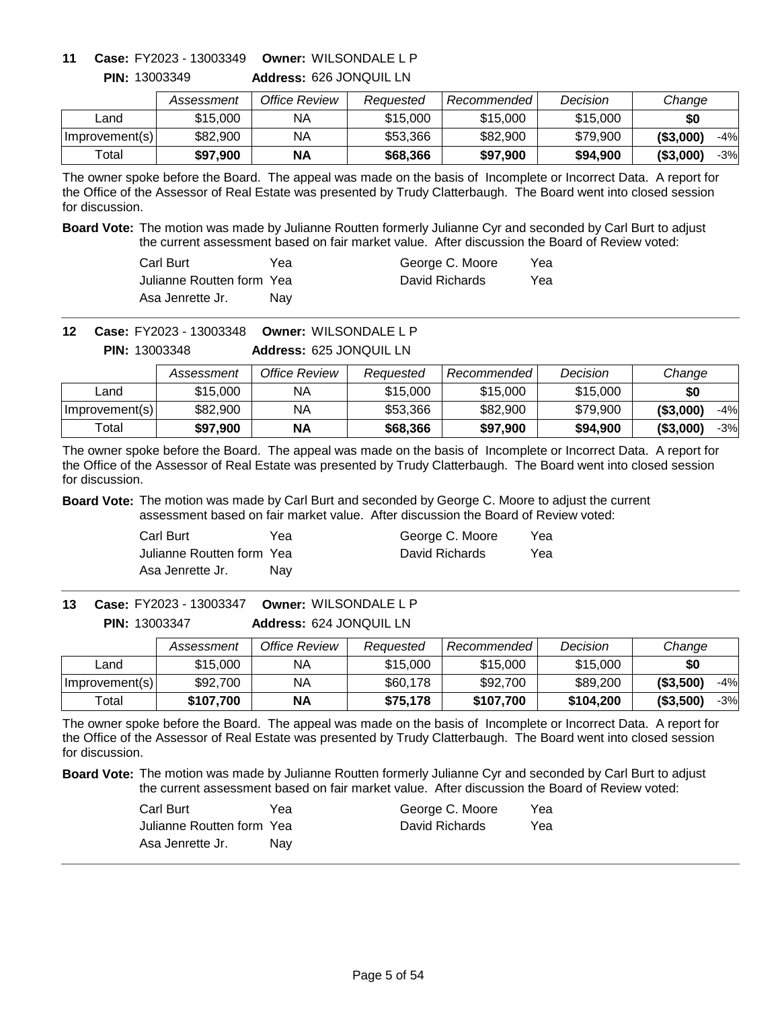# **Owner:** WILSONDALE L P **11 Case:** FY2023 - 13003349

**PIN:** 13003349

**Address:** 626 JONQUIL LN

|                | Assessment | Office Review | Reauested | Recommended | Decision | Change              |
|----------------|------------|---------------|-----------|-------------|----------|---------------------|
| ∟and           | \$15,000   | ΝA            | \$15,000  | \$15,000    | \$15,000 | \$0                 |
| Improvement(s) | \$82,900   | ΝA            | \$53,366  | \$82,900    | \$79,900 | ( \$3,000)<br>$-4%$ |
| $\tau$ otall   | \$97.900   | <b>NA</b>     | \$68,366  | \$97,900    | \$94.900 | ( \$3,000)<br>$-3%$ |

The owner spoke before the Board. The appeal was made on the basis of Incomplete or Incorrect Data. A report for the Office of the Assessor of Real Estate was presented by Trudy Clatterbaugh. The Board went into closed session for discussion.

**Board Vote:** The motion was made by Julianne Routten formerly Julianne Cyr and seconded by Carl Burt to adjust the current assessment based on fair market value. After discussion the Board of Review voted:

| Carl Burt                  | Yea | George C. Moore | Yea |
|----------------------------|-----|-----------------|-----|
| Julianne Routten form Yeal |     | David Richards  | Yea |
| Asa Jenrette Jr.           | Nav |                 |     |

**Owner:** WILSONDALE L P **12 Case:** FY2023 - 13003348

**Address:** 625 JONQUIL LN **PIN:** 13003348

|                | Assessment | Office Review | Reauested | Recommended | Decision | Change              |
|----------------|------------|---------------|-----------|-------------|----------|---------------------|
| Land           | \$15,000   | ΝA            | \$15,000  | \$15,000    | \$15,000 | \$0                 |
| Improvement(s) | \$82,900   | NA            | \$53,366  | \$82,900    | \$79.900 | ( \$3,000)<br>$-4%$ |
| Total          | \$97,900   | <b>NA</b>     | \$68,366  | \$97,900    | \$94.900 | ( \$3,000]<br>$-3%$ |

The owner spoke before the Board. The appeal was made on the basis of Incomplete or Incorrect Data. A report for the Office of the Assessor of Real Estate was presented by Trudy Clatterbaugh. The Board went into closed session for discussion.

**Board Vote:** The motion was made by Carl Burt and seconded by George C. Moore to adjust the current assessment based on fair market value. After discussion the Board of Review voted:

| Carl Burt                 | Yea | George C. Moore | Yea |
|---------------------------|-----|-----------------|-----|
| Julianne Routten form Yea |     | David Richards  | Yea |
| Asa Jenrette Jr.          | Nav |                 |     |

**Address:** 624 JONQUIL LN **Owner:** WILSONDALE L P **13 Case:** FY2023 - 13003347 **PIN:** 13003347

|                | Assessment | Office Review | Reauested | Recommended | Decision  | Change              |
|----------------|------------|---------------|-----------|-------------|-----------|---------------------|
| Land           | \$15,000   | NA            | \$15,000  | \$15,000    | \$15,000  | \$0                 |
| Improvement(s) | \$92,700   | NA            | \$60,178  | \$92,700    | \$89,200  | ( \$3,500)<br>$-4%$ |
| Total          | \$107.700  | ΝA            | \$75,178  | \$107.700   | \$104.200 | ( \$3,500)<br>-3%   |

The owner spoke before the Board. The appeal was made on the basis of Incomplete or Incorrect Data. A report for the Office of the Assessor of Real Estate was presented by Trudy Clatterbaugh. The Board went into closed session for discussion.

| Carl Burt                 | Yea | George C. Moore | Yea |
|---------------------------|-----|-----------------|-----|
| Julianne Routten form Yea |     | David Richards  | Yea |
| Asa Jenrette Jr.          | Nav |                 |     |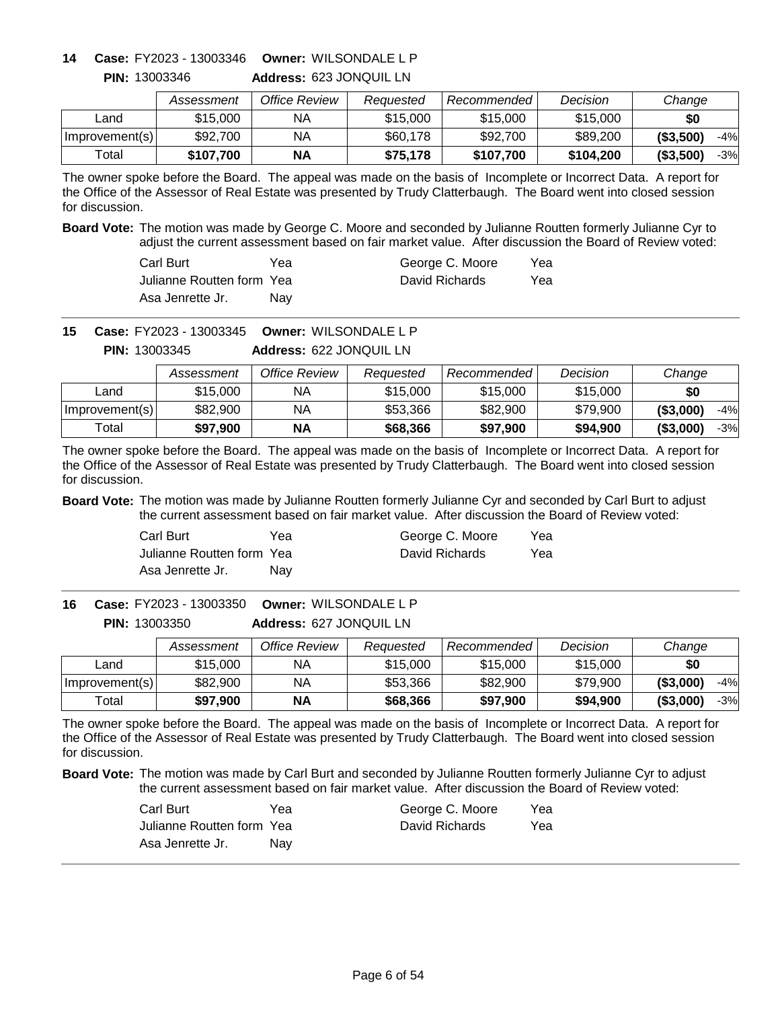# **Owner:** WILSONDALE L P **14 Case:** FY2023 - 13003346

**PIN:** 13003346

| Address: 623 JONQUIL LN |  |
|-------------------------|--|
|                         |  |

|                | Assessment | Office Review | Reauested | Recommended | Decision  | Change              |
|----------------|------------|---------------|-----------|-------------|-----------|---------------------|
| Land           | \$15,000   | ΝA            | \$15,000  | \$15,000    | \$15,000  | \$0                 |
| Improvement(s) | \$92,700   | NA            | \$60,178  | \$92,700    | \$89,200  | ( \$3,500)<br>$-4%$ |
| Total          | \$107.700  | ΝA            | \$75.178  | \$107.700   | \$104.200 | (\$3,500)<br>$-3%$  |

The owner spoke before the Board. The appeal was made on the basis of Incomplete or Incorrect Data. A report for the Office of the Assessor of Real Estate was presented by Trudy Clatterbaugh. The Board went into closed session for discussion.

**Board Vote:** The motion was made by George C. Moore and seconded by Julianne Routten formerly Julianne Cyr to adjust the current assessment based on fair market value. After discussion the Board of Review voted:

| Carl Burt                  | Yea | George C. Moore | Yea |
|----------------------------|-----|-----------------|-----|
| Julianne Routten form Yeal |     | David Richards  | Yea |
| Asa Jenrette Jr.           | Nav |                 |     |

**Owner:** WILSONDALE L P **15 Case:** FY2023 - 13003345

**Address:** 622 JONQUIL LN **PIN:** 13003345

|                | Assessment | Office Review | Reauested | Recommended | Decision | Change              |
|----------------|------------|---------------|-----------|-------------|----------|---------------------|
| Land           | \$15,000   | ΝA            | \$15,000  | \$15,000    | \$15,000 | \$0                 |
| Improvement(s) | \$82,900   | NA            | \$53,366  | \$82,900    | \$79.900 | ( \$3,000]<br>$-4%$ |
| Total          | \$97.900   | NΑ            | \$68,366  | \$97,900    | \$94,900 | (\$3,000)<br>$-3%$  |

The owner spoke before the Board. The appeal was made on the basis of Incomplete or Incorrect Data. A report for the Office of the Assessor of Real Estate was presented by Trudy Clatterbaugh. The Board went into closed session for discussion.

**Board Vote:** The motion was made by Julianne Routten formerly Julianne Cyr and seconded by Carl Burt to adjust the current assessment based on fair market value. After discussion the Board of Review voted:

| Carl Burt                 | Yea | George C. Moore | Yea |
|---------------------------|-----|-----------------|-----|
| Julianne Routten form Yea |     | David Richards  | Yea |
| Asa Jenrette Jr.          | Nav |                 |     |

**Address:** 627 JONQUIL LN **Owner:** WILSONDALE L P **16 Case:** FY2023 - 13003350 **PIN:** 13003350

|                | Assessment | Office Review | Reauested | Recommended | Decision | Change              |
|----------------|------------|---------------|-----------|-------------|----------|---------------------|
| _and           | \$15,000   | NА            | \$15,000  | \$15,000    | \$15,000 | \$0                 |
| Improvement(s) | \$82,900   | ΝA            | \$53,366  | \$82,900    | \$79.900 | ( \$3,000)<br>$-4%$ |
| $\tau$ otal    | \$97,900   | <b>NA</b>     | \$68,366  | \$97,900    | \$94,900 | ( \$3,000)<br>-3%   |

The owner spoke before the Board. The appeal was made on the basis of Incomplete or Incorrect Data. A report for the Office of the Assessor of Real Estate was presented by Trudy Clatterbaugh. The Board went into closed session for discussion.

| Carl Burt                 | Yea | George C. Moore | Yea |
|---------------------------|-----|-----------------|-----|
| Julianne Routten form Yea |     | David Richards  | Yea |
| Asa Jenrette Jr.          | Nav |                 |     |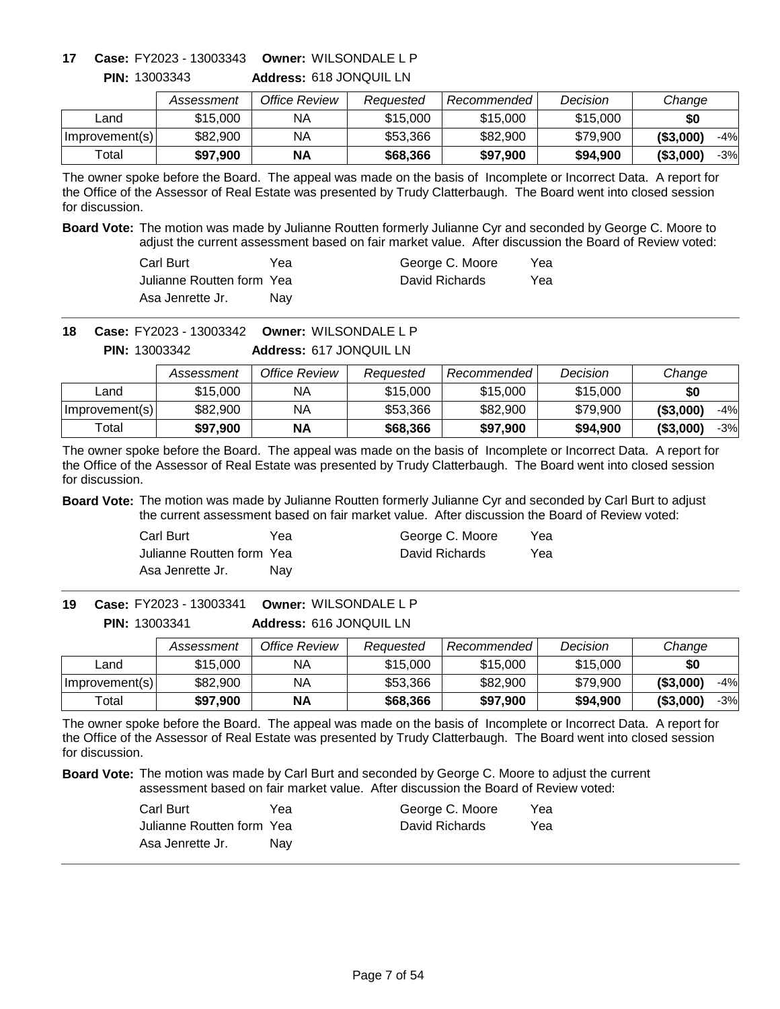### **Owner:** WILSONDALE L P **17 Case:** FY2023 - 13003343 **PIN:** 13003343

**Address:** 618 JONQUIL LN

|                | Assessment | Office Review | Reauested | Recommended | Decision | Change              |
|----------------|------------|---------------|-----------|-------------|----------|---------------------|
| _and           | \$15,000   | ΝA            | \$15,000  | \$15,000    | \$15,000 | \$0                 |
| Improvement(s) | \$82,900   | ΝA            | \$53,366  | \$82,900    | \$79,900 | ( \$3,000)<br>$-4%$ |
| ™otal          | \$97.900   | ΝA            | \$68,366  | \$97.900    | \$94.900 | ( \$3,000)<br>$-3%$ |

The owner spoke before the Board. The appeal was made on the basis of Incomplete or Incorrect Data. A report for the Office of the Assessor of Real Estate was presented by Trudy Clatterbaugh. The Board went into closed session for discussion.

**Board Vote:** The motion was made by Julianne Routten formerly Julianne Cyr and seconded by George C. Moore to adjust the current assessment based on fair market value. After discussion the Board of Review voted:

| Carl Burt                  | Yea | George C. Moore | Yea |
|----------------------------|-----|-----------------|-----|
| Julianne Routten form Yeal |     | David Richards  | Yea |
| Asa Jenrette Jr.           | Nav |                 |     |

**Owner:** WILSONDALE L P **18 Case:** FY2023 - 13003342

**Address:** 617 JONQUIL LN **PIN:** 13003342

|                | Assessment | Office Review | Reauested | Recommended | Decision | Change              |
|----------------|------------|---------------|-----------|-------------|----------|---------------------|
| Land           | \$15,000   | NA            | \$15,000  | \$15,000    | \$15,000 | \$0                 |
| Improvement(s) | \$82,900   | ΝA            | \$53.366  | \$82,900    | \$79.900 | ( \$3,000]<br>$-4%$ |
| Total          | \$97.900   | <b>NA</b>     | \$68,366  | \$97,900    | \$94,900 | ( \$3,000]<br>$-3%$ |

The owner spoke before the Board. The appeal was made on the basis of Incomplete or Incorrect Data. A report for the Office of the Assessor of Real Estate was presented by Trudy Clatterbaugh. The Board went into closed session for discussion.

**Board Vote:** The motion was made by Julianne Routten formerly Julianne Cyr and seconded by Carl Burt to adjust the current assessment based on fair market value. After discussion the Board of Review voted:

| Carl Burt                 | Yea | George C. Moore | Yea |
|---------------------------|-----|-----------------|-----|
| Julianne Routten form Yea |     | David Richards  | Yea |
| Asa Jenrette Jr.          | Nav |                 |     |

**Address:** 616 JONQUIL LN **Owner:** WILSONDALE L P **PIN:** 13003341 **19 Case:** FY2023 - 13003341

|                | Assessment | Office Review | Reauested | Recommended | Decision | Change              |
|----------------|------------|---------------|-----------|-------------|----------|---------------------|
| Land           | \$15,000   | NA            | \$15,000  | \$15,000    | \$15,000 | \$0                 |
| Improvement(s) | \$82,900   | NA            | \$53,366  | \$82,900    | \$79,900 | ( \$3,000)<br>$-4%$ |
| Total          | \$97,900   | ΝA            | \$68,366  | \$97,900    | \$94,900 | ( \$3,000)<br>-3%   |

The owner spoke before the Board. The appeal was made on the basis of Incomplete or Incorrect Data. A report for the Office of the Assessor of Real Estate was presented by Trudy Clatterbaugh. The Board went into closed session for discussion.

| Carl Burt                 | Yea | George C. Moore | Yea |
|---------------------------|-----|-----------------|-----|
| Julianne Routten form Yea |     | David Richards  | Yea |
| Asa Jenrette Jr.          | Nav |                 |     |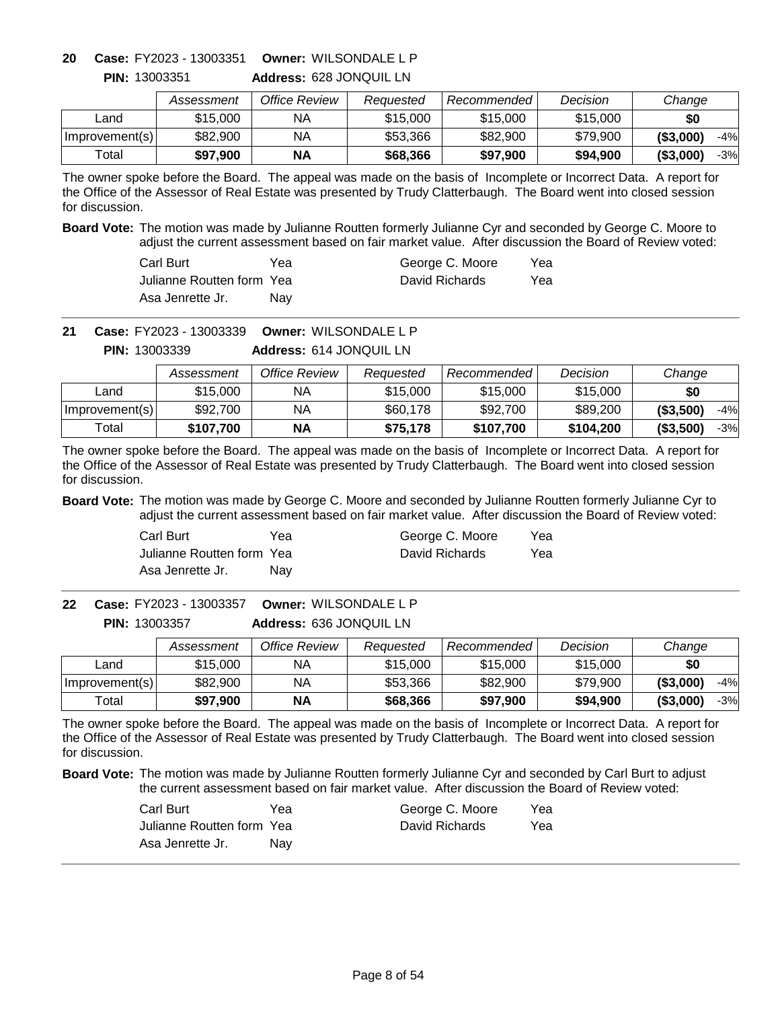**Address:** 628 JONQUIL LN **Owner:** WILSONDALE L P **20 Case:** FY2023 - 13003351

|                | Assessment | Office Review | Reauested | Recommended l | Decision | Change              |
|----------------|------------|---------------|-----------|---------------|----------|---------------------|
| Land           | \$15,000   | ΝA            | \$15,000  | \$15,000      | \$15,000 | \$0                 |
| Improvement(s) | \$82,900   | ΝA            | \$53,366  | \$82,900      | \$79,900 | ( \$3,000)<br>$-4%$ |
| Total          | \$97,900   | ΝA            | \$68,366  | \$97.900      | \$94,900 | ( \$3,000)<br>$-3%$ |

The owner spoke before the Board. The appeal was made on the basis of Incomplete or Incorrect Data. A report for the Office of the Assessor of Real Estate was presented by Trudy Clatterbaugh. The Board went into closed session for discussion.

**Board Vote:** The motion was made by Julianne Routten formerly Julianne Cyr and seconded by George C. Moore to adjust the current assessment based on fair market value. After discussion the Board of Review voted:

| Carl Burt                  | Yea | George C. Moore | Yea |
|----------------------------|-----|-----------------|-----|
| Julianne Routten form Yeal |     | David Richards  | Yea |
| Asa Jenrette Jr.           | Nav |                 |     |

**Owner:** WILSONDALE L P **21 Case:** FY2023 - 13003339

**Address:** 614 JONQUIL LN **PIN:** 13003339

|                | Assessment | Office Review | Reauested | Recommended | Decision  | Change              |
|----------------|------------|---------------|-----------|-------------|-----------|---------------------|
| Land           | \$15,000   | ΝA            | \$15,000  | \$15,000    | \$15,000  | \$0                 |
| Improvement(s) | \$92,700   | ΝA            | \$60,178  | \$92,700    | \$89,200  | ( \$3,500)<br>$-4%$ |
| Total          | \$107.700  | <b>NA</b>     | \$75,178  | \$107.700   | \$104.200 | (\$3,500)<br>$-3%$  |

The owner spoke before the Board. The appeal was made on the basis of Incomplete or Incorrect Data. A report for the Office of the Assessor of Real Estate was presented by Trudy Clatterbaugh. The Board went into closed session for discussion.

**Board Vote:** The motion was made by George C. Moore and seconded by Julianne Routten formerly Julianne Cyr to adjust the current assessment based on fair market value. After discussion the Board of Review voted:

| Carl Burt                 | Yea | George C. Moore | Yea |
|---------------------------|-----|-----------------|-----|
| Julianne Routten form Yea |     | David Richards  | Yea |
| Asa Jenrette Jr.          | Nav |                 |     |

**Address:** 636 JONQUIL LN **Owner:** WILSONDALE L P **PIN:** 13003357 **22 Case:** FY2023 - 13003357

|                | Assessment | Office Review | Reauested | Recommended | Decision | Change              |
|----------------|------------|---------------|-----------|-------------|----------|---------------------|
| _and           | \$15,000   | NA            | \$15,000  | \$15,000    | \$15,000 | \$0                 |
| Improvement(s) | \$82,900   | ΝA            | \$53,366  | \$82,900    | \$79,900 | (\$3,000)<br>$-4%$  |
| $\tau$ otal    | \$97,900   | <b>NA</b>     | \$68,366  | \$97,900    | \$94,900 | ( \$3,000]<br>$-3%$ |

The owner spoke before the Board. The appeal was made on the basis of Incomplete or Incorrect Data. A report for the Office of the Assessor of Real Estate was presented by Trudy Clatterbaugh. The Board went into closed session for discussion.

| Carl Burt                 | Yea | George C. Moore | Yea |
|---------------------------|-----|-----------------|-----|
| Julianne Routten form Yea |     | David Richards  | Yea |
| Asa Jenrette Jr.          | Nav |                 |     |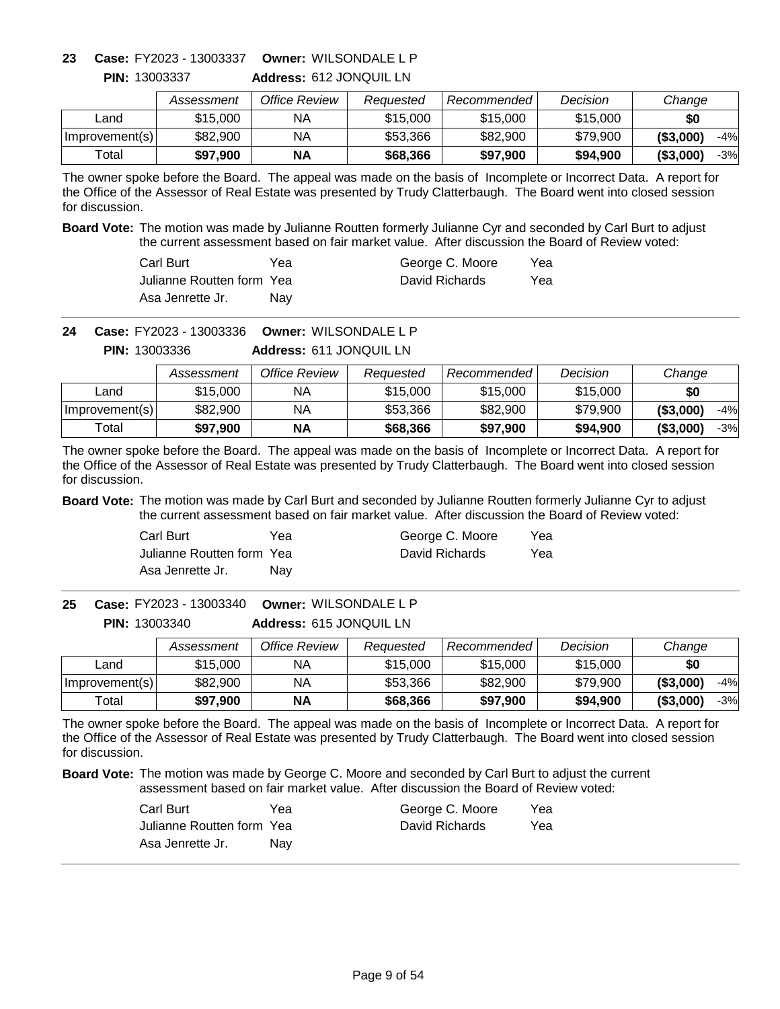**Address:** 612 JONQUIL LN **Owner:** WILSONDALE L P **23 Case:** FY2023 - 13003337

|                | Assessment | Office Review | Reauested | Recommended | Decision | Change              |
|----------------|------------|---------------|-----------|-------------|----------|---------------------|
| _and           | \$15,000   | ΝA            | \$15,000  | \$15,000    | \$15,000 | \$0                 |
| Improvement(s) | \$82,900   | ΝA            | \$53,366  | \$82,900    | \$79,900 | ( \$3,000)<br>$-4%$ |
| Total          | \$97,900   | <b>NA</b>     | \$68,366  | \$97,900    | \$94,900 | $-3%$<br>( \$3,000) |

The owner spoke before the Board. The appeal was made on the basis of Incomplete or Incorrect Data. A report for the Office of the Assessor of Real Estate was presented by Trudy Clatterbaugh. The Board went into closed session for discussion.

**Board Vote:** The motion was made by Julianne Routten formerly Julianne Cyr and seconded by Carl Burt to adjust the current assessment based on fair market value. After discussion the Board of Review voted:

| Carl Burt                  | Үеа | George C. Moore | Yea |
|----------------------------|-----|-----------------|-----|
| Julianne Routten form Yeal |     | David Richards  | Yea |
| Asa Jenrette Jr.           | Nav |                 |     |

**Owner:** WILSONDALE L P **24 Case:** FY2023 - 13003336

**Address:** 611 JONQUIL LN **PIN:** 13003336

|                | Assessment | Office Review | Reauested | Recommended | Decision | Change              |
|----------------|------------|---------------|-----------|-------------|----------|---------------------|
| Land           | \$15,000   | ΝA            | \$15,000  | \$15,000    | \$15,000 | \$0                 |
| Improvement(s) | \$82,900   | NA            | \$53,366  | \$82,900    | \$79.900 | ( \$3,000]<br>$-4%$ |
| Total          | \$97,900   | <b>NA</b>     | \$68,366  | \$97,900    | \$94,900 | ( \$3,000]<br>$-3%$ |

The owner spoke before the Board. The appeal was made on the basis of Incomplete or Incorrect Data. A report for the Office of the Assessor of Real Estate was presented by Trudy Clatterbaugh. The Board went into closed session for discussion.

**Board Vote:** The motion was made by Carl Burt and seconded by Julianne Routten formerly Julianne Cyr to adjust the current assessment based on fair market value. After discussion the Board of Review voted:

| Carl Burt                 | Yea | George C. Moore | Yea |
|---------------------------|-----|-----------------|-----|
| Julianne Routten form Yea |     | David Richards  | Yea |
| Asa Jenrette Jr.          | Nav |                 |     |

**Address:** 615 JONQUIL LN **Owner:** WILSONDALE L P **25 Case:** FY2023 - 13003340 **PIN:** 13003340

|                | Assessment | Office Review | Reauested | Recommended | Decision | Change              |
|----------------|------------|---------------|-----------|-------------|----------|---------------------|
| Land           | \$15,000   | NA            | \$15,000  | \$15,000    | \$15,000 | \$0                 |
| Improvement(s) | \$82,900   | NA            | \$53,366  | \$82,900    | \$79.900 | ( \$3,000)<br>$-4%$ |
| ™otal          | \$97,900   | <b>NA</b>     | \$68,366  | \$97,900    | \$94.900 | ( \$3,000)<br>-3%   |

The owner spoke before the Board. The appeal was made on the basis of Incomplete or Incorrect Data. A report for the Office of the Assessor of Real Estate was presented by Trudy Clatterbaugh. The Board went into closed session for discussion.

| Carl Burt                 | Yea | George C. Moore | Yea |
|---------------------------|-----|-----------------|-----|
| Julianne Routten form Yea |     | David Richards  | Yea |
| Asa Jenrette Jr.          | Nav |                 |     |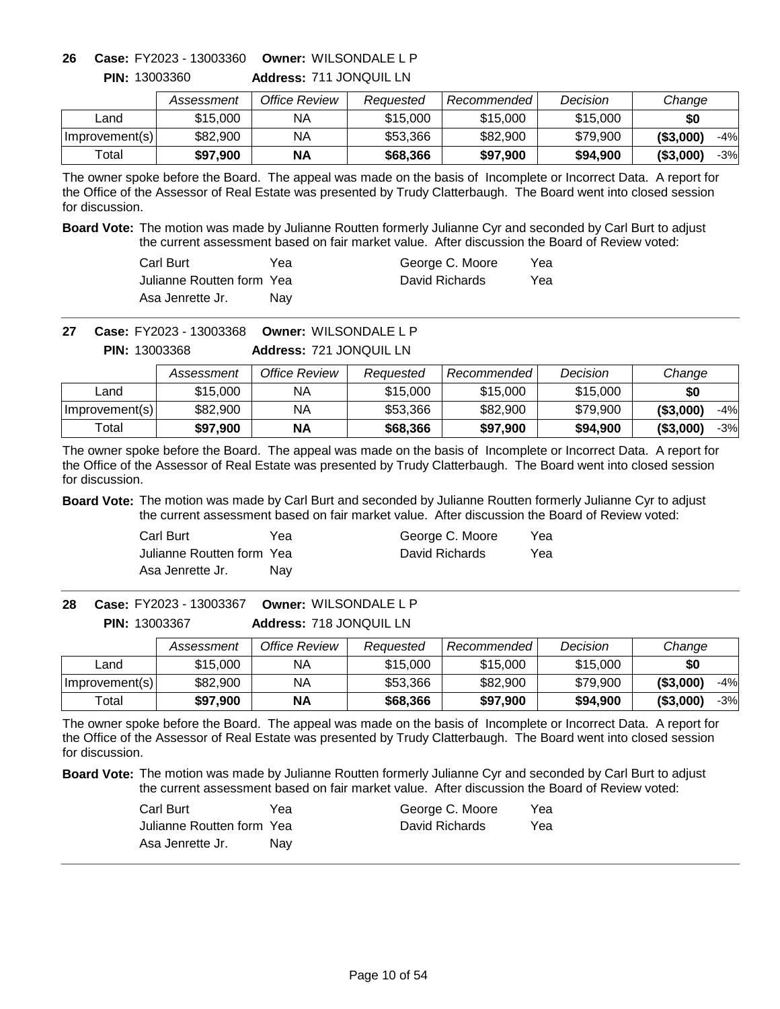**Address:** 711 JONQUIL LN **Owner:** WILSONDALE L P **26 Case:** FY2023 - 13003360

|                | Assessment | Office Review | Reauested | Recommended L | Decision | Change              |
|----------------|------------|---------------|-----------|---------------|----------|---------------------|
| ∟and           | \$15,000   | ΝA            | \$15,000  | \$15,000      | \$15,000 | \$0                 |
| Improvement(s) | \$82,900   | ΝA            | \$53,366  | \$82,900      | \$79,900 | ( \$3,000)<br>$-4%$ |
| Total          | \$97,900   | <b>NA</b>     | \$68,366  | \$97,900      | \$94,900 | ( \$3,000]<br>-3%   |

The owner spoke before the Board. The appeal was made on the basis of Incomplete or Incorrect Data. A report for the Office of the Assessor of Real Estate was presented by Trudy Clatterbaugh. The Board went into closed session for discussion.

**Board Vote:** The motion was made by Julianne Routten formerly Julianne Cyr and seconded by Carl Burt to adjust the current assessment based on fair market value. After discussion the Board of Review voted:

| Carl Burt                  | Yea | George C. Moore | Yea |
|----------------------------|-----|-----------------|-----|
| Julianne Routten form Yeal |     | David Richards  | Yea |
| Asa Jenrette Jr.           | Nav |                 |     |

**Owner:** WILSONDALE L P **27 Case:** FY2023 - 13003368

**Address:** 721 JONQUIL LN **PIN:** 13003368

|                | Assessment | Office Review | Reauested | Recommended | Decision | Change              |
|----------------|------------|---------------|-----------|-------------|----------|---------------------|
| Land           | \$15,000   | ΝA            | \$15,000  | \$15,000    | \$15,000 | \$0                 |
| Improvement(s) | \$82,900   | NA            | \$53,366  | \$82,900    | \$79.900 | ( \$3,000]<br>$-4%$ |
| Total          | \$97,900   | <b>NA</b>     | \$68,366  | \$97,900    | \$94,900 | ( \$3,000]<br>$-3%$ |

The owner spoke before the Board. The appeal was made on the basis of Incomplete or Incorrect Data. A report for the Office of the Assessor of Real Estate was presented by Trudy Clatterbaugh. The Board went into closed session for discussion.

**Board Vote:** The motion was made by Carl Burt and seconded by Julianne Routten formerly Julianne Cyr to adjust the current assessment based on fair market value. After discussion the Board of Review voted:

| Carl Burt                 | Yea | George C. Moore | Yea |
|---------------------------|-----|-----------------|-----|
| Julianne Routten form Yea |     | David Richards  | Yea |
| Asa Jenrette Jr.          | Nav |                 |     |

**Address:** 718 JONQUIL LN **Owner:** WILSONDALE L P **PIN:** 13003367 **28 Case:** FY2023 - 13003367

|                | Assessment | Office Review | Reauested | Recommended | Decision | Change              |
|----------------|------------|---------------|-----------|-------------|----------|---------------------|
| Land           | \$15.000   | NА            | \$15,000  | \$15,000    | \$15,000 | \$0                 |
| Improvement(s) | \$82,900   | NА            | \$53,366  | \$82,900    | \$79.900 | ( \$3,000)<br>$-4%$ |
| ⊤otal          | \$97.900   | <b>NA</b>     | \$68,366  | \$97,900    | \$94.900 | ( \$3,000)<br>$-3%$ |

The owner spoke before the Board. The appeal was made on the basis of Incomplete or Incorrect Data. A report for the Office of the Assessor of Real Estate was presented by Trudy Clatterbaugh. The Board went into closed session for discussion.

| Carl Burt                 | Yea | George C. Moore | Yea |
|---------------------------|-----|-----------------|-----|
| Julianne Routten form Yea |     | David Richards  | Yea |
| Asa Jenrette Jr.          | Nav |                 |     |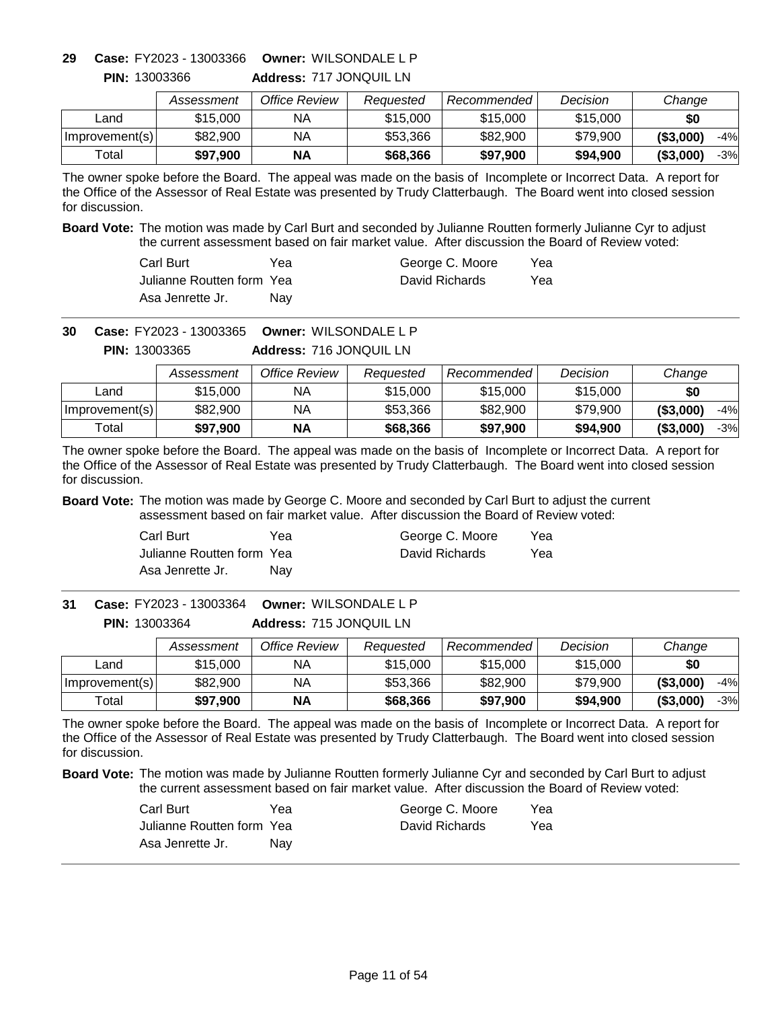**Address:** 717 JONQUIL LN **Owner:** WILSONDALE L P **29 Case:** FY2023 - 13003366

|                | Assessment | Office Review | Reauested | Recommended | Decision | Change              |
|----------------|------------|---------------|-----------|-------------|----------|---------------------|
| _and           | \$15,000   | ΝA            | \$15,000  | \$15,000    | \$15,000 | \$0                 |
| Improvement(s) | \$82,900   | ΝA            | \$53,366  | \$82,900    | \$79,900 | $-4%$<br>( \$3,000) |
| Total          | \$97,900   | ΝA            | \$68,366  | \$97.900    | \$94,900 | $-3%$<br>( \$3,000) |

The owner spoke before the Board. The appeal was made on the basis of Incomplete or Incorrect Data. A report for the Office of the Assessor of Real Estate was presented by Trudy Clatterbaugh. The Board went into closed session for discussion.

**Board Vote:** The motion was made by Carl Burt and seconded by Julianne Routten formerly Julianne Cyr to adjust the current assessment based on fair market value. After discussion the Board of Review voted:

| Carl Burt                  | Үеа | George C. Moore | Yea |
|----------------------------|-----|-----------------|-----|
| Julianne Routten form Yeal |     | David Richards  | Yea |
| Asa Jenrette Jr.           | Nav |                 |     |

**Owner:** WILSONDALE L P **30 Case:** FY2023 - 13003365

**Address:** 716 JONQUIL LN **PIN:** 13003365

|                | Assessment | Office Review | Reauested | Recommended | Decision | Change              |
|----------------|------------|---------------|-----------|-------------|----------|---------------------|
| Land           | \$15.000   | NA            | \$15,000  | \$15,000    | \$15,000 | \$0                 |
| Improvement(s) | \$82,900   | ΝA            | \$53,366  | \$82,900    | \$79,900 | ( \$3,000)<br>$-4%$ |
| Total          | \$97.900   | ΝA            | \$68,366  | \$97,900    | \$94,900 | ( \$3,000)<br>$-3%$ |

The owner spoke before the Board. The appeal was made on the basis of Incomplete or Incorrect Data. A report for the Office of the Assessor of Real Estate was presented by Trudy Clatterbaugh. The Board went into closed session for discussion.

**Board Vote:** The motion was made by George C. Moore and seconded by Carl Burt to adjust the current assessment based on fair market value. After discussion the Board of Review voted:

| Carl Burt                 | Yea | George C. Moore | Yea |
|---------------------------|-----|-----------------|-----|
| Julianne Routten form Yea |     | David Richards  | Yea |
| Asa Jenrette Jr.          | Nav |                 |     |

**Address:** 715 JONQUIL LN **Owner:** WILSONDALE L P **31 Case:** FY2023 - 13003364 **PIN:** 13003364

|                  | Assessment | Office Review | Reauested | Recommended | Decision | Change              |
|------------------|------------|---------------|-----------|-------------|----------|---------------------|
| Land             | \$15,000   | ΝA            | \$15,000  | \$15,000    | \$15,000 | \$0                 |
| Improvement(s)   | \$82,900   | ΝA            | \$53,366  | \$82,900    | \$79,900 | (\$3,000)<br>$-4%$  |
| $\mathsf{Total}$ | \$97,900   | ΝA            | \$68,366  | \$97,900    | \$94,900 | ( \$3,000]<br>$-3%$ |

The owner spoke before the Board. The appeal was made on the basis of Incomplete or Incorrect Data. A report for the Office of the Assessor of Real Estate was presented by Trudy Clatterbaugh. The Board went into closed session for discussion.

| Carl Burt                 | Yea | George C. Moore | Yea |
|---------------------------|-----|-----------------|-----|
| Julianne Routten form Yea |     | David Richards  | Yea |
| Asa Jenrette Jr.          | Nav |                 |     |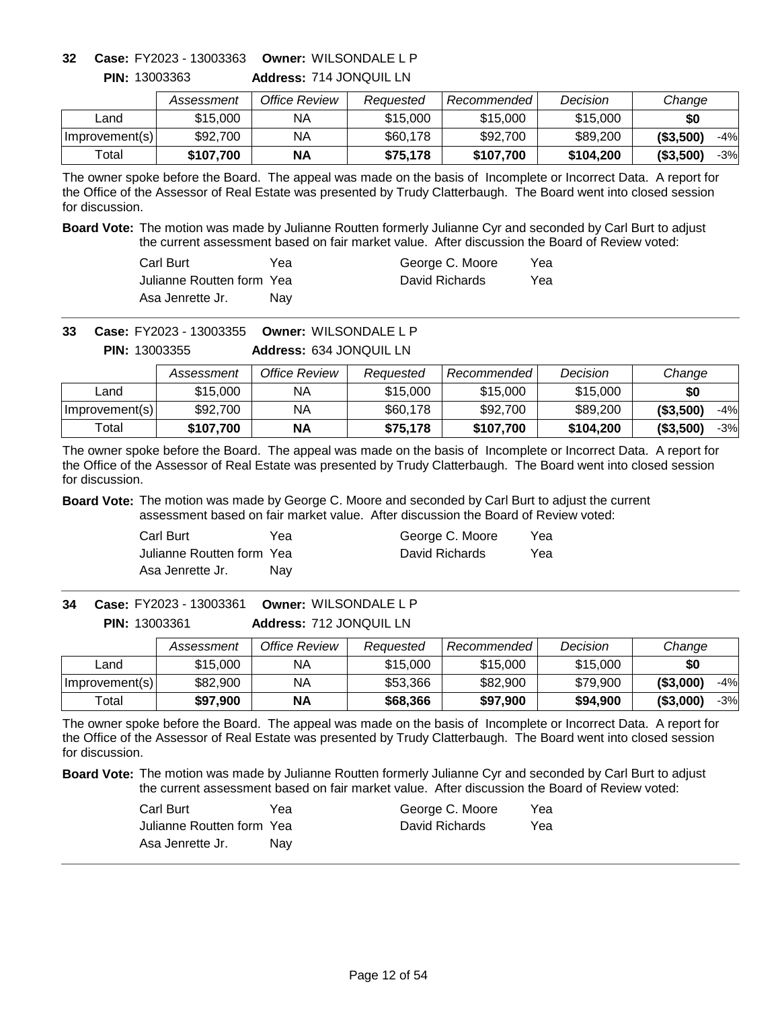**Address:** 714 JONQUIL LN **Owner:** WILSONDALE L P **32 Case:** FY2023 - 13003363

|                | Assessment | Office Review | Reauested | Recommended l | Decision  | Change              |
|----------------|------------|---------------|-----------|---------------|-----------|---------------------|
| ∟and           | \$15,000   | ΝA            | \$15,000  | \$15,000      | \$15,000  | \$0                 |
| Improvement(s) | \$92,700   | ΝA            | \$60,178  | \$92,700      | \$89,200  | ( \$3,500)<br>$-4%$ |
| Total          | \$107.700  | <b>NA</b>     | \$75.178  | \$107,700     | \$104,200 | ( \$3,500)<br>$-3%$ |

The owner spoke before the Board. The appeal was made on the basis of Incomplete or Incorrect Data. A report for the Office of the Assessor of Real Estate was presented by Trudy Clatterbaugh. The Board went into closed session for discussion.

**Board Vote:** The motion was made by Julianne Routten formerly Julianne Cyr and seconded by Carl Burt to adjust the current assessment based on fair market value. After discussion the Board of Review voted:

| Carl Burt                  | Yea | George C. Moore | Yea |
|----------------------------|-----|-----------------|-----|
| Julianne Routten form Yeal |     | David Richards  | Yea |
| Asa Jenrette Jr.           | Nav |                 |     |

**Owner:** WILSONDALE L P **33 Case:** FY2023 - 13003355

**Address:** 634 JONQUIL LN **PIN:** 13003355

|                | Assessment | Office Review | Reauested | Recommended | Decision  | Change              |
|----------------|------------|---------------|-----------|-------------|-----------|---------------------|
| Land           | \$15,000   | ΝA            | \$15,000  | \$15,000    | \$15,000  | \$0                 |
| Improvement(s) | \$92,700   | NA            | \$60,178  | \$92,700    | \$89,200  | ( \$3,500)<br>$-4%$ |
| Total          | \$107.700  | ΝA            | \$75.178  | \$107,700   | \$104,200 | ( \$3,500)<br>$-3%$ |

The owner spoke before the Board. The appeal was made on the basis of Incomplete or Incorrect Data. A report for the Office of the Assessor of Real Estate was presented by Trudy Clatterbaugh. The Board went into closed session for discussion.

**Board Vote:** The motion was made by George C. Moore and seconded by Carl Burt to adjust the current assessment based on fair market value. After discussion the Board of Review voted:

| Carl Burt                 | Yea | George C. Moore | Yea |
|---------------------------|-----|-----------------|-----|
| Julianne Routten form Yea |     | David Richards  | Yea |
| Asa Jenrette Jr.          | Nav |                 |     |

**Address:** 712 JONQUIL LN **Owner:** WILSONDALE L P **PIN:** 13003361 **34 Case:** FY2023 - 13003361

|                  | Assessment | Office Review | Reauested | Recommended | Decision | Change              |
|------------------|------------|---------------|-----------|-------------|----------|---------------------|
| Land             | \$15,000   | ΝA            | \$15,000  | \$15,000    | \$15,000 | \$0                 |
| Improvement(s)   | \$82,900   | ΝA            | \$53,366  | \$82,900    | \$79,900 | (\$3,000)<br>$-4%$  |
| $\mathsf{Total}$ | \$97,900   | ΝA            | \$68,366  | \$97,900    | \$94,900 | ( \$3,000]<br>$-3%$ |

The owner spoke before the Board. The appeal was made on the basis of Incomplete or Incorrect Data. A report for the Office of the Assessor of Real Estate was presented by Trudy Clatterbaugh. The Board went into closed session for discussion.

| Carl Burt                 | Yea | George C. Moore | Yea |
|---------------------------|-----|-----------------|-----|
| Julianne Routten form Yea |     | David Richards  | Yea |
| Asa Jenrette Jr.          | Nav |                 |     |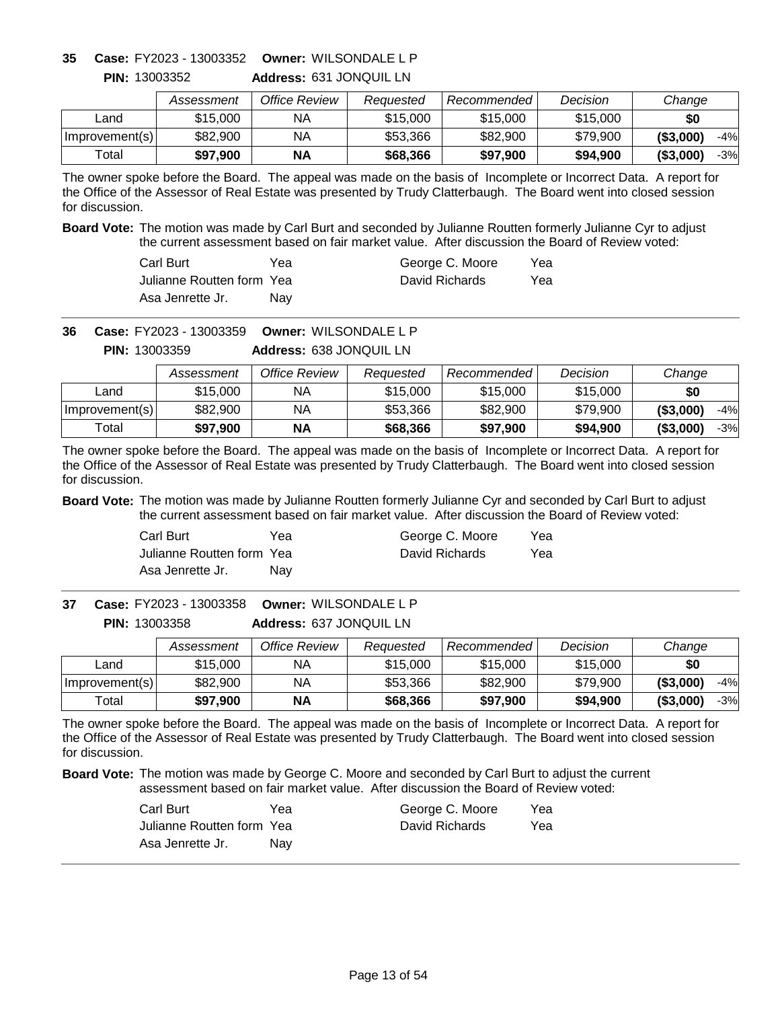**Address:** 631 JONQUIL LN **Owner:** WILSONDALE L P **35 Case:** FY2023 - 13003352

|                | Assessment | Office Review | Reauested | Recommended L | Decision | Change              |
|----------------|------------|---------------|-----------|---------------|----------|---------------------|
| ∟and           | \$15,000   | ΝA            | \$15,000  | \$15,000      | \$15,000 | \$0                 |
| Improvement(s) | \$82,900   | ΝA            | \$53,366  | \$82,900      | \$79,900 | ( \$3,000)<br>$-4%$ |
| Total          | \$97,900   | <b>NA</b>     | \$68,366  | \$97,900      | \$94,900 | ( \$3,000]<br>-3%   |

The owner spoke before the Board. The appeal was made on the basis of Incomplete or Incorrect Data. A report for the Office of the Assessor of Real Estate was presented by Trudy Clatterbaugh. The Board went into closed session for discussion.

**Board Vote:** The motion was made by Carl Burt and seconded by Julianne Routten formerly Julianne Cyr to adjust the current assessment based on fair market value. After discussion the Board of Review voted:

| Carl Burt                  | Yea | George C. Moore | Yea |
|----------------------------|-----|-----------------|-----|
| Julianne Routten form Yeal |     | David Richards  | Yea |
| Asa Jenrette Jr.           | Nav |                 |     |

**Owner:** WILSONDALE L P **36 Case:** FY2023 - 13003359

**Address:** 638 JONQUIL LN **PIN:** 13003359

|                | Assessment | Office Review | Reauested | Recommended | Decision | Change              |
|----------------|------------|---------------|-----------|-------------|----------|---------------------|
| Land           | \$15,000   | ΝA            | \$15,000  | \$15,000    | \$15,000 | \$0                 |
| Improvement(s) | \$82,900   | NA            | \$53,366  | \$82,900    | \$79.900 | ( \$3,000]<br>$-4%$ |
| Total          | \$97,900   | <b>NA</b>     | \$68,366  | \$97,900    | \$94,900 | ( \$3,000]<br>$-3%$ |

The owner spoke before the Board. The appeal was made on the basis of Incomplete or Incorrect Data. A report for the Office of the Assessor of Real Estate was presented by Trudy Clatterbaugh. The Board went into closed session for discussion.

**Board Vote:** The motion was made by Julianne Routten formerly Julianne Cyr and seconded by Carl Burt to adjust the current assessment based on fair market value. After discussion the Board of Review voted:

| Carl Burt                 | Yea | George C. Moore | Yea |
|---------------------------|-----|-----------------|-----|
| Julianne Routten form Yea |     | David Richards  | Yea |
| Asa Jenrette Jr.          | Nav |                 |     |

**Address:** 637 JONQUIL LN **Owner:** WILSONDALE L P **37 Case:** FY2023 - 13003358 **PIN:** 13003358

|                | Assessment | Office Review | Reauested | <b>Recommended</b> | Decision | Change              |
|----------------|------------|---------------|-----------|--------------------|----------|---------------------|
| _and           | \$15,000   | NA            | \$15,000  | \$15,000           | \$15,000 | \$0                 |
| Improvement(s) | \$82,900   | NА            | \$53,366  | \$82,900           | \$79,900 | ( \$3,000)<br>$-4%$ |
| Total          | \$97,900   | <b>NA</b>     | \$68,366  | \$97,900           | \$94.900 | ( \$3,000)<br>-3%   |

The owner spoke before the Board. The appeal was made on the basis of Incomplete or Incorrect Data. A report for the Office of the Assessor of Real Estate was presented by Trudy Clatterbaugh. The Board went into closed session for discussion.

| Carl Burt                 | Yea | George C. Moore | Yea |
|---------------------------|-----|-----------------|-----|
| Julianne Routten form Yea |     | David Richards  | Yea |
| Asa Jenrette Jr.          | Nav |                 |     |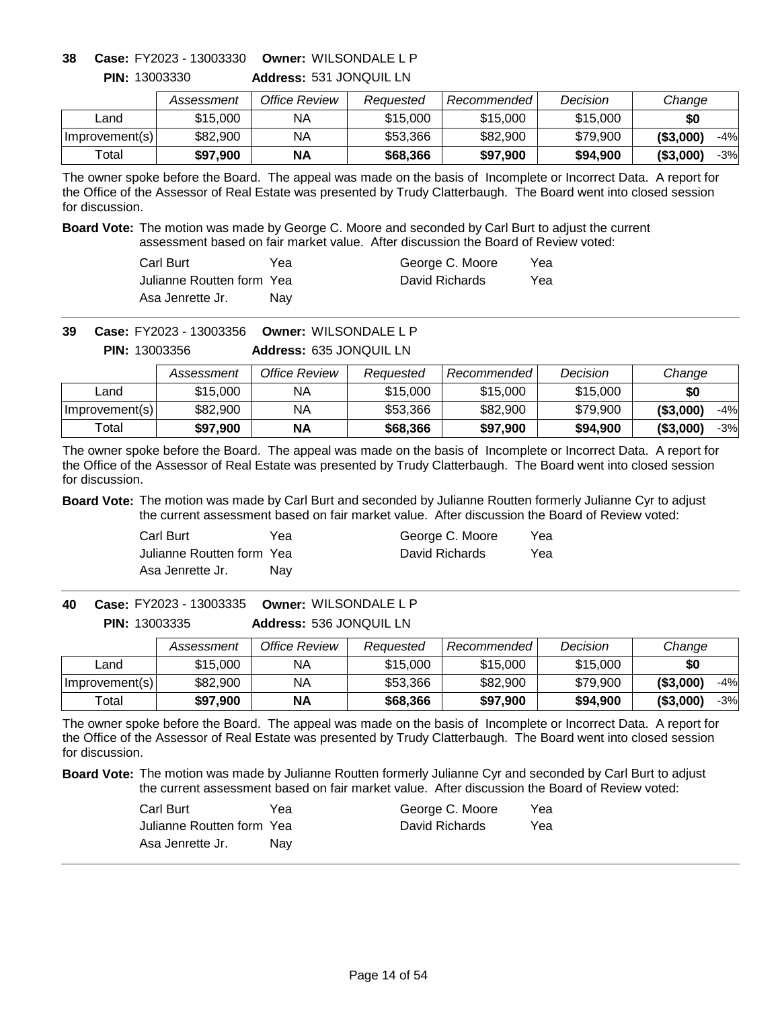# **Owner:** WILSONDALE L P **38 Case:** FY2023 - 13003330

**PIN:** 13003330

**Address:** 531 JONQUIL LN

|                | Assessment | Office Review | Reauested | Recommended | Decision | Change              |
|----------------|------------|---------------|-----------|-------------|----------|---------------------|
| ∟and           | \$15,000   | ΝA            | \$15,000  | \$15,000    | \$15,000 | \$0                 |
| Improvement(s) | \$82,900   | ΝA            | \$53,366  | \$82,900    | \$79,900 | ( \$3,000)<br>$-4%$ |
| $\tau$ otall   | \$97.900   | <b>NA</b>     | \$68,366  | \$97,900    | \$94.900 | ( \$3,000)<br>$-3%$ |

The owner spoke before the Board. The appeal was made on the basis of Incomplete or Incorrect Data. A report for the Office of the Assessor of Real Estate was presented by Trudy Clatterbaugh. The Board went into closed session for discussion.

**Board Vote:** The motion was made by George C. Moore and seconded by Carl Burt to adjust the current assessment based on fair market value. After discussion the Board of Review voted:

| Carl Burt                  | Yea        | George C. Moore | Yea |
|----------------------------|------------|-----------------|-----|
| Julianne Routten form Yeal |            | David Richards  | Yea |
| Asa Jenrette Jr.           | <b>Nav</b> |                 |     |

**Owner:** WILSONDALE L P **39 Case:** FY2023 - 13003356

**Address:** 635 JONQUIL LN **PIN:** 13003356

|                | Assessment | Office Review | Reauested | Recommended | Decision | Change              |
|----------------|------------|---------------|-----------|-------------|----------|---------------------|
| Land           | \$15,000   | NА            | \$15,000  | \$15,000    | \$15,000 | \$0                 |
| Improvement(s) | \$82,900   | ΝA            | \$53,366  | \$82,900    | \$79,900 | ( \$3,000)<br>-4%   |
| Total          | \$97,900   | ΝA            | \$68,366  | \$97.900    | \$94,900 | ( \$3,000)<br>$-3%$ |

The owner spoke before the Board. The appeal was made on the basis of Incomplete or Incorrect Data. A report for the Office of the Assessor of Real Estate was presented by Trudy Clatterbaugh. The Board went into closed session for discussion.

**Board Vote:** The motion was made by Carl Burt and seconded by Julianne Routten formerly Julianne Cyr to adjust the current assessment based on fair market value. After discussion the Board of Review voted:

| Carl Burt                 | Yea | George C. Moore | Yea |
|---------------------------|-----|-----------------|-----|
| Julianne Routten form Yea |     | David Richards  | Yea |
| Asa Jenrette Jr.          | Nav |                 |     |

**Address:** 536 JONQUIL LN **Owner:** WILSONDALE L P **40 Case:** FY2023 - 13003335 **PIN:** 13003335

|                | Assessment | Office Review | Reauested | Recommended | Decision | Change              |
|----------------|------------|---------------|-----------|-------------|----------|---------------------|
| Land           | \$15.000   | NА            | \$15,000  | \$15,000    | \$15,000 | \$0                 |
| Improvement(s) | \$82,900   | NА            | \$53,366  | \$82,900    | \$79.900 | ( \$3,000)<br>$-4%$ |
| ⊤otal          | \$97.900   | <b>NA</b>     | \$68,366  | \$97,900    | \$94.900 | ( \$3,000)<br>$-3%$ |

The owner spoke before the Board. The appeal was made on the basis of Incomplete or Incorrect Data. A report for the Office of the Assessor of Real Estate was presented by Trudy Clatterbaugh. The Board went into closed session for discussion.

| Carl Burt                 | Yea | George C. Moore | Yea |
|---------------------------|-----|-----------------|-----|
| Julianne Routten form Yea |     | David Richards  | Yea |
| Asa Jenrette Jr.          | Nav |                 |     |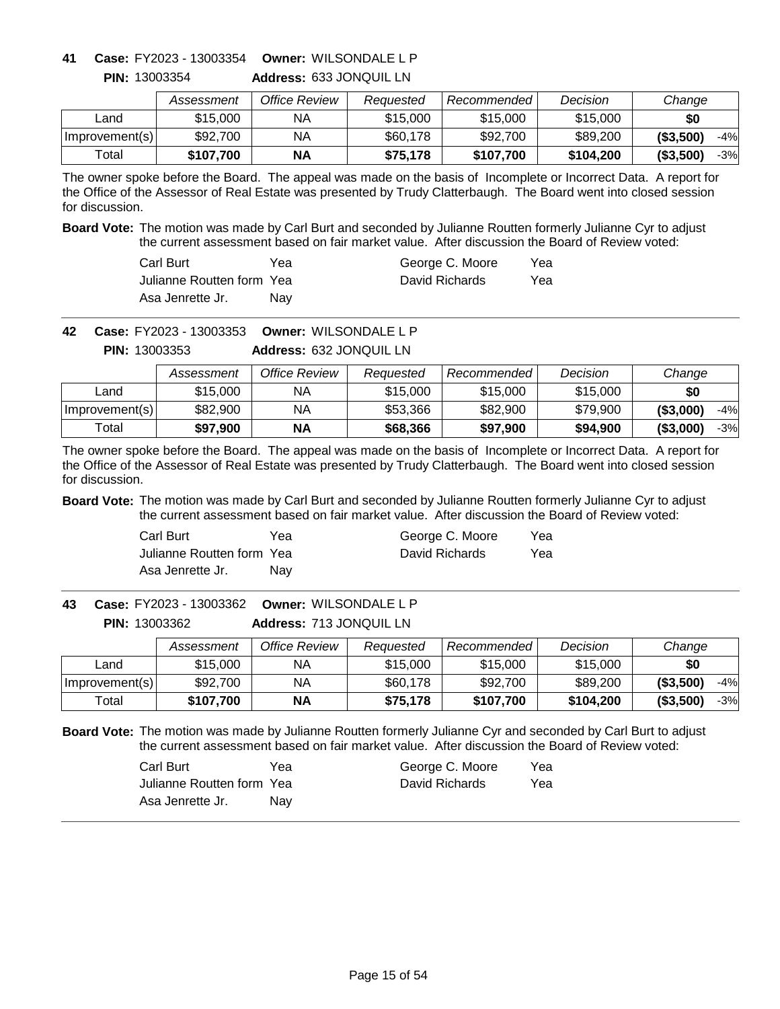**Address:** 633 JONQUIL LN **Owner:** WILSONDALE L P **41 Case:** FY2023 - 13003354

|                | Assessment | Office Review | Reauested | Recommended | Decision  | Change                   |
|----------------|------------|---------------|-----------|-------------|-----------|--------------------------|
| ∟and           | \$15,000   | ΝA            | \$15,000  | \$15,000    | \$15,000  | \$0                      |
| Improvement(s) | \$92,700   | ΝA            | \$60,178  | \$92,700    | \$89,200  | $-4%$<br>( \$3,500]      |
| Total          | \$107.700  | <b>NA</b>     | \$75,178  | \$107.700   | \$104.200 | $-3%$<br>$($ \$3,500 $)$ |

The owner spoke before the Board. The appeal was made on the basis of Incomplete or Incorrect Data. A report for the Office of the Assessor of Real Estate was presented by Trudy Clatterbaugh. The Board went into closed session for discussion.

**Board Vote:** The motion was made by Carl Burt and seconded by Julianne Routten formerly Julianne Cyr to adjust the current assessment based on fair market value. After discussion the Board of Review voted:

| Carl Burt                  | Yea | George C. Moore | Yea |
|----------------------------|-----|-----------------|-----|
| Julianne Routten form Yeal |     | David Richards  | Yea |
| Asa Jenrette Jr.           | Nav |                 |     |

**Owner:** WILSONDALE L P **42 Case:** FY2023 - 13003353

**Address:** 632 JONQUIL LN **PIN:** 13003353

|                | Assessment | Office Review | Reauested | Recommended | Decision | Change              |
|----------------|------------|---------------|-----------|-------------|----------|---------------------|
| Land           | \$15,000   | ΝA            | \$15,000  | \$15,000    | \$15,000 | \$0                 |
| Improvement(s) | \$82,900   | NA            | \$53,366  | \$82,900    | \$79.900 | ( \$3,000]<br>$-4%$ |
| Total          | \$97,900   | <b>NA</b>     | \$68,366  | \$97,900    | \$94,900 | ( \$3,000]<br>$-3%$ |

The owner spoke before the Board. The appeal was made on the basis of Incomplete or Incorrect Data. A report for the Office of the Assessor of Real Estate was presented by Trudy Clatterbaugh. The Board went into closed session for discussion.

**Board Vote:** The motion was made by Carl Burt and seconded by Julianne Routten formerly Julianne Cyr to adjust the current assessment based on fair market value. After discussion the Board of Review voted:

| Carl Burt                 | Yea | George C. Moore | Yea |
|---------------------------|-----|-----------------|-----|
| Julianne Routten form Yea |     | David Richards  | Yea |
| Asa Jenrette Jr.          | Nav |                 |     |

**Address:** 713 JONQUIL LN **Owner:** WILSONDALE L P **43 Case:** FY2023 - 13003362 **PIN:** 13003362

|                | Assessment | Office Review | Reauested | Recommended | Decision  | Change              |
|----------------|------------|---------------|-----------|-------------|-----------|---------------------|
| Land           | \$15,000   | NА            | \$15,000  | \$15,000    | \$15,000  | \$0                 |
| Improvement(s) | \$92,700   | ΝA            | \$60,178  | \$92,700    | \$89,200  | ( \$3,500)<br>$-4%$ |
| Total          | \$107,700  | <b>NA</b>     | \$75,178  | \$107,700   | \$104.200 | ( \$3,500)<br>-3%   |

| Carl Burt                  | Yea | George C. Moore | Yea |
|----------------------------|-----|-----------------|-----|
| Julianne Routten form Yeal |     | David Richards  | Yea |
| Asa Jenrette Jr.           | Nav |                 |     |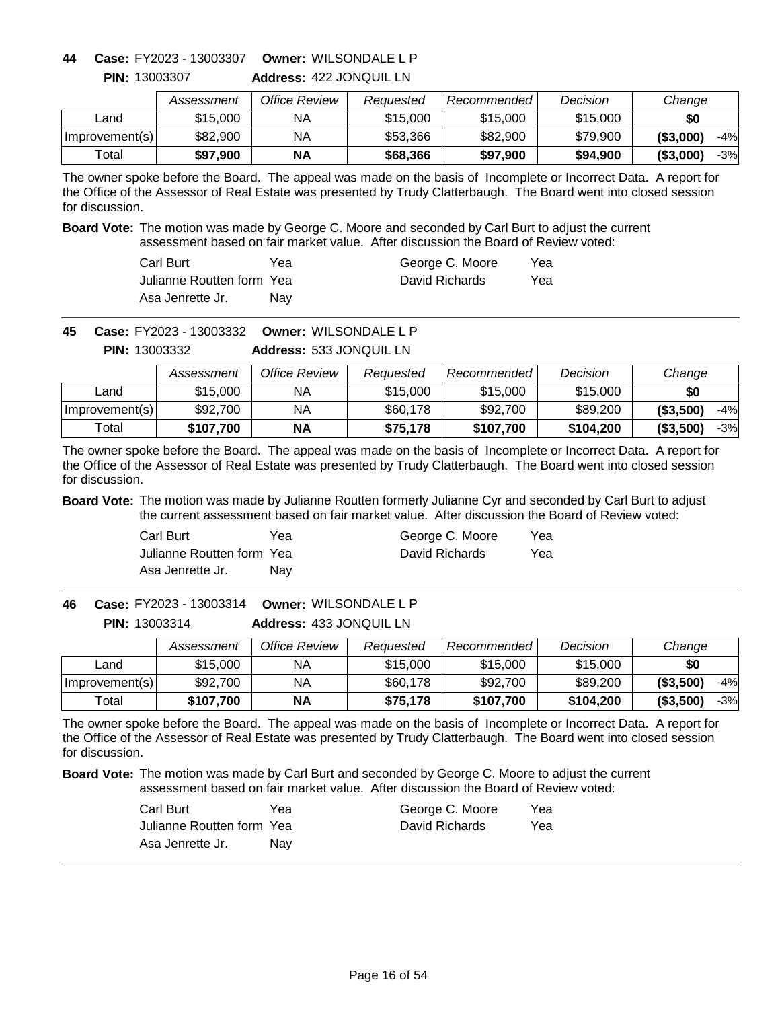**Address:** 422 JONQUIL LN **Owner:** WILSONDALE L P **44 Case:** FY2023 - 13003307

|                | Assessment | Office Review | Reauested | Recommended | Decision | Change              |
|----------------|------------|---------------|-----------|-------------|----------|---------------------|
| _and           | \$15,000   | ΝA            | \$15,000  | \$15,000    | \$15,000 | \$0                 |
| Improvement(s) | \$82,900   | ΝA            | \$53,366  | \$82,900    | \$79,900 | ( \$3,000)<br>$-4%$ |
| Total          | \$97,900   | <b>NA</b>     | \$68,366  | \$97,900    | \$94,900 | $-3%$<br>( \$3,000) |

The owner spoke before the Board. The appeal was made on the basis of Incomplete or Incorrect Data. A report for the Office of the Assessor of Real Estate was presented by Trudy Clatterbaugh. The Board went into closed session for discussion.

**Board Vote:** The motion was made by George C. Moore and seconded by Carl Burt to adjust the current assessment based on fair market value. After discussion the Board of Review voted:

| Carl Burt                  | Yea        | George C. Moore | Yea |
|----------------------------|------------|-----------------|-----|
| Julianne Routten form Yeal |            | David Richards  | Yea |
| Asa Jenrette Jr.           | <b>Nav</b> |                 |     |

**Owner:** WILSONDALE L P **45 Case:** FY2023 - 13003332

**Address:** 533 JONQUIL LN **PIN:** 13003332

|                | Assessment | Office Review | Reauested | Recommended | Decision  | Change              |
|----------------|------------|---------------|-----------|-------------|-----------|---------------------|
| Land           | \$15,000   | ΝA            | \$15,000  | \$15,000    | \$15,000  | \$0                 |
| Improvement(s) | \$92,700   | NA            | \$60,178  | \$92,700    | \$89,200  | ( \$3,500)<br>$-4%$ |
| Total          | \$107.700  | <b>NA</b>     | \$75.178  | \$107,700   | \$104,200 | (\$3,500)<br>$-3%$  |

The owner spoke before the Board. The appeal was made on the basis of Incomplete or Incorrect Data. A report for the Office of the Assessor of Real Estate was presented by Trudy Clatterbaugh. The Board went into closed session for discussion.

**Board Vote:** The motion was made by Julianne Routten formerly Julianne Cyr and seconded by Carl Burt to adjust the current assessment based on fair market value. After discussion the Board of Review voted:

| Carl Burt                 | Yea | George C. Moore | Yea |
|---------------------------|-----|-----------------|-----|
| Julianne Routten form Yea |     | David Richards  | Yea |
| Asa Jenrette Jr.          | Nav |                 |     |

**Address:** 433 JONQUIL LN **Owner:** WILSONDALE L P **46 Case:** FY2023 - 13003314 **PIN:** 13003314

|                | Assessment | Office Review | Reauested | Recommended | Decision  | Change            |
|----------------|------------|---------------|-----------|-------------|-----------|-------------------|
| Land           | \$15,000   | ΝA            | \$15,000  | \$15,000    | \$15,000  | \$0               |
| Improvement(s) | \$92,700   | NA            | \$60,178  | \$92,700    | \$89,200  | ( \$3,500)<br>-4% |
| Total          | \$107,700  | <b>NA</b>     | \$75,178  | \$107.700   | \$104.200 | ( \$3,500)<br>-3% |

The owner spoke before the Board. The appeal was made on the basis of Incomplete or Incorrect Data. A report for the Office of the Assessor of Real Estate was presented by Trudy Clatterbaugh. The Board went into closed session for discussion.

| Carl Burt                 | Yea | George C. Moore | Yea |
|---------------------------|-----|-----------------|-----|
| Julianne Routten form Yea |     | David Richards  | Yea |
| Asa Jenrette Jr.          | Nav |                 |     |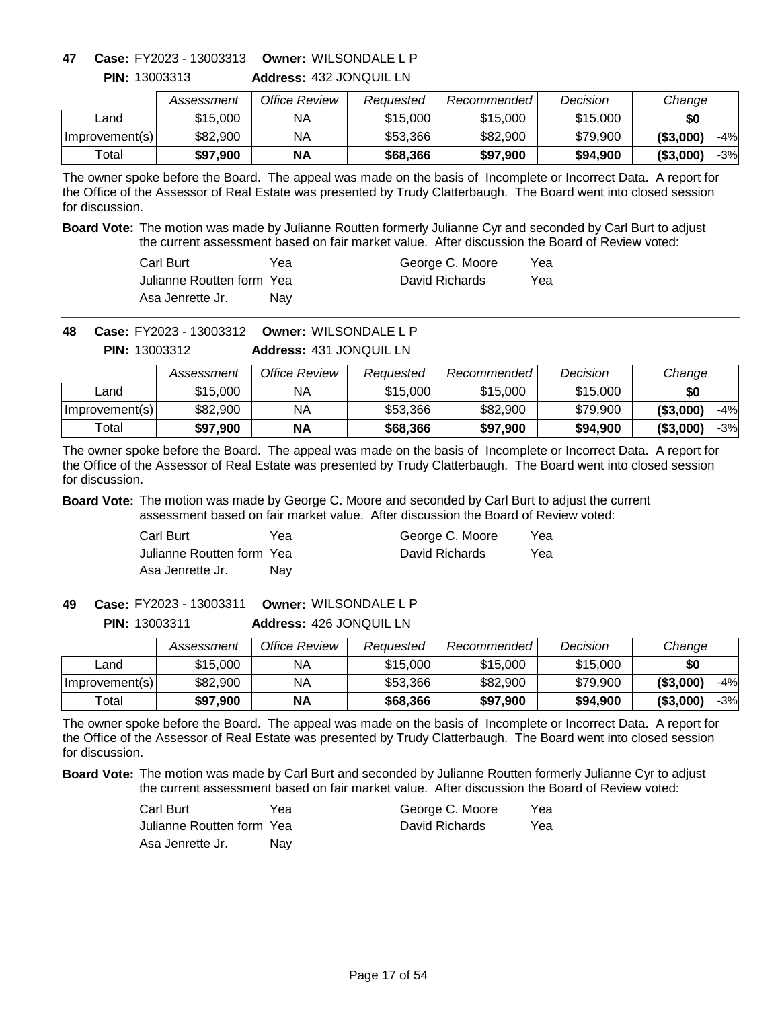# **Owner:** WILSONDALE L P **47 Case:** FY2023 - 13003313

**PIN:** 13003313

| <b>Address: 432 JONQUIL LN</b> |
|--------------------------------|
|--------------------------------|

|                | Assessment | Office Review | Reauested | <b>Recommended</b> | Decision | Change            |
|----------------|------------|---------------|-----------|--------------------|----------|-------------------|
| _and           | \$15,000   | NА            | \$15,000  | \$15,000           | \$15,000 | \$0               |
| Improvement(s) | \$82,900   | ΝA            | \$53,366  | \$82,900           | \$79.900 | ( \$3,000)<br>-4% |
| Total          | \$97,900   | <b>NA</b>     | \$68,366  | \$97,900           | \$94.900 | ( \$3,000)<br>-3% |

The owner spoke before the Board. The appeal was made on the basis of Incomplete or Incorrect Data. A report for the Office of the Assessor of Real Estate was presented by Trudy Clatterbaugh. The Board went into closed session for discussion.

**Board Vote:** The motion was made by Julianne Routten formerly Julianne Cyr and seconded by Carl Burt to adjust the current assessment based on fair market value. After discussion the Board of Review voted:

| Carl Burt                  | Yea | George C. Moore | Yea |
|----------------------------|-----|-----------------|-----|
| Julianne Routten form Yeal |     | David Richards  | Yea |
| Asa Jenrette Jr.           | Nav |                 |     |

**Owner:** WILSONDALE L P **48 Case:** FY2023 - 13003312

**Address:** 431 JONQUIL LN **PIN:** 13003312

|                | Assessment | Office Review | Reauested | Recommended | Decision | Change              |
|----------------|------------|---------------|-----------|-------------|----------|---------------------|
| Land           | \$15,000   | ΝA            | \$15,000  | \$15,000    | \$15,000 | \$0                 |
| Improvement(s) | \$82,900   | NA            | \$53,366  | \$82,900    | \$79.900 | ( \$3,000]<br>$-4%$ |
| Total          | \$97,900   | <b>NA</b>     | \$68,366  | \$97,900    | \$94,900 | ( \$3,000]<br>$-3%$ |

The owner spoke before the Board. The appeal was made on the basis of Incomplete or Incorrect Data. A report for the Office of the Assessor of Real Estate was presented by Trudy Clatterbaugh. The Board went into closed session for discussion.

**Board Vote:** The motion was made by George C. Moore and seconded by Carl Burt to adjust the current assessment based on fair market value. After discussion the Board of Review voted:

| Carl Burt                 | Yea | George C. Moore | Yea |
|---------------------------|-----|-----------------|-----|
| Julianne Routten form Yea |     | David Richards  | Yea |
| Asa Jenrette Jr.          | Nav |                 |     |

**Address:** 426 JONQUIL LN **Owner:** WILSONDALE L P **49 Case:** FY2023 - 13003311 **PIN:** 13003311

|                  | Assessment | Office Review | Reauested | Recommended | Decision | Change              |
|------------------|------------|---------------|-----------|-------------|----------|---------------------|
| Land             | \$15,000   | ΝA            | \$15,000  | \$15,000    | \$15,000 | \$0                 |
| Improvement(s)   | \$82,900   | ΝA            | \$53,366  | \$82,900    | \$79,900 | (\$3,000)<br>$-4%$  |
| $\mathsf{Total}$ | \$97,900   | ΝA            | \$68,366  | \$97,900    | \$94,900 | ( \$3,000]<br>$-3%$ |

The owner spoke before the Board. The appeal was made on the basis of Incomplete or Incorrect Data. A report for the Office of the Assessor of Real Estate was presented by Trudy Clatterbaugh. The Board went into closed session for discussion.

| Carl Burt                 | Yea | George C. Moore | Yea |
|---------------------------|-----|-----------------|-----|
| Julianne Routten form Yea |     | David Richards  | Yea |
| Asa Jenrette Jr.          | Nav |                 |     |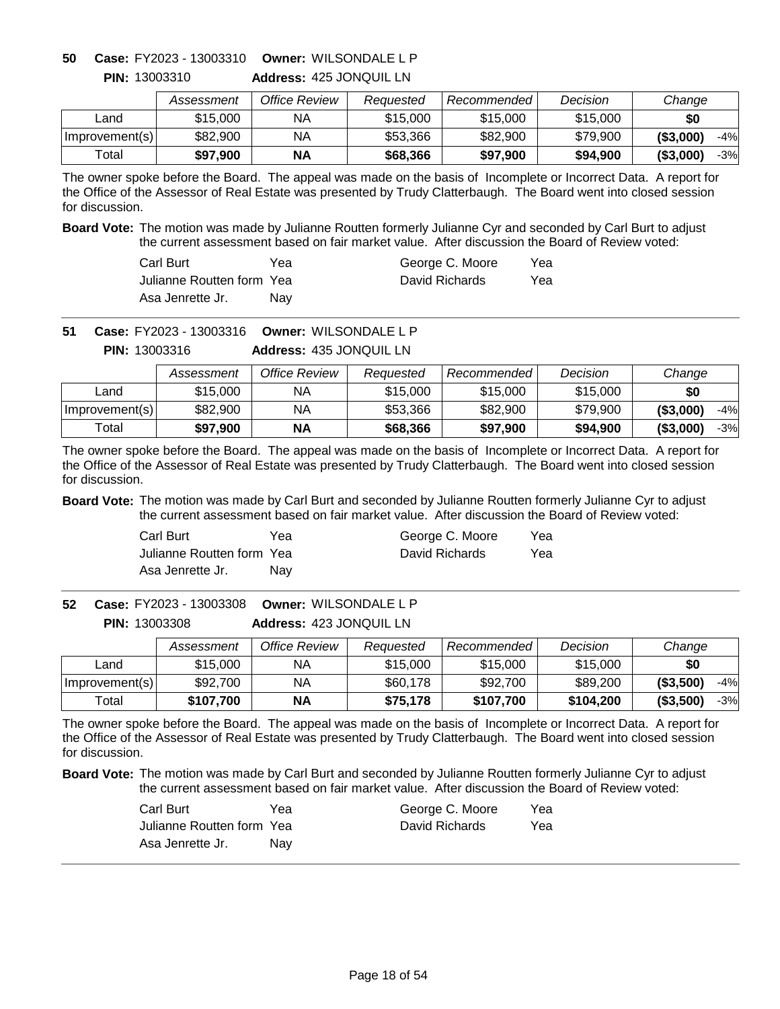# **Owner:** WILSONDALE L P **50 Case:** FY2023 - 13003310

**PIN:** 13003310

**Address:** 425 JONQUIL LN

|                | Assessment | Office Review | Reauested | Recommended | Decision | Change              |
|----------------|------------|---------------|-----------|-------------|----------|---------------------|
| Land           | \$15,000   | ΝA            | \$15,000  | \$15,000    | \$15,000 | \$0                 |
| Improvement(s) | \$82,900   | NA            | \$53.366  | \$82,900    | \$79,900 | ( \$3,000)<br>$-4%$ |
| ™otal          | \$97.900   | ΝA            | \$68,366  | \$97,900    | \$94,900 | (S3,000)<br>$-3%$   |

The owner spoke before the Board. The appeal was made on the basis of Incomplete or Incorrect Data. A report for the Office of the Assessor of Real Estate was presented by Trudy Clatterbaugh. The Board went into closed session for discussion.

**Board Vote:** The motion was made by Julianne Routten formerly Julianne Cyr and seconded by Carl Burt to adjust the current assessment based on fair market value. After discussion the Board of Review voted:

| Carl Burt                  | Yea | George C. Moore | Yea |
|----------------------------|-----|-----------------|-----|
| Julianne Routten form Yeal |     | David Richards  | Yea |
| Asa Jenrette Jr.           | Nav |                 |     |

**Owner:** WILSONDALE L P **51 Case:** FY2023 - 13003316

**Address:** 435 JONQUIL LN **PIN:** 13003316

|                | Assessment | Office Review | Reauested | Recommended | Decision | Change              |
|----------------|------------|---------------|-----------|-------------|----------|---------------------|
| Land           | \$15,000   | NA.           | \$15,000  | \$15,000    | \$15,000 | \$0                 |
| Improvement(s) | \$82,900   | NΑ            | \$53,366  | \$82,900    | \$79,900 | ( \$3,000]<br>$-4%$ |
| Total          | \$97.900   | <b>NA</b>     | \$68,366  | \$97,900    | \$94,900 | (\$3,000"<br>$-3%$  |

The owner spoke before the Board. The appeal was made on the basis of Incomplete or Incorrect Data. A report for the Office of the Assessor of Real Estate was presented by Trudy Clatterbaugh. The Board went into closed session for discussion.

**Board Vote:** The motion was made by Carl Burt and seconded by Julianne Routten formerly Julianne Cyr to adjust the current assessment based on fair market value. After discussion the Board of Review voted:

| Carl Burt                 | Yea | George C. Moore | Yea |
|---------------------------|-----|-----------------|-----|
| Julianne Routten form Yea |     | David Richards  | Yea |
| Asa Jenrette Jr.          | Nav |                 |     |

**Address:** 423 JONQUIL LN **Owner:** WILSONDALE L P **52 Case:** FY2023 - 13003308 **PIN:** 13003308

|                | Assessment | Office Review | Reauested | Recommended | Decision  | Change              |
|----------------|------------|---------------|-----------|-------------|-----------|---------------------|
| Land           | \$15,000   | NА            | \$15,000  | \$15,000    | \$15,000  | \$0                 |
| Improvement(s) | \$92,700   | ΝA            | \$60,178  | \$92,700    | \$89,200  | ( \$3,500)<br>$-4%$ |
| Total          | \$107,700  | <b>NA</b>     | \$75,178  | \$107,700   | \$104.200 | ( \$3,500)<br>$-3%$ |

The owner spoke before the Board. The appeal was made on the basis of Incomplete or Incorrect Data. A report for the Office of the Assessor of Real Estate was presented by Trudy Clatterbaugh. The Board went into closed session for discussion.

| Carl Burt                 | Yea | George C. Moore | Yea |
|---------------------------|-----|-----------------|-----|
| Julianne Routten form Yea |     | David Richards  | Yea |
| Asa Jenrette Jr.          | Nav |                 |     |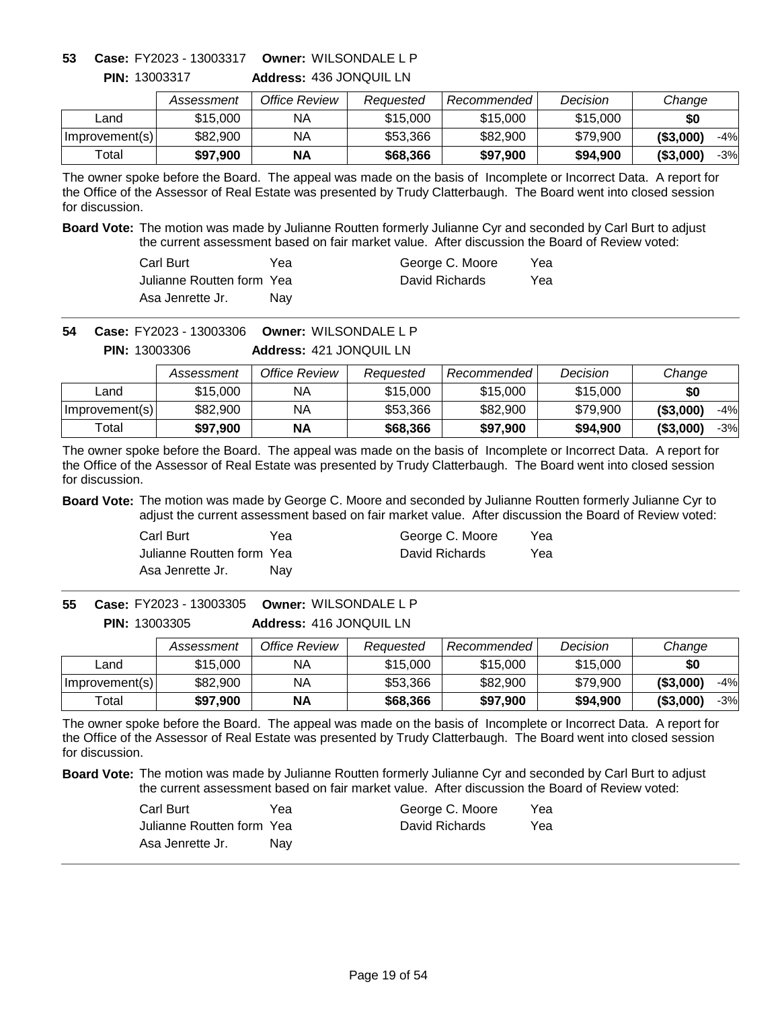### **Owner:** WILSONDALE L P **53 Case:** FY2023 - 13003317

**PIN:** 13003317

**Address:** 436 JONQUIL LN

|                | Assessment | Office Review | Reauested | Recommended | Decision | Change              |
|----------------|------------|---------------|-----------|-------------|----------|---------------------|
| Land           | \$15,000   | ΝA            | \$15,000  | \$15,000    | \$15,000 | \$0                 |
| Improvement(s) | \$82,900   | NA            | \$53.366  | \$82,900    | \$79,900 | ( \$3,000)<br>$-4%$ |
| Total          | \$97.900   | NΑ            | \$68,366  | \$97.900    | \$94.900 | ( \$3,000]<br>$-3%$ |

The owner spoke before the Board. The appeal was made on the basis of Incomplete or Incorrect Data. A report for the Office of the Assessor of Real Estate was presented by Trudy Clatterbaugh. The Board went into closed session for discussion.

**Board Vote:** The motion was made by Julianne Routten formerly Julianne Cyr and seconded by Carl Burt to adjust the current assessment based on fair market value. After discussion the Board of Review voted:

| Carl Burt                  | Yea | George C. Moore | Yea |
|----------------------------|-----|-----------------|-----|
| Julianne Routten form Yeal |     | David Richards  | Yea |
| Asa Jenrette Jr.           | Nav |                 |     |

**Owner:** WILSONDALE L P **54 Case:** FY2023 - 13003306

**Address:** 421 JONQUIL LN **PIN:** 13003306

|                | Assessment | Office Review | Reauested | Recommended | Decision | Change              |
|----------------|------------|---------------|-----------|-------------|----------|---------------------|
| Land           | \$15,000   | ΝA            | \$15,000  | \$15,000    | \$15,000 | \$0                 |
| Improvement(s) | \$82,900   | NA            | \$53,366  | \$82,900    | \$79.900 | ( \$3,000)<br>$-4%$ |
| Total          | \$97,900   | <b>NA</b>     | \$68,366  | \$97,900    | \$94.900 | ( \$3,000]<br>$-3%$ |

The owner spoke before the Board. The appeal was made on the basis of Incomplete or Incorrect Data. A report for the Office of the Assessor of Real Estate was presented by Trudy Clatterbaugh. The Board went into closed session for discussion.

**Board Vote:** The motion was made by George C. Moore and seconded by Julianne Routten formerly Julianne Cyr to adjust the current assessment based on fair market value. After discussion the Board of Review voted:

| Carl Burt                 | Yea | George C. Moore | Yea |
|---------------------------|-----|-----------------|-----|
| Julianne Routten form Yea |     | David Richards  | Yea |
| Asa Jenrette Jr.          | Nav |                 |     |

**Address:** 416 JONQUIL LN **Owner:** WILSONDALE L P **55 Case:** FY2023 - 13003305 **PIN:** 13003305

|                | Assessment | Office Review | Reauested | Recommended | Decision | Change              |
|----------------|------------|---------------|-----------|-------------|----------|---------------------|
| ∟and           | \$15,000   | NА            | \$15,000  | \$15,000    | \$15,000 | \$0                 |
| Improvement(s) | \$82,900   | NA            | \$53,366  | \$82,900    | \$79.900 | ( \$3,000)<br>$-4%$ |
| Total          | \$97,900   | <b>NA</b>     | \$68,366  | \$97,900    | \$94,900 | ( \$3,000)<br>$-3%$ |

The owner spoke before the Board. The appeal was made on the basis of Incomplete or Incorrect Data. A report for the Office of the Assessor of Real Estate was presented by Trudy Clatterbaugh. The Board went into closed session for discussion.

| Carl Burt                 | Yea | George C. Moore | Yea |
|---------------------------|-----|-----------------|-----|
| Julianne Routten form Yea |     | David Richards  | Yea |
| Asa Jenrette Jr.          | Nav |                 |     |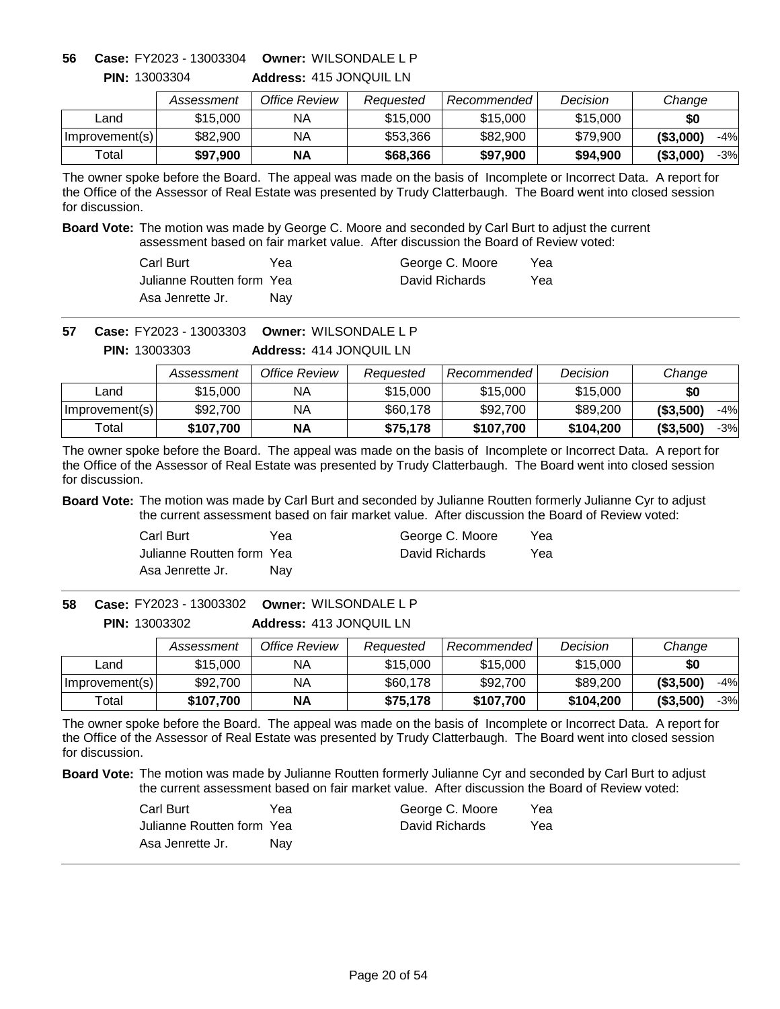**Address:** 415 JONQUIL LN **Owner:** WILSONDALE L P **56 Case:** FY2023 - 13003304

|                | Assessment | Office Review | Reauested | Recommended l | Decision | Change              |
|----------------|------------|---------------|-----------|---------------|----------|---------------------|
| ∟and           | \$15,000   | ΝA            | \$15,000  | \$15,000      | \$15,000 | \$0                 |
| Improvement(s) | \$82,900   | ΝA            | \$53,366  | \$82,900      | \$79,900 | ( \$3,000)<br>$-4%$ |
| $\tau$ otal    | \$97,900   | <b>NA</b>     | \$68,366  | \$97.900      | \$94,900 | ( \$3,000]<br>$-3%$ |

The owner spoke before the Board. The appeal was made on the basis of Incomplete or Incorrect Data. A report for the Office of the Assessor of Real Estate was presented by Trudy Clatterbaugh. The Board went into closed session for discussion.

**Board Vote:** The motion was made by George C. Moore and seconded by Carl Burt to adjust the current assessment based on fair market value. After discussion the Board of Review voted:

| Carl Burt                  | Yea        | George C. Moore | Yea |
|----------------------------|------------|-----------------|-----|
| Julianne Routten form Yeal |            | David Richards  | Yea |
| Asa Jenrette Jr.           | <b>Nav</b> |                 |     |

**Owner:** WILSONDALE L P **57 Case:** FY2023 - 13003303

**Address:** 414 JONQUIL LN **PIN:** 13003303

|                | Assessment | Office Review | Reauested | Recommended | Decision  | Change              |
|----------------|------------|---------------|-----------|-------------|-----------|---------------------|
| Land           | \$15,000   | ΝA            | \$15,000  | \$15,000    | \$15,000  | \$0                 |
| Improvement(s) | \$92,700   | ΝA            | \$60,178  | \$92,700    | \$89,200  | ( \$3,500)<br>$-4%$ |
| Total          | \$107.700  | <b>NA</b>     | \$75.178  | \$107,700   | \$104,200 | (\$3,500)<br>$-3%$  |

The owner spoke before the Board. The appeal was made on the basis of Incomplete or Incorrect Data. A report for the Office of the Assessor of Real Estate was presented by Trudy Clatterbaugh. The Board went into closed session for discussion.

**Board Vote:** The motion was made by Carl Burt and seconded by Julianne Routten formerly Julianne Cyr to adjust the current assessment based on fair market value. After discussion the Board of Review voted:

| Carl Burt                 | Yea | George C. Moore | Yea |
|---------------------------|-----|-----------------|-----|
| Julianne Routten form Yea |     | David Richards  | Yea |
| Asa Jenrette Jr.          | Nav |                 |     |

**Address:** 413 JONQUIL LN **Owner:** WILSONDALE L P **58 Case:** FY2023 - 13003302 **PIN:** 13003302

|                | Assessment | Office Review | Reauested | Recommended | Decision  | Change              |
|----------------|------------|---------------|-----------|-------------|-----------|---------------------|
| Land           | \$15,000   | NА            | \$15,000  | \$15,000    | \$15,000  | \$0                 |
| Improvement(s) | \$92,700   | NА            | \$60,178  | \$92,700    | \$89,200  | ( \$3,500)<br>$-4%$ |
| Total          | \$107.700  | <b>NA</b>     | \$75,178  | \$107,700   | \$104.200 | ( \$3,500)<br>$-3%$ |

The owner spoke before the Board. The appeal was made on the basis of Incomplete or Incorrect Data. A report for the Office of the Assessor of Real Estate was presented by Trudy Clatterbaugh. The Board went into closed session for discussion.

| Carl Burt                 | Yea | George C. Moore | Yea |
|---------------------------|-----|-----------------|-----|
| Julianne Routten form Yea |     | David Richards  | Yea |
| Asa Jenrette Jr.          | Nav |                 |     |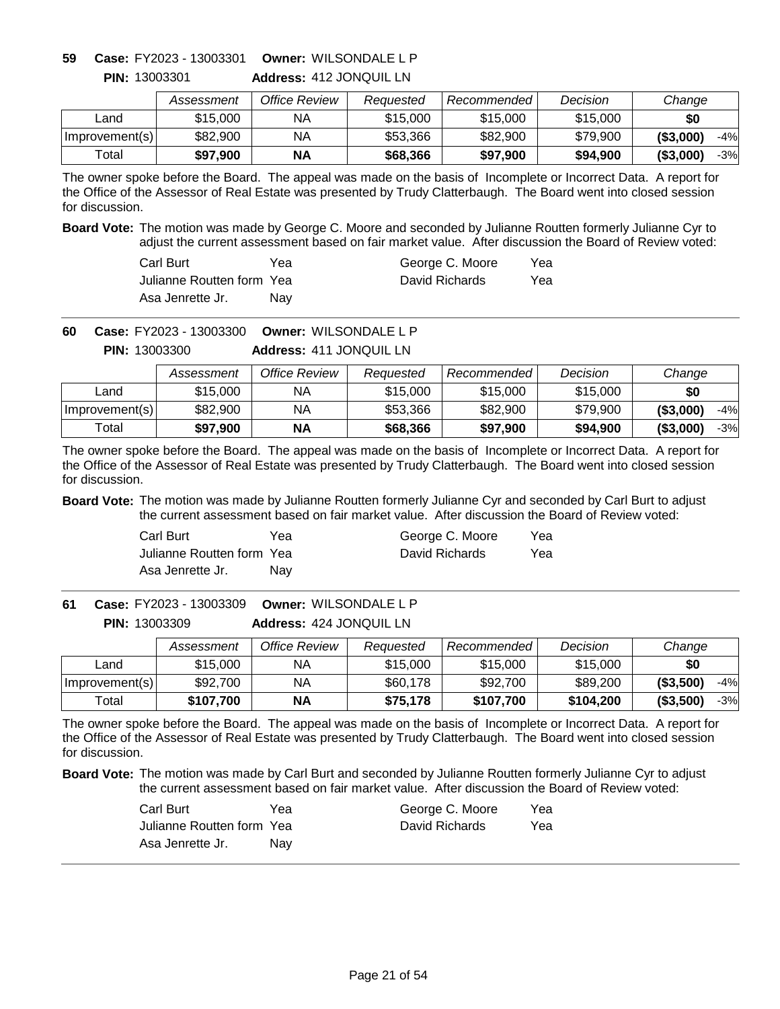**Address:** 412 JONQUIL LN **Owner:** WILSONDALE L P **59 Case:** FY2023 - 13003301

|                | Assessment | Office Review | Reauested | Recommended | Decision | Change              |
|----------------|------------|---------------|-----------|-------------|----------|---------------------|
| _and           | \$15,000   | ΝA            | \$15,000  | \$15,000    | \$15,000 | \$0                 |
| Improvement(s) | \$82,900   | ΝA            | \$53,366  | \$82,900    | \$79,900 | $-4%$<br>( \$3,000) |
| Total          | \$97,900   | ΝA            | \$68,366  | \$97.900    | \$94,900 | $-3%$<br>( \$3,000) |

The owner spoke before the Board. The appeal was made on the basis of Incomplete or Incorrect Data. A report for the Office of the Assessor of Real Estate was presented by Trudy Clatterbaugh. The Board went into closed session for discussion.

**Board Vote:** The motion was made by George C. Moore and seconded by Julianne Routten formerly Julianne Cyr to adjust the current assessment based on fair market value. After discussion the Board of Review voted:

| Carl Burt                  | Yea | George C. Moore | Yea |
|----------------------------|-----|-----------------|-----|
| Julianne Routten form Yeal |     | David Richards  | Yea |
| Asa Jenrette Jr.           | Nav |                 |     |

**Owner:** WILSONDALE L P **60 Case:** FY2023 - 13003300

> **Address:** 411 JONQUIL LN **PIN:** 13003300

|                | Assessment | Office Review | Reauested | Recommended | Decision | Change              |
|----------------|------------|---------------|-----------|-------------|----------|---------------------|
| Land           | \$15,000   | ΝA            | \$15,000  | \$15,000    | \$15,000 | \$0                 |
| Improvement(s) | \$82,900   | NA            | \$53,366  | \$82,900    | \$79.900 | ( \$3,000]<br>$-4%$ |
| Total          | \$97,900   | <b>NA</b>     | \$68,366  | \$97,900    | \$94,900 | ( \$3,000]<br>$-3%$ |

The owner spoke before the Board. The appeal was made on the basis of Incomplete or Incorrect Data. A report for the Office of the Assessor of Real Estate was presented by Trudy Clatterbaugh. The Board went into closed session for discussion.

**Board Vote:** The motion was made by Julianne Routten formerly Julianne Cyr and seconded by Carl Burt to adjust the current assessment based on fair market value. After discussion the Board of Review voted:

| Carl Burt                 | Yea | George C. Moore | Yea |
|---------------------------|-----|-----------------|-----|
| Julianne Routten form Yea |     | David Richards  | Yea |
| Asa Jenrette Jr.          | Nav |                 |     |

**Address:** 424 JONQUIL LN **Owner:** WILSONDALE L P **61 Case:** FY2023 - 13003309 **PIN:** 13003309

|                | Assessment | Office Review | Reauested | Recommended <b>R</b> | Decision  | Change             |
|----------------|------------|---------------|-----------|----------------------|-----------|--------------------|
| Land           | \$15,000   | ΝA            | \$15,000  | \$15,000             | \$15,000  | \$0                |
| Improvement(s) | \$92,700   | NA            | \$60,178  | \$92,700             | \$89,200  | (\$3,500)<br>$-4%$ |
| Total          | \$107,700  | <b>NA</b>     | \$75,178  | \$107,700            | \$104,200 | (\$3,500)<br>$-3%$ |

The owner spoke before the Board. The appeal was made on the basis of Incomplete or Incorrect Data. A report for the Office of the Assessor of Real Estate was presented by Trudy Clatterbaugh. The Board went into closed session for discussion.

| Carl Burt                 | Yea | George C. Moore | Yea |
|---------------------------|-----|-----------------|-----|
| Julianne Routten form Yea |     | David Richards  | Yea |
| Asa Jenrette Jr.          | Nav |                 |     |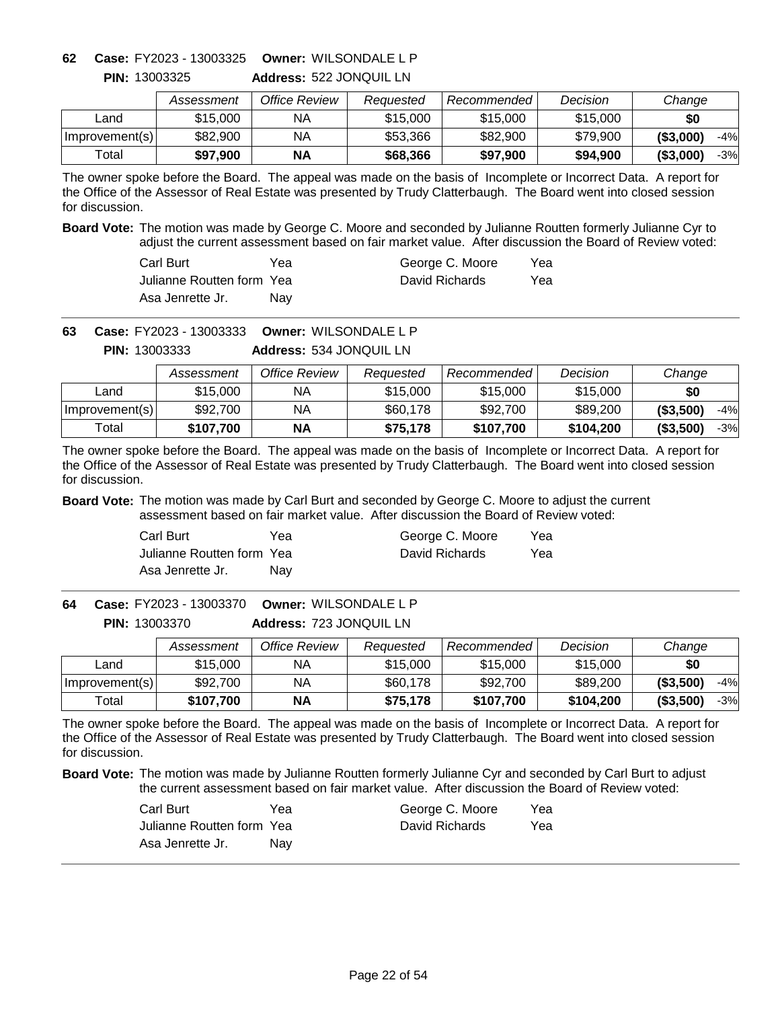**Address:** 522 JONQUIL LN **Owner:** WILSONDALE L P **62 Case:** FY2023 - 13003325

|                | Assessment | Office Review | Reauested | Recommended | Decision | Change              |
|----------------|------------|---------------|-----------|-------------|----------|---------------------|
| ∟and           | \$15,000   | ΝA            | \$15,000  | \$15,000    | \$15,000 | \$0                 |
| Improvement(s) | \$82,900   | ΝA            | \$53,366  | \$82,900    | \$79,900 | ( \$3,000)<br>$-4%$ |
| Total          | \$97,900   | <b>NA</b>     | \$68,366  | \$97,900    | \$94,900 | ( \$3,000]<br>-3%   |

The owner spoke before the Board. The appeal was made on the basis of Incomplete or Incorrect Data. A report for the Office of the Assessor of Real Estate was presented by Trudy Clatterbaugh. The Board went into closed session for discussion.

**Board Vote:** The motion was made by George C. Moore and seconded by Julianne Routten formerly Julianne Cyr to adjust the current assessment based on fair market value. After discussion the Board of Review voted:

| Carl Burt                  | Yea | George C. Moore | Yea |
|----------------------------|-----|-----------------|-----|
| Julianne Routten form Yeal |     | David Richards  | Yea |
| Asa Jenrette Jr.           | Nav |                 |     |

**Owner:** WILSONDALE L P **63 Case:** FY2023 - 13003333

**Address:** 534 JONQUIL LN **PIN:** 13003333

|                | Assessment | Office Review | Reauested | Recommended | Decision  | Change              |
|----------------|------------|---------------|-----------|-------------|-----------|---------------------|
| Land           | \$15,000   | ΝA            | \$15,000  | \$15,000    | \$15,000  | \$0                 |
| Improvement(s) | \$92,700   | ΝA            | \$60,178  | \$92,700    | \$89,200  | ( \$3,500)<br>$-4%$ |
| Total          | \$107.700  | <b>NA</b>     | \$75,178  | \$107.700   | \$104.200 | (\$3,500)<br>$-3%$  |

The owner spoke before the Board. The appeal was made on the basis of Incomplete or Incorrect Data. A report for the Office of the Assessor of Real Estate was presented by Trudy Clatterbaugh. The Board went into closed session for discussion.

**Board Vote:** The motion was made by Carl Burt and seconded by George C. Moore to adjust the current assessment based on fair market value. After discussion the Board of Review voted:

| Carl Burt                 | Yea | George C. Moore | Yea |
|---------------------------|-----|-----------------|-----|
| Julianne Routten form Yea |     | David Richards  | Yea |
| Asa Jenrette Jr.          | Nav |                 |     |

**Address:** 723 JONQUIL LN **Owner:** WILSONDALE L P **64 Case:** FY2023 - 13003370 **PIN:** 13003370

|                | Assessment | Office Review | Reauested | Recommended | Decision  | Change            |
|----------------|------------|---------------|-----------|-------------|-----------|-------------------|
| Land           | \$15,000   | NA            | \$15,000  | \$15,000    | \$15,000  | \$0               |
| Improvement(s) | \$92,700   | NA            | \$60,178  | \$92,700    | \$89,200  | ( \$3,500)<br>-4% |
| Total          | \$107,700  | <b>NA</b>     | \$75,178  | \$107.700   | \$104,200 | ( \$3,500)<br>-3% |

The owner spoke before the Board. The appeal was made on the basis of Incomplete or Incorrect Data. A report for the Office of the Assessor of Real Estate was presented by Trudy Clatterbaugh. The Board went into closed session for discussion.

| Carl Burt                 | Yea | George C. Moore | Yea |
|---------------------------|-----|-----------------|-----|
| Julianne Routten form Yea |     | David Richards  | Yea |
| Asa Jenrette Jr.          | Nav |                 |     |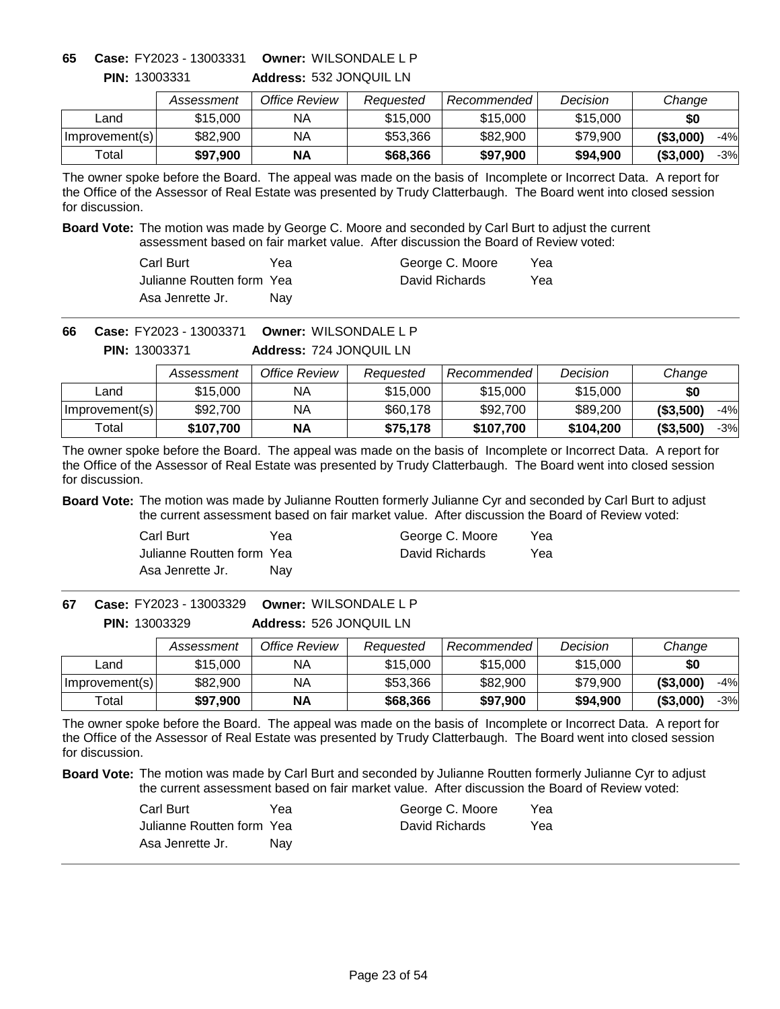**Address:** 532 JONQUIL LN **Owner:** WILSONDALE L P **65 Case:** FY2023 - 13003331

|                | Assessment | Office Review | Reauested | Recommended L | Decision | Change              |
|----------------|------------|---------------|-----------|---------------|----------|---------------------|
| ∟and           | \$15,000   | ΝA            | \$15,000  | \$15,000      | \$15,000 | \$0                 |
| Improvement(s) | \$82,900   | ΝA            | \$53,366  | \$82,900      | \$79,900 | ( \$3,000)<br>$-4%$ |
| Total          | \$97,900   | <b>NA</b>     | \$68,366  | \$97,900      | \$94,900 | ( \$3,000]<br>-3%   |

The owner spoke before the Board. The appeal was made on the basis of Incomplete or Incorrect Data. A report for the Office of the Assessor of Real Estate was presented by Trudy Clatterbaugh. The Board went into closed session for discussion.

**Board Vote:** The motion was made by George C. Moore and seconded by Carl Burt to adjust the current assessment based on fair market value. After discussion the Board of Review voted:

| Carl Burt                  | Yea        | George C. Moore | Yea |
|----------------------------|------------|-----------------|-----|
| Julianne Routten form Yeal |            | David Richards  | Yea |
| Asa Jenrette Jr.           | <b>Nav</b> |                 |     |

**Owner:** WILSONDALE L P **66 Case:** FY2023 - 13003371

> **Address:** 724 JONQUIL LN **PIN:** 13003371

|                | Assessment | Office Review | Reauested | Recommended | Decision  | Change              |
|----------------|------------|---------------|-----------|-------------|-----------|---------------------|
| Land           | \$15,000   | ΝA            | \$15,000  | \$15,000    | \$15,000  | \$0                 |
| Improvement(s) | \$92,700   | ΝA            | \$60,178  | \$92,700    | \$89,200  | ( \$3,500)<br>$-4%$ |
| Total          | \$107.700  | ΝA            | \$75.178  | \$107,700   | \$104,200 | ( \$3,500)<br>$-3%$ |

The owner spoke before the Board. The appeal was made on the basis of Incomplete or Incorrect Data. A report for the Office of the Assessor of Real Estate was presented by Trudy Clatterbaugh. The Board went into closed session for discussion.

**Board Vote:** The motion was made by Julianne Routten formerly Julianne Cyr and seconded by Carl Burt to adjust the current assessment based on fair market value. After discussion the Board of Review voted:

| Carl Burt                 | Yea | George C. Moore | Yea |
|---------------------------|-----|-----------------|-----|
| Julianne Routten form Yea |     | David Richards  | Yea |
| Asa Jenrette Jr.          | Nav |                 |     |

**Address:** 526 JONQUIL LN **Owner:** WILSONDALE L P **67 Case:** FY2023 - 13003329 **PIN:** 13003329

|                | Assessment | Office Review | Reauested | Recommended | Decision | Change            |
|----------------|------------|---------------|-----------|-------------|----------|-------------------|
| _and           | \$15,000   | NА            | \$15,000  | \$15,000    | \$15,000 | \$0               |
| Improvement(s) | \$82,900   | ΝA            | \$53,366  | \$82,900    | \$79.900 | ( \$3,000)<br>-4% |
| $\tau$ otal    | \$97,900   | <b>NA</b>     | \$68,366  | \$97,900    | \$94,900 | ( \$3,000)<br>-3% |

The owner spoke before the Board. The appeal was made on the basis of Incomplete or Incorrect Data. A report for the Office of the Assessor of Real Estate was presented by Trudy Clatterbaugh. The Board went into closed session for discussion.

| Carl Burt                 | Yea | George C. Moore | Yea |
|---------------------------|-----|-----------------|-----|
| Julianne Routten form Yea |     | David Richards  | Yea |
| Asa Jenrette Jr.          | Nav |                 |     |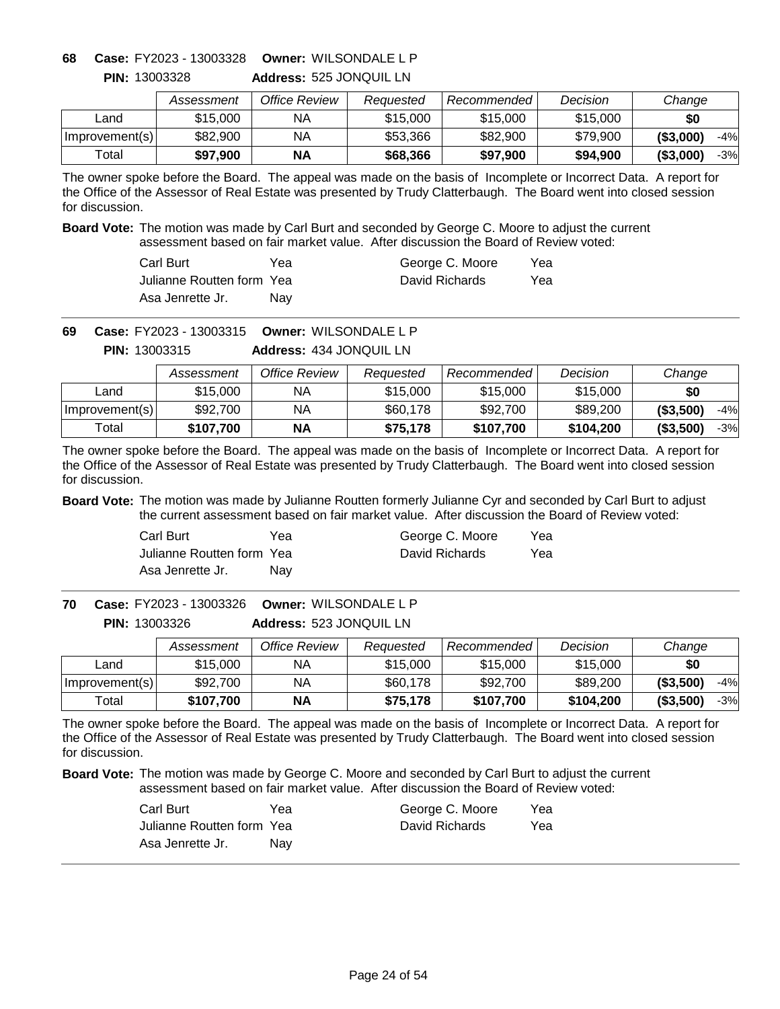**Address:** 525 JONQUIL LN **Owner:** WILSONDALE L P **68 Case:** FY2023 - 13003328

|                | Assessment | Office Review | Reauested | Recommended | Decision | Change              |
|----------------|------------|---------------|-----------|-------------|----------|---------------------|
| _and           | \$15,000   | ΝA            | \$15,000  | \$15,000    | \$15,000 | \$0                 |
| Improvement(s) | \$82,900   | ΝA            | \$53,366  | \$82,900    | \$79.900 | ( \$3,000)<br>$-4%$ |
| $\tau$ otal    | \$97,900   | <b>NA</b>     | \$68,366  | \$97.900    | \$94.900 | ( \$3,000]<br>$-3%$ |

The owner spoke before the Board. The appeal was made on the basis of Incomplete or Incorrect Data. A report for the Office of the Assessor of Real Estate was presented by Trudy Clatterbaugh. The Board went into closed session for discussion.

**Board Vote:** The motion was made by Carl Burt and seconded by George C. Moore to adjust the current assessment based on fair market value. After discussion the Board of Review voted:

| Carl Burt                  | Yea | George C. Moore | Yea |
|----------------------------|-----|-----------------|-----|
| Julianne Routten form Yeal |     | David Richards  | Yea |
| Asa Jenrette Jr.           | Nav |                 |     |

**Owner:** WILSONDALE L P **69 Case:** FY2023 - 13003315

**Address:** 434 JONQUIL LN **PIN:** 13003315

|                | Assessment | Office Review | Reauested | Recommended | Decision  | Change              |
|----------------|------------|---------------|-----------|-------------|-----------|---------------------|
| Land           | \$15,000   | ΝA            | \$15,000  | \$15,000    | \$15,000  | \$0                 |
| Improvement(s) | \$92,700   | ΝA            | \$60,178  | \$92,700    | \$89,200  | ( \$3,500)<br>$-4%$ |
| Total          | \$107.700  | <b>NA</b>     | \$75,178  | \$107.700   | \$104.200 | (\$3,500)<br>$-3%$  |

The owner spoke before the Board. The appeal was made on the basis of Incomplete or Incorrect Data. A report for the Office of the Assessor of Real Estate was presented by Trudy Clatterbaugh. The Board went into closed session for discussion.

**Board Vote:** The motion was made by Julianne Routten formerly Julianne Cyr and seconded by Carl Burt to adjust the current assessment based on fair market value. After discussion the Board of Review voted:

| Carl Burt                 | Yea | George C. Moore | Yea |
|---------------------------|-----|-----------------|-----|
| Julianne Routten form Yea |     | David Richards  | Yea |
| Asa Jenrette Jr.          | Nav |                 |     |

**Address:** 523 JONQUIL LN **Owner:** WILSONDALE L P **70 Case:** FY2023 - 13003326 **PIN:** 13003326

|                | Assessment | Office Review | Reauested | Recommended | Decision  | Change            |
|----------------|------------|---------------|-----------|-------------|-----------|-------------------|
| Land           | \$15,000   | ΝA            | \$15,000  | \$15,000    | \$15,000  | \$0               |
| Improvement(s) | \$92,700   | NА            | \$60,178  | \$92,700    | \$89,200  | ( \$3,500)<br>-4% |
| Total          | \$107,700  | <b>NA</b>     | \$75,178  | \$107,700   | \$104,200 | ( \$3,500)<br>-3% |

The owner spoke before the Board. The appeal was made on the basis of Incomplete or Incorrect Data. A report for the Office of the Assessor of Real Estate was presented by Trudy Clatterbaugh. The Board went into closed session for discussion.

| Carl Burt                 | Yea | George C. Moore | Yea |
|---------------------------|-----|-----------------|-----|
| Julianne Routten form Yea |     | David Richards  | Yea |
| Asa Jenrette Jr.          | Nav |                 |     |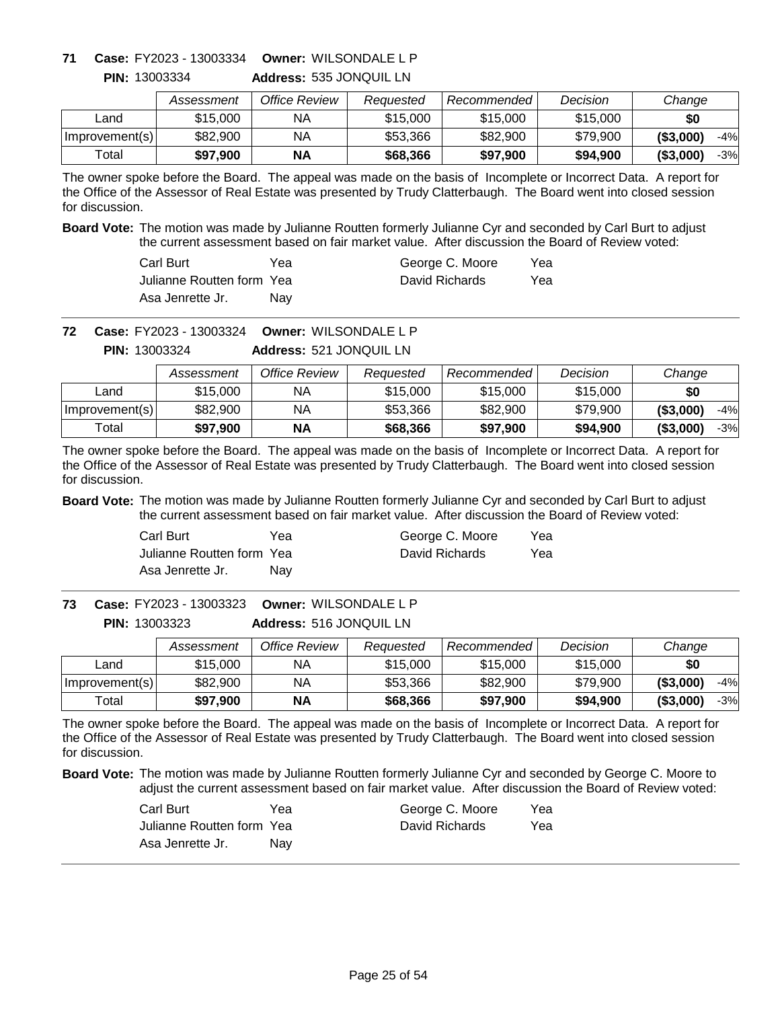**Address:** 535 JONQUIL LN **Owner:** WILSONDALE L P **71 Case:** FY2023 - 13003334

|                | Assessment | Office Review | Reauested | Recommended | Decision | Change              |
|----------------|------------|---------------|-----------|-------------|----------|---------------------|
| _and           | \$15,000   | ΝA            | \$15,000  | \$15,000    | \$15,000 | \$0                 |
| Improvement(s) | \$82,900   | ΝA            | \$53.366  | \$82,900    | \$79,900 | ( \$3,000)<br>$-4%$ |
| Total          | \$97.900   | ΝA            | \$68,366  | \$97.900    | \$94,900 | ( \$3,000]<br>$-3%$ |

The owner spoke before the Board. The appeal was made on the basis of Incomplete or Incorrect Data. A report for the Office of the Assessor of Real Estate was presented by Trudy Clatterbaugh. The Board went into closed session for discussion.

**Board Vote:** The motion was made by Julianne Routten formerly Julianne Cyr and seconded by Carl Burt to adjust the current assessment based on fair market value. After discussion the Board of Review voted:

| Carl Burt                  | Үеа | George C. Moore | Yea |
|----------------------------|-----|-----------------|-----|
| Julianne Routten form Yeal |     | David Richards  | Yea |
| Asa Jenrette Jr.           | Nav |                 |     |

**Owner:** WILSONDALE L P **72 Case:** FY2023 - 13003324

**Address:** 521 JONQUIL LN **PIN:** 13003324

|                | Assessment | Office Review | Reauested | Recommended | Decision | Change              |
|----------------|------------|---------------|-----------|-------------|----------|---------------------|
| Land           | \$15,000   | NA.           | \$15,000  | \$15,000    | \$15,000 | \$0                 |
| Improvement(s) | \$82,900   | NΑ            | \$53,366  | \$82,900    | \$79,900 | ( \$3,000]<br>$-4%$ |
| Total          | \$97.900   | <b>NA</b>     | \$68,366  | \$97,900    | \$94,900 | (\$3,000"<br>$-3%$  |

The owner spoke before the Board. The appeal was made on the basis of Incomplete or Incorrect Data. A report for the Office of the Assessor of Real Estate was presented by Trudy Clatterbaugh. The Board went into closed session for discussion.

**Board Vote:** The motion was made by Julianne Routten formerly Julianne Cyr and seconded by Carl Burt to adjust the current assessment based on fair market value. After discussion the Board of Review voted:

| Carl Burt                 | Yea | George C. Moore | Yea |
|---------------------------|-----|-----------------|-----|
| Julianne Routten form Yea |     | David Richards  | Yea |
| Asa Jenrette Jr.          | Nav |                 |     |

**Address:** 516 JONQUIL LN **Owner:** WILSONDALE L P **73 Case:** FY2023 - 13003323 **PIN:** 13003323

|                | Assessment | Office Review | Reauested | Recommended | Decision | Change            |
|----------------|------------|---------------|-----------|-------------|----------|-------------------|
| _and           | \$15,000   | ΝA            | \$15,000  | \$15,000    | \$15,000 | \$0               |
| Improvement(s) | \$82,900   | ΝA            | \$53,366  | \$82,900    | \$79.900 | ( \$3,000)<br>-4% |
| Total          | \$97,900   | <b>NA</b>     | \$68,366  | \$97,900    | \$94,900 | ( \$3,000)<br>-3% |

The owner spoke before the Board. The appeal was made on the basis of Incomplete or Incorrect Data. A report for the Office of the Assessor of Real Estate was presented by Trudy Clatterbaugh. The Board went into closed session for discussion.

| Carl Burt                 | Үеа | George C. Moore | Yea |
|---------------------------|-----|-----------------|-----|
| Julianne Routten form Yea |     | David Richards  | Yea |
| Asa Jenrette Jr.          | Nav |                 |     |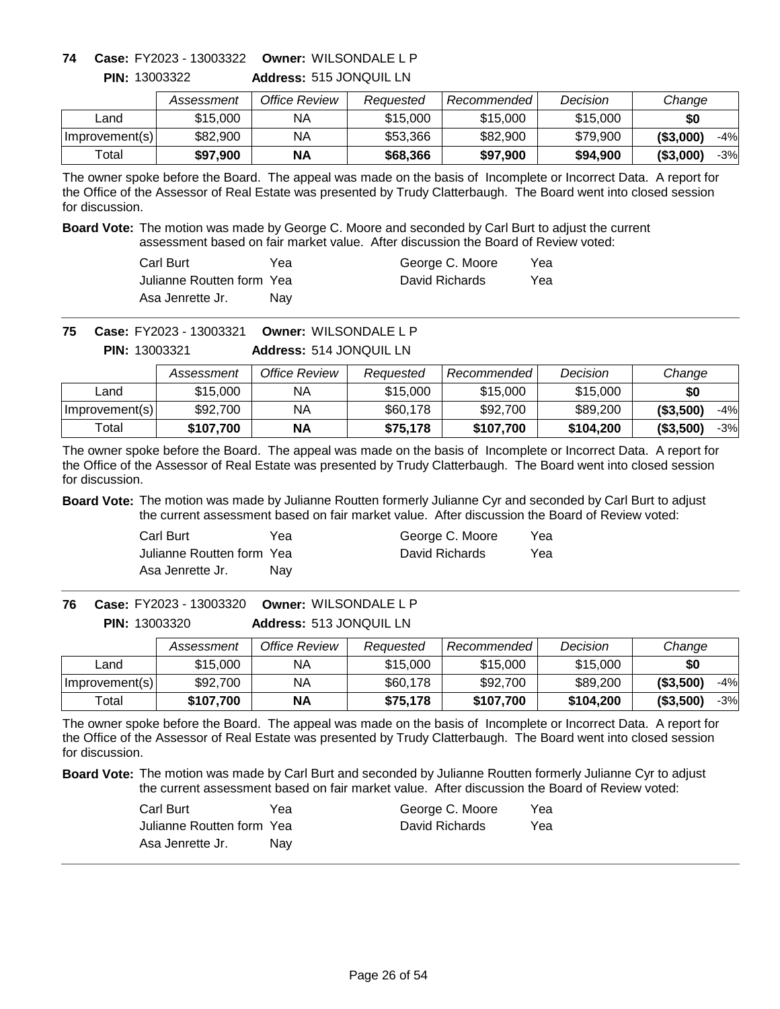**Address:** 515 JONQUIL LN **Owner:** WILSONDALE L P **74 Case:** FY2023 - 13003322

|                | Assessment | Office Review | Reauested | Recommended | Decision | Change              |
|----------------|------------|---------------|-----------|-------------|----------|---------------------|
| ∟and           | \$15,000   | ΝA            | \$15,000  | \$15,000    | \$15,000 | \$0                 |
| Improvement(s) | \$82,900   | ΝA            | \$53,366  | \$82,900    | \$79,900 | $-4%$<br>(S3,000)   |
| Total          | \$97,900   | <b>NA</b>     | \$68,366  | \$97,900    | \$94,900 | ( \$3,000]<br>$-3%$ |

The owner spoke before the Board. The appeal was made on the basis of Incomplete or Incorrect Data. A report for the Office of the Assessor of Real Estate was presented by Trudy Clatterbaugh. The Board went into closed session for discussion.

**Board Vote:** The motion was made by George C. Moore and seconded by Carl Burt to adjust the current assessment based on fair market value. After discussion the Board of Review voted:

| Carl Burt                  | Yea        | George C. Moore | Yea |
|----------------------------|------------|-----------------|-----|
| Julianne Routten form Yeal |            | David Richards  | Yea |
| Asa Jenrette Jr.           | <b>Nav</b> |                 |     |

**Owner:** WILSONDALE L P **75 Case:** FY2023 - 13003321

> **Address:** 514 JONQUIL LN **PIN:** 13003321

|                | Assessment | Office Review | Reauested | Recommended | Decision  | Change              |
|----------------|------------|---------------|-----------|-------------|-----------|---------------------|
| Land           | \$15,000   | NА            | \$15,000  | \$15,000    | \$15,000  | \$0                 |
| Improvement(s) | \$92,700   | ΝA            | \$60,178  | \$92,700    | \$89,200  | ( \$3,500)<br>-4%   |
| Total          | \$107.700  | ΝA            | \$75.178  | \$107,700   | \$104,200 | ( \$3,500)<br>$-3%$ |

The owner spoke before the Board. The appeal was made on the basis of Incomplete or Incorrect Data. A report for the Office of the Assessor of Real Estate was presented by Trudy Clatterbaugh. The Board went into closed session for discussion.

**Board Vote:** The motion was made by Julianne Routten formerly Julianne Cyr and seconded by Carl Burt to adjust the current assessment based on fair market value. After discussion the Board of Review voted:

| Carl Burt                 | Yea | George C. Moore | Yea |
|---------------------------|-----|-----------------|-----|
| Julianne Routten form Yea |     | David Richards  | Yea |
| Asa Jenrette Jr.          | Nav |                 |     |

**Address:** 513 JONQUIL LN **Owner:** WILSONDALE L P **76 Case:** FY2023 - 13003320 **PIN:** 13003320

|                | Assessment | Office Review | Reauested | Recommended | Decision  | Change              |
|----------------|------------|---------------|-----------|-------------|-----------|---------------------|
| Land           | \$15,000   | NА            | \$15,000  | \$15,000    | \$15,000  | \$0                 |
| Improvement(s) | \$92,700   | ΝA            | \$60,178  | \$92,700    | \$89,200  | ( \$3,500)<br>$-4%$ |
| Total          | \$107,700  | <b>NA</b>     | \$75,178  | \$107,700   | \$104.200 | ( \$3,500)<br>$-3%$ |

The owner spoke before the Board. The appeal was made on the basis of Incomplete or Incorrect Data. A report for the Office of the Assessor of Real Estate was presented by Trudy Clatterbaugh. The Board went into closed session for discussion.

| Carl Burt                 | Yea | George C. Moore | Yea |
|---------------------------|-----|-----------------|-----|
| Julianne Routten form Yea |     | David Richards  | Yea |
| Asa Jenrette Jr.          | Nav |                 |     |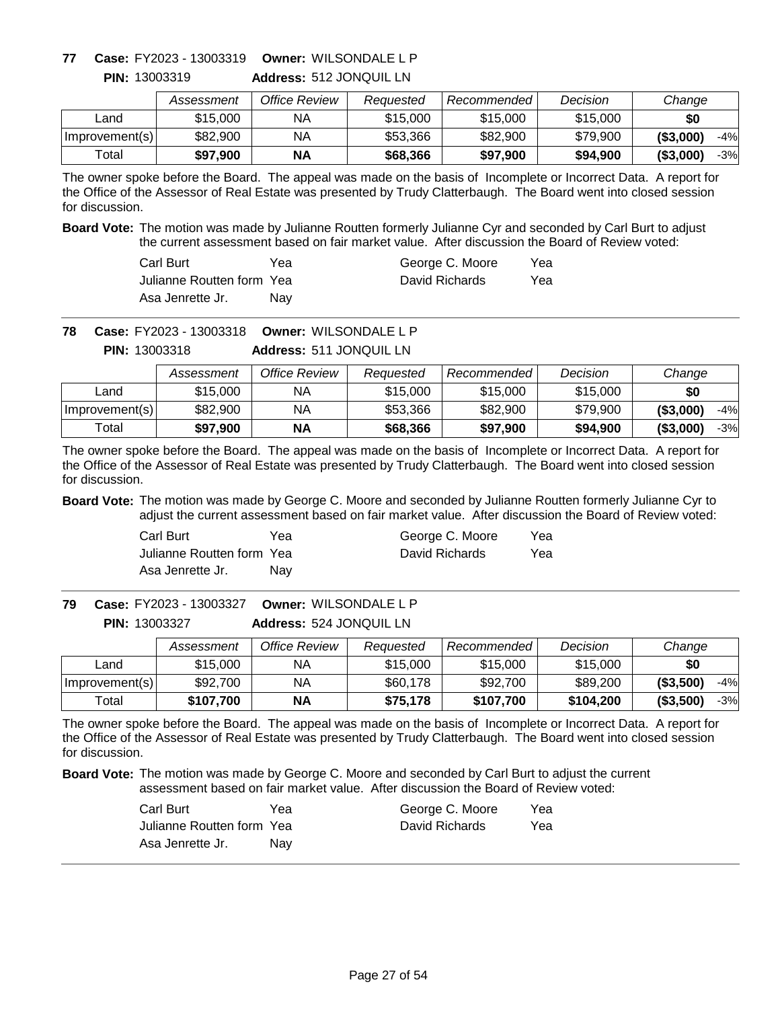### **Owner:** WILSONDALE L P **77 Case:** FY2023 - 13003319

**PIN:** 13003319

|                | Assessment | Office Review | Reauested | Recommended | Decision | Change              |
|----------------|------------|---------------|-----------|-------------|----------|---------------------|
| Land           | \$15,000   | ΝA            | \$15,000  | \$15,000    | \$15,000 | \$0                 |
| Improvement(s) | \$82,900   | ΝA            | \$53,366  | \$82,900    | \$79,900 | ( \$3,000)<br>$-4%$ |
| Total          | \$97,900   | ΝA            | \$68,366  | \$97,900    | \$94,900 | ( \$3,000)<br>$-3%$ |

**Address:** 512 JONQUIL LN

The owner spoke before the Board. The appeal was made on the basis of Incomplete or Incorrect Data. A report for the Office of the Assessor of Real Estate was presented by Trudy Clatterbaugh. The Board went into closed session for discussion.

**Board Vote:** The motion was made by Julianne Routten formerly Julianne Cyr and seconded by Carl Burt to adjust the current assessment based on fair market value. After discussion the Board of Review voted:

| Carl Burt                  | Үеа | George C. Moore | Yea |
|----------------------------|-----|-----------------|-----|
| Julianne Routten form Yeal |     | David Richards  | Yea |
| Asa Jenrette Jr.           | Nav |                 |     |

**Owner:** WILSONDALE L P **78 Case:** FY2023 - 13003318

**Address:** 511 JONQUIL LN **PIN:** 13003318

|                | Assessment | Office Review | Reauested | Recommended | Decision | Change              |
|----------------|------------|---------------|-----------|-------------|----------|---------------------|
| Land           | \$15,000   | NА            | \$15,000  | \$15,000    | \$15,000 | \$0                 |
| Improvement(s) | \$82,900   | ΝA            | \$53,366  | \$82,900    | \$79,900 | ( \$3,000)<br>-4%   |
| Total          | \$97,900   | ΝA            | \$68,366  | \$97.900    | \$94,900 | ( \$3,000)<br>$-3%$ |

The owner spoke before the Board. The appeal was made on the basis of Incomplete or Incorrect Data. A report for the Office of the Assessor of Real Estate was presented by Trudy Clatterbaugh. The Board went into closed session for discussion.

**Board Vote:** The motion was made by George C. Moore and seconded by Julianne Routten formerly Julianne Cyr to adjust the current assessment based on fair market value. After discussion the Board of Review voted:

| Carl Burt                 | Yea | George C. Moore | Yea |
|---------------------------|-----|-----------------|-----|
| Julianne Routten form Yea |     | David Richards  | Yea |
| Asa Jenrette Jr.          | Nav |                 |     |

**Address:** 524 JONQUIL LN **Owner:** WILSONDALE L P **79 Case:** FY2023 - 13003327 **PIN:** 13003327

|                | Assessment | Office Review | Reauested | Recommended | Decision  | Change              |
|----------------|------------|---------------|-----------|-------------|-----------|---------------------|
| ∟and           | \$15,000   | ΝA            | \$15,000  | \$15,000    | \$15,000  | \$0                 |
| Improvement(s) | \$92,700   | ΝA            | \$60,178  | \$92,700    | \$89,200  | (\$3,500)<br>$-4%$  |
| Total          | \$107,700  | <b>NA</b>     | \$75,178  | \$107,700   | \$104,200 | ( \$3,500]<br>$-3%$ |

The owner spoke before the Board. The appeal was made on the basis of Incomplete or Incorrect Data. A report for the Office of the Assessor of Real Estate was presented by Trudy Clatterbaugh. The Board went into closed session for discussion.

| Carl Burt                 | Yea | George C. Moore | Yea |
|---------------------------|-----|-----------------|-----|
| Julianne Routten form Yea |     | David Richards  | Yea |
| Asa Jenrette Jr.          | Nav |                 |     |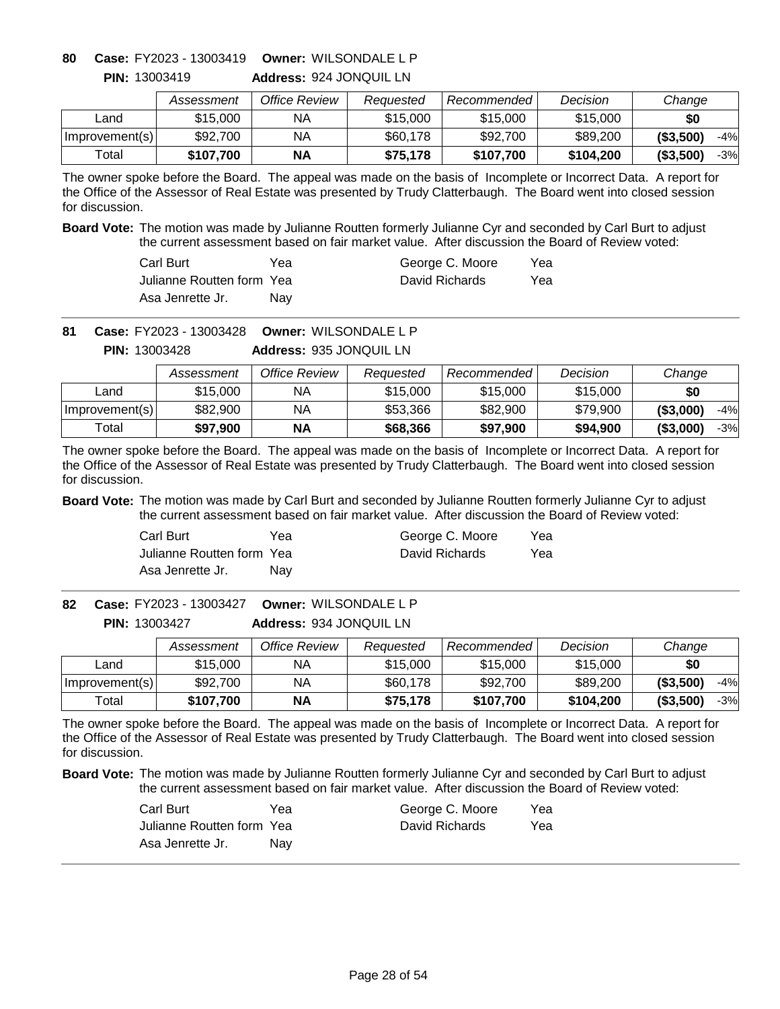**Address:** 924 JONQUIL LN **Owner:** WILSONDALE L P **80 Case:** FY2023 - 13003419

|                | Assessment | Office Review | Reauested | Recommended | Decision  | Change              |
|----------------|------------|---------------|-----------|-------------|-----------|---------------------|
| _and           | \$15,000   | ΝA            | \$15,000  | \$15,000    | \$15,000  | \$0                 |
| Improvement(s) | \$92,700   | ΝA            | \$60,178  | \$92,700    | \$89,200  | ( \$3,500)<br>$-4%$ |
| Total          | \$107.700  | <b>NA</b>     | \$75,178  | \$107.700   | \$104,200 | ( \$3,500)<br>$-3%$ |

The owner spoke before the Board. The appeal was made on the basis of Incomplete or Incorrect Data. A report for the Office of the Assessor of Real Estate was presented by Trudy Clatterbaugh. The Board went into closed session for discussion.

**Board Vote:** The motion was made by Julianne Routten formerly Julianne Cyr and seconded by Carl Burt to adjust the current assessment based on fair market value. After discussion the Board of Review voted:

| Carl Burt                  | Үеа | George C. Moore | Yea |
|----------------------------|-----|-----------------|-----|
| Julianne Routten form Yeal |     | David Richards  | Yea |
| Asa Jenrette Jr.           | Nav |                 |     |

**Owner:** WILSONDALE L P **81 Case:** FY2023 - 13003428

**Address:** 935 JONQUIL LN **PIN:** 13003428

|                | Assessment | Office Review | Reauested | Recommended | Decision | Change              |
|----------------|------------|---------------|-----------|-------------|----------|---------------------|
| Land           | \$15,000   | ΝA            | \$15,000  | \$15,000    | \$15,000 | \$0                 |
| Improvement(s) | \$82,900   | NA            | \$53,366  | \$82,900    | \$79.900 | ( \$3,000]<br>$-4%$ |
| Total          | \$97,900   | <b>NA</b>     | \$68,366  | \$97,900    | \$94,900 | ( \$3,000]<br>$-3%$ |

The owner spoke before the Board. The appeal was made on the basis of Incomplete or Incorrect Data. A report for the Office of the Assessor of Real Estate was presented by Trudy Clatterbaugh. The Board went into closed session for discussion.

**Board Vote:** The motion was made by Carl Burt and seconded by Julianne Routten formerly Julianne Cyr to adjust the current assessment based on fair market value. After discussion the Board of Review voted:

| Carl Burt                 | Yea | George C. Moore | Yea |
|---------------------------|-----|-----------------|-----|
| Julianne Routten form Yea |     | David Richards  | Yea |
| Asa Jenrette Jr.          | Nav |                 |     |

**Address:** 934 JONQUIL LN **Owner:** WILSONDALE L P **82 Case:** FY2023 - 13003427 **PIN:** 13003427

|                | Assessment | Office Review | Reauested | <b>Recommended</b> | Decision  | Change            |
|----------------|------------|---------------|-----------|--------------------|-----------|-------------------|
| _and           | \$15,000   | NA            | \$15,000  | \$15,000           | \$15,000  | \$0               |
| Improvement(s) | \$92,700   | NА            | \$60,178  | \$92,700           | \$89,200  | ( \$3,500)<br>-4% |
| Total          | \$107,700  | <b>NA</b>     | \$75,178  | \$107.700          | \$104,200 | ( \$3,500)<br>-3% |

The owner spoke before the Board. The appeal was made on the basis of Incomplete or Incorrect Data. A report for the Office of the Assessor of Real Estate was presented by Trudy Clatterbaugh. The Board went into closed session for discussion.

| Carl Burt                 | Yea | George C. Moore | Yea |
|---------------------------|-----|-----------------|-----|
| Julianne Routten form Yea |     | David Richards  | Yea |
| Asa Jenrette Jr.          | Nav |                 |     |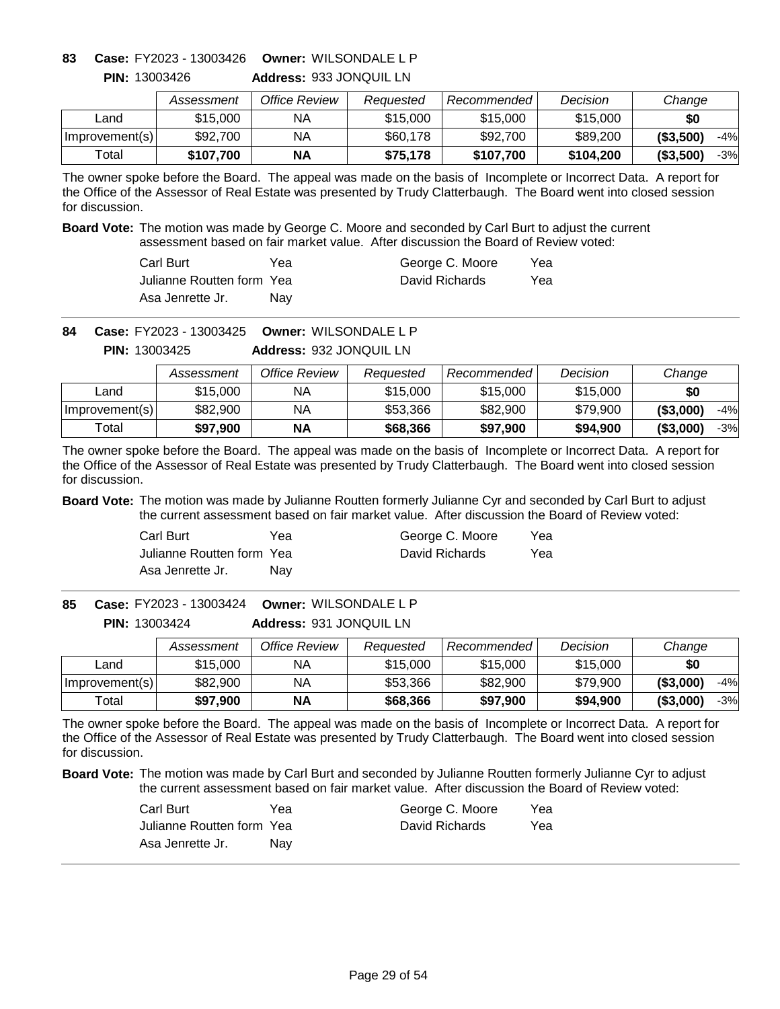**Address:** 933 JONQUIL LN **Owner:** WILSONDALE L P **83 Case:** FY2023 - 13003426

|                | Assessment | Office Review | Reauested | Recommended <b>Recommended</b> | Decision  | Change              |
|----------------|------------|---------------|-----------|--------------------------------|-----------|---------------------|
| ∟and           | \$15,000   | ΝA            | \$15,000  | \$15,000                       | \$15,000  | \$0                 |
| Improvement(s) | \$92,700   | ΝA            | \$60,178  | \$92,700                       | \$89,200  | $-4%$<br>( \$3,500] |
| Total          | \$107,700  | ΝA            | \$75,178  | \$107,700                      | \$104,200 | ( \$3,500]<br>$-3%$ |

The owner spoke before the Board. The appeal was made on the basis of Incomplete or Incorrect Data. A report for the Office of the Assessor of Real Estate was presented by Trudy Clatterbaugh. The Board went into closed session for discussion.

**Board Vote:** The motion was made by George C. Moore and seconded by Carl Burt to adjust the current assessment based on fair market value. After discussion the Board of Review voted:

| Carl Burt                  | Yea        | George C. Moore | Yea |
|----------------------------|------------|-----------------|-----|
| Julianne Routten form Yeal |            | David Richards  | Yea |
| Asa Jenrette Jr.           | <b>Nav</b> |                 |     |

**Owner:** WILSONDALE L P **84 Case:** FY2023 - 13003425

**Address:** 932 JONQUIL LN **PIN:** 13003425

|                | Assessment | Office Review | Reauested | Recommended | Decision | Change              |
|----------------|------------|---------------|-----------|-------------|----------|---------------------|
| Land           | \$15,000   | NА            | \$15,000  | \$15,000    | \$15,000 | \$0                 |
| Improvement(s) | \$82,900   | ΝA            | \$53,366  | \$82,900    | \$79,900 | ( \$3,000)<br>-4%   |
| Total          | \$97,900   | ΝA            | \$68,366  | \$97.900    | \$94,900 | ( \$3,000)<br>$-3%$ |

The owner spoke before the Board. The appeal was made on the basis of Incomplete or Incorrect Data. A report for the Office of the Assessor of Real Estate was presented by Trudy Clatterbaugh. The Board went into closed session for discussion.

**Board Vote:** The motion was made by Julianne Routten formerly Julianne Cyr and seconded by Carl Burt to adjust the current assessment based on fair market value. After discussion the Board of Review voted:

| Carl Burt                 | Yea | George C. Moore | Yea |
|---------------------------|-----|-----------------|-----|
| Julianne Routten form Yea |     | David Richards  | Yea |
| Asa Jenrette Jr.          | Nav |                 |     |

**Address:** 931 JONQUIL LN **Owner:** WILSONDALE L P **85 Case:** FY2023 - 13003424 **PIN:** 13003424

|                | Assessment | Office Review | Reauested | Recommended | Decision | Change              |
|----------------|------------|---------------|-----------|-------------|----------|---------------------|
| _and           | \$15,000   | NА            | \$15,000  | \$15,000    | \$15,000 | \$0                 |
| Improvement(s) | \$82,900   | ΝA            | \$53,366  | \$82,900    | \$79.900 | ( \$3,000)<br>$-4%$ |
| $\tau$ otal    | \$97,900   | <b>NA</b>     | \$68,366  | \$97,900    | \$94,900 | ( \$3,000)<br>-3%   |

The owner spoke before the Board. The appeal was made on the basis of Incomplete or Incorrect Data. A report for the Office of the Assessor of Real Estate was presented by Trudy Clatterbaugh. The Board went into closed session for discussion.

| Carl Burt                 | Yea | George C. Moore | Yea |
|---------------------------|-----|-----------------|-----|
| Julianne Routten form Yea |     | David Richards  | Yea |
| Asa Jenrette Jr.          | Nav |                 |     |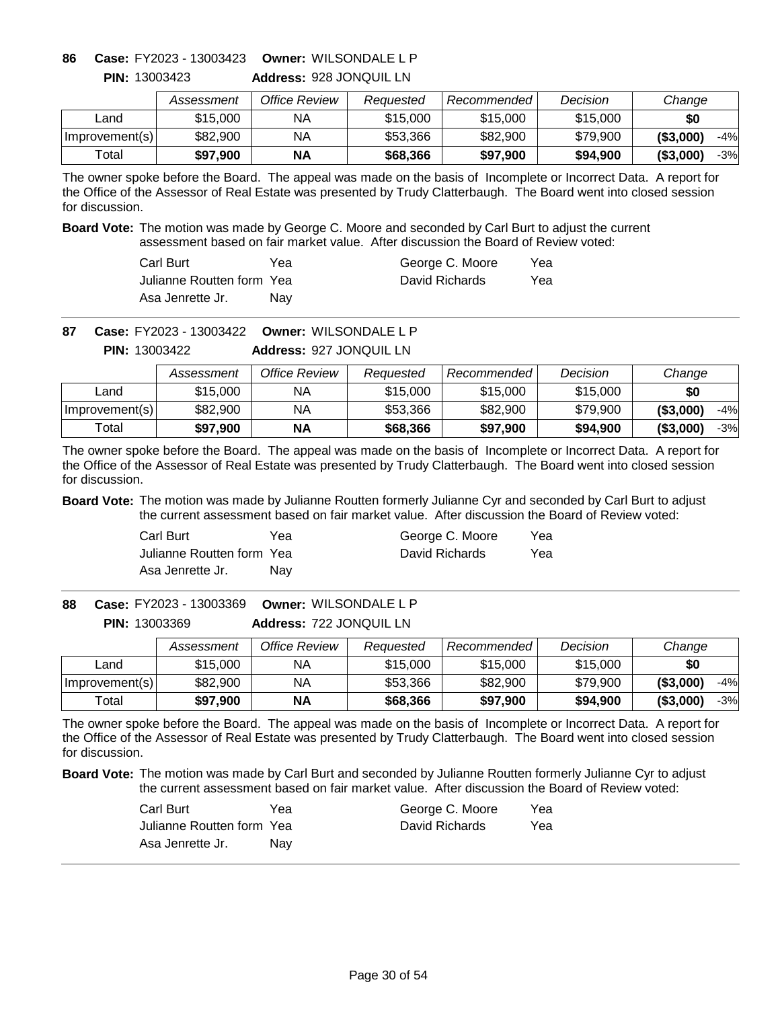**Address:** 928 JONQUIL LN **Owner:** WILSONDALE L P **86 Case:** FY2023 - 13003423

|                | Assessment | Office Review | Reauested | Recommended " | Decision | Change              |
|----------------|------------|---------------|-----------|---------------|----------|---------------------|
| ∟and           | \$15,000   | ΝA            | \$15,000  | \$15,000      | \$15,000 | \$0                 |
| Improvement(s) | \$82,900   | ΝA            | \$53.366  | \$82,900      | \$79,900 | (S3,000)<br>$-4%$   |
| Total          | \$97,900   | <b>NA</b>     | \$68,366  | \$97,900      | \$94,900 | ( \$3,000]<br>$-3%$ |

The owner spoke before the Board. The appeal was made on the basis of Incomplete or Incorrect Data. A report for the Office of the Assessor of Real Estate was presented by Trudy Clatterbaugh. The Board went into closed session for discussion.

**Board Vote:** The motion was made by George C. Moore and seconded by Carl Burt to adjust the current assessment based on fair market value. After discussion the Board of Review voted:

| Carl Burt                  | Yea        | George C. Moore | Yea |
|----------------------------|------------|-----------------|-----|
| Julianne Routten form Yeal |            | David Richards  | Yea |
| Asa Jenrette Jr.           | <b>Nav</b> |                 |     |

**Owner:** WILSONDALE L P **87 Case:** FY2023 - 13003422

**Address:** 927 JONQUIL LN **PIN:** 13003422

|                | Assessment | Office Review | Reauested | Recommended | Decision | Change              |
|----------------|------------|---------------|-----------|-------------|----------|---------------------|
| Land           | \$15,000   | NА            | \$15,000  | \$15,000    | \$15,000 | \$0                 |
| Improvement(s) | \$82,900   | ΝA            | \$53,366  | \$82,900    | \$79,900 | ( \$3,000)<br>-4%   |
| Total          | \$97,900   | ΝA            | \$68,366  | \$97.900    | \$94,900 | ( \$3,000)<br>$-3%$ |

The owner spoke before the Board. The appeal was made on the basis of Incomplete or Incorrect Data. A report for the Office of the Assessor of Real Estate was presented by Trudy Clatterbaugh. The Board went into closed session for discussion.

**Board Vote:** The motion was made by Julianne Routten formerly Julianne Cyr and seconded by Carl Burt to adjust the current assessment based on fair market value. After discussion the Board of Review voted:

| Carl Burt                 | Yea | George C. Moore | Yea |
|---------------------------|-----|-----------------|-----|
| Julianne Routten form Yea |     | David Richards  | Yea |
| Asa Jenrette Jr.          | Nav |                 |     |

**Address:** 722 JONQUIL LN **Owner:** WILSONDALE L P **88 Case:** FY2023 - 13003369 **PIN:** 13003369

|                | Assessment | Office Review | Reauested | Recommended | Decision | Change              |
|----------------|------------|---------------|-----------|-------------|----------|---------------------|
| ∟and           | \$15,000   | NА            | \$15,000  | \$15,000    | \$15,000 | \$0                 |
| Improvement(s) | \$82,900   | NA            | \$53,366  | \$82,900    | \$79.900 | ( \$3,000)<br>$-4%$ |
| Total          | \$97,900   | <b>NA</b>     | \$68,366  | \$97,900    | \$94,900 | ( \$3,000)<br>$-3%$ |

The owner spoke before the Board. The appeal was made on the basis of Incomplete or Incorrect Data. A report for the Office of the Assessor of Real Estate was presented by Trudy Clatterbaugh. The Board went into closed session for discussion.

| Carl Burt                 | Yea | George C. Moore | Yea |
|---------------------------|-----|-----------------|-----|
| Julianne Routten form Yea |     | David Richards  | Yea |
| Asa Jenrette Jr.          | Nav |                 |     |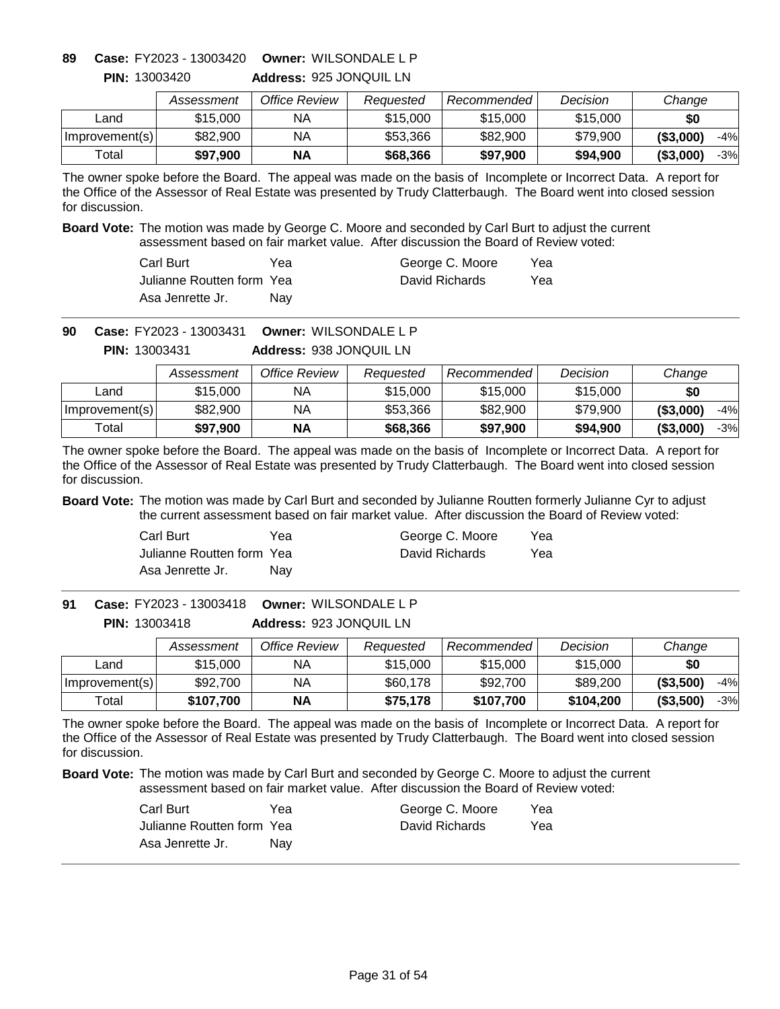**Address:** 925 JONQUIL LN **Owner:** WILSONDALE L P **89 Case:** FY2023 - 13003420

|                | Assessment | Office Review | Reauested | Recommended L | Decision | Change              |
|----------------|------------|---------------|-----------|---------------|----------|---------------------|
| ∟and           | \$15,000   | ΝA            | \$15,000  | \$15,000      | \$15,000 | \$0                 |
| Improvement(s) | \$82,900   | ΝA            | \$53,366  | \$82,900      | \$79,900 | ( \$3,000)<br>$-4%$ |
| Total          | \$97,900   | <b>NA</b>     | \$68,366  | \$97,900      | \$94,900 | ( \$3,000]<br>-3%   |

The owner spoke before the Board. The appeal was made on the basis of Incomplete or Incorrect Data. A report for the Office of the Assessor of Real Estate was presented by Trudy Clatterbaugh. The Board went into closed session for discussion.

**Board Vote:** The motion was made by George C. Moore and seconded by Carl Burt to adjust the current assessment based on fair market value. After discussion the Board of Review voted:

| Carl Burt                  | Yea        | George C. Moore | Yea |
|----------------------------|------------|-----------------|-----|
| Julianne Routten form Yeal |            | David Richards  | Yea |
| Asa Jenrette Jr.           | <b>Nav</b> |                 |     |

**Owner:** WILSONDALE L P **90 Case:** FY2023 - 13003431

> **Address:** 938 JONQUIL LN **PIN:** 13003431

|                | Assessment | Office Review | Reauested | Recommended | Decision | Change              |
|----------------|------------|---------------|-----------|-------------|----------|---------------------|
| Land           | \$15,000   | NА            | \$15,000  | \$15,000    | \$15,000 | \$0                 |
| Improvement(s) | \$82,900   | ΝA            | \$53,366  | \$82,900    | \$79,900 | ( \$3,000)<br>-4%   |
| Total          | \$97,900   | ΝA            | \$68,366  | \$97.900    | \$94,900 | ( \$3,000)<br>$-3%$ |

The owner spoke before the Board. The appeal was made on the basis of Incomplete or Incorrect Data. A report for the Office of the Assessor of Real Estate was presented by Trudy Clatterbaugh. The Board went into closed session for discussion.

**Board Vote:** The motion was made by Carl Burt and seconded by Julianne Routten formerly Julianne Cyr to adjust the current assessment based on fair market value. After discussion the Board of Review voted:

| Carl Burt                 | Yea | George C. Moore | Yea |
|---------------------------|-----|-----------------|-----|
| Julianne Routten form Yea |     | David Richards  | Yea |
| Asa Jenrette Jr.          | Nav |                 |     |

**Address:** 923 JONQUIL LN **Owner:** WILSONDALE L P **91 Case:** FY2023 - 13003418 **PIN:** 13003418

|                | Assessment | Office Review | Reauested | Recommended | Decision  | Change              |
|----------------|------------|---------------|-----------|-------------|-----------|---------------------|
| Land           | \$15,000   | NA            | \$15,000  | \$15,000    | \$15,000  | \$0                 |
| Improvement(s) | \$92,700   | NA            | \$60,178  | \$92,700    | \$89,200  | ( \$3,500)<br>$-4%$ |
| Total          | \$107.700  | <b>NA</b>     | \$75,178  | \$107.700   | \$104.200 | ( \$3,500)<br>-3%   |

The owner spoke before the Board. The appeal was made on the basis of Incomplete or Incorrect Data. A report for the Office of the Assessor of Real Estate was presented by Trudy Clatterbaugh. The Board went into closed session for discussion.

| Carl Burt                 | Yea | George C. Moore | Yea |
|---------------------------|-----|-----------------|-----|
| Julianne Routten form Yea |     | David Richards  | Yea |
| Asa Jenrette Jr.          | Nav |                 |     |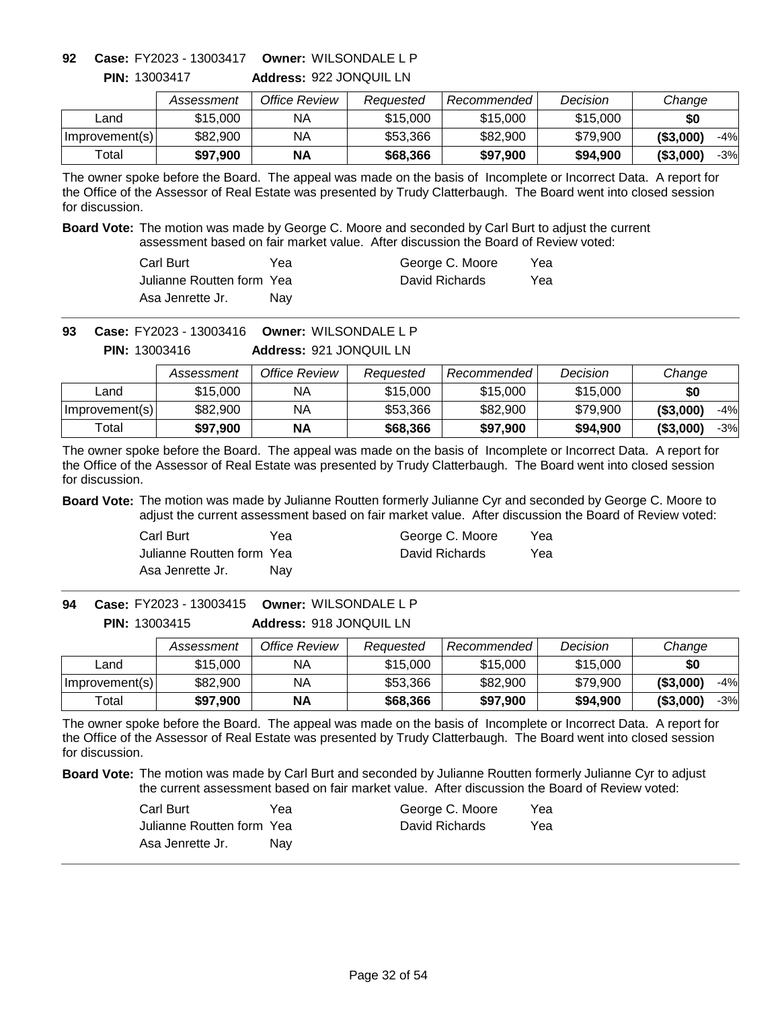**Address:** 922 JONQUIL LN **Owner:** WILSONDALE L P **92 Case:** FY2023 - 13003417

|                | Assessment | Office Review | Reauested | Recommended | Decision | Change              |
|----------------|------------|---------------|-----------|-------------|----------|---------------------|
| _and           | \$15,000   | ΝA            | \$15,000  | \$15,000    | \$15,000 | \$0                 |
| Improvement(s) | \$82,900   | ΝA            | \$53,366  | \$82,900    | \$79,900 | ( \$3,000)<br>$-4%$ |
| Total          | \$97,900   | <b>NA</b>     | \$68,366  | \$97,900    | \$94,900 | $-3%$<br>( \$3,000) |

The owner spoke before the Board. The appeal was made on the basis of Incomplete or Incorrect Data. A report for the Office of the Assessor of Real Estate was presented by Trudy Clatterbaugh. The Board went into closed session for discussion.

**Board Vote:** The motion was made by George C. Moore and seconded by Carl Burt to adjust the current assessment based on fair market value. After discussion the Board of Review voted:

| Carl Burt                  | Yea        | George C. Moore | Yea |
|----------------------------|------------|-----------------|-----|
| Julianne Routten form Yeal |            | David Richards  | Yea |
| Asa Jenrette Jr.           | <b>Nav</b> |                 |     |

**Owner:** WILSONDALE L P **93 Case:** FY2023 - 13003416

**Address:** 921 JONQUIL LN **PIN:** 13003416

|                | Assessment | Office Review | Reauested | Recommended | Decision | Change              |
|----------------|------------|---------------|-----------|-------------|----------|---------------------|
| Land           | \$15,000   | ΝA            | \$15,000  | \$15,000    | \$15,000 | \$0                 |
| Improvement(s) | \$82,900   | NA            | \$53,366  | \$82,900    | \$79.900 | ( \$3,000]<br>$-4%$ |
| Total          | \$97,900   | <b>NA</b>     | \$68,366  | \$97,900    | \$94,900 | ( \$3,000]<br>$-3%$ |

The owner spoke before the Board. The appeal was made on the basis of Incomplete or Incorrect Data. A report for the Office of the Assessor of Real Estate was presented by Trudy Clatterbaugh. The Board went into closed session for discussion.

**Board Vote:** The motion was made by Julianne Routten formerly Julianne Cyr and seconded by George C. Moore to adjust the current assessment based on fair market value. After discussion the Board of Review voted:

| Carl Burt                 | Yea | George C. Moore | Yea |
|---------------------------|-----|-----------------|-----|
| Julianne Routten form Yea |     | David Richards  | Yea |
| Asa Jenrette Jr.          | Nav |                 |     |

**Address:** 918 JONQUIL LN **Owner:** WILSONDALE L P **94 Case:** FY2023 - 13003415 **PIN:** 13003415

|                | Assessment | Office Review | Reauested | Recommended | Decision | Change              |
|----------------|------------|---------------|-----------|-------------|----------|---------------------|
| _and           | \$15,000   | NА            | \$15,000  | \$15,000    | \$15,000 | \$0                 |
| Improvement(s) | \$82,900   | ΝA            | \$53,366  | \$82,900    | \$79.900 | ( \$3,000)<br>$-4%$ |
| $\tau$ otal    | \$97,900   | <b>NA</b>     | \$68,366  | \$97,900    | \$94,900 | ( \$3,000)<br>-3%   |

The owner spoke before the Board. The appeal was made on the basis of Incomplete or Incorrect Data. A report for the Office of the Assessor of Real Estate was presented by Trudy Clatterbaugh. The Board went into closed session for discussion.

| Carl Burt                 | Yea | George C. Moore | Yea |
|---------------------------|-----|-----------------|-----|
| Julianne Routten form Yea |     | David Richards  | Yea |
| Asa Jenrette Jr.          | Nav |                 |     |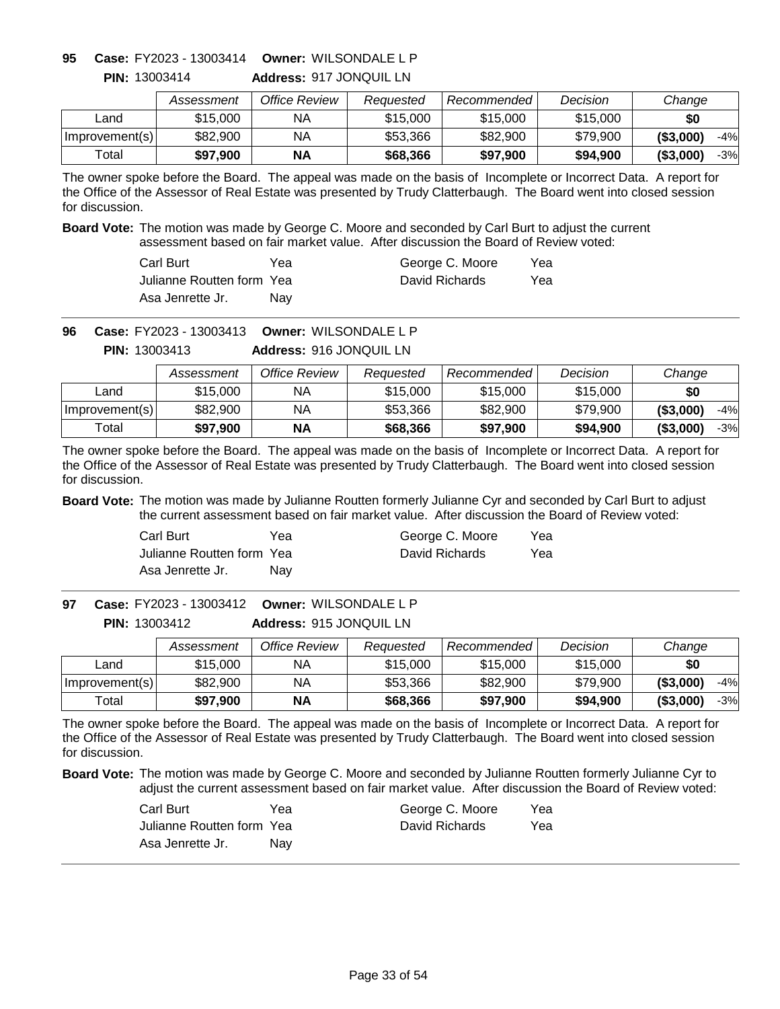**Address:** 917 JONQUIL LN **Owner:** WILSONDALE L P **95 Case:** FY2023 - 13003414

|                | Assessment | Office Review | Reauested | Recommended | Decision | Change              |
|----------------|------------|---------------|-----------|-------------|----------|---------------------|
| ∟and           | \$15,000   | NA            | \$15,000  | \$15,000    | \$15,000 | \$0                 |
| Improvement(s) | \$82,900   | ΝA            | \$53,366  | \$82,900    | \$79,900 | $-4%$<br>(S3,000)   |
| Total          | \$97,900   | ΝA            | \$68,366  | \$97,900    | \$94,900 | ( \$3,000]<br>$-3%$ |

The owner spoke before the Board. The appeal was made on the basis of Incomplete or Incorrect Data. A report for the Office of the Assessor of Real Estate was presented by Trudy Clatterbaugh. The Board went into closed session for discussion.

**Board Vote:** The motion was made by George C. Moore and seconded by Carl Burt to adjust the current assessment based on fair market value. After discussion the Board of Review voted:

| Carl Burt                  | Yea        | George C. Moore | Yea |
|----------------------------|------------|-----------------|-----|
| Julianne Routten form Yeal |            | David Richards  | Yea |
| Asa Jenrette Jr.           | <b>Nav</b> |                 |     |

**Owner:** WILSONDALE L P **96 Case:** FY2023 - 13003413

**Address:** 916 JONQUIL LN **PIN:** 13003413

|                | Assessment | Office Review | Reauested | Recommended | Decision | Change              |
|----------------|------------|---------------|-----------|-------------|----------|---------------------|
| Land           | \$15,000   | NA.           | \$15,000  | \$15,000    | \$15,000 | \$0                 |
| Improvement(s) | \$82,900   | NΑ            | \$53,366  | \$82,900    | \$79,900 | ( \$3,000]<br>$-4%$ |
| Total          | \$97.900   | <b>NA</b>     | \$68,366  | \$97,900    | \$94,900 | (\$3,000"<br>$-3%$  |

The owner spoke before the Board. The appeal was made on the basis of Incomplete or Incorrect Data. A report for the Office of the Assessor of Real Estate was presented by Trudy Clatterbaugh. The Board went into closed session for discussion.

**Board Vote:** The motion was made by Julianne Routten formerly Julianne Cyr and seconded by Carl Burt to adjust the current assessment based on fair market value. After discussion the Board of Review voted:

| Carl Burt                 | Yea | George C. Moore | Yea |
|---------------------------|-----|-----------------|-----|
| Julianne Routten form Yea |     | David Richards  | Yea |
| Asa Jenrette Jr.          | Nav |                 |     |

**Address:** 915 JONQUIL LN **Owner:** WILSONDALE L P **97 Case:** FY2023 - 13003412 **PIN:** 13003412

|                | Assessment | Office Review | Reauested | Recommended | Decision | Change              |
|----------------|------------|---------------|-----------|-------------|----------|---------------------|
| _and           | \$15,000   | NА            | \$15,000  | \$15,000    | \$15,000 | \$0                 |
| Improvement(s) | \$82,900   | ΝA            | \$53,366  | \$82,900    | \$79.900 | ( \$3,000)<br>$-4%$ |
| $\tau$ otal    | \$97,900   | <b>NA</b>     | \$68,366  | \$97,900    | \$94,900 | ( \$3,000)<br>-3%   |

The owner spoke before the Board. The appeal was made on the basis of Incomplete or Incorrect Data. A report for the Office of the Assessor of Real Estate was presented by Trudy Clatterbaugh. The Board went into closed session for discussion.

| Carl Burt                 | Yea | George C. Moore | Yea |
|---------------------------|-----|-----------------|-----|
| Julianne Routten form Yea |     | David Richards  | Yea |
| Asa Jenrette Jr.          | Nav |                 |     |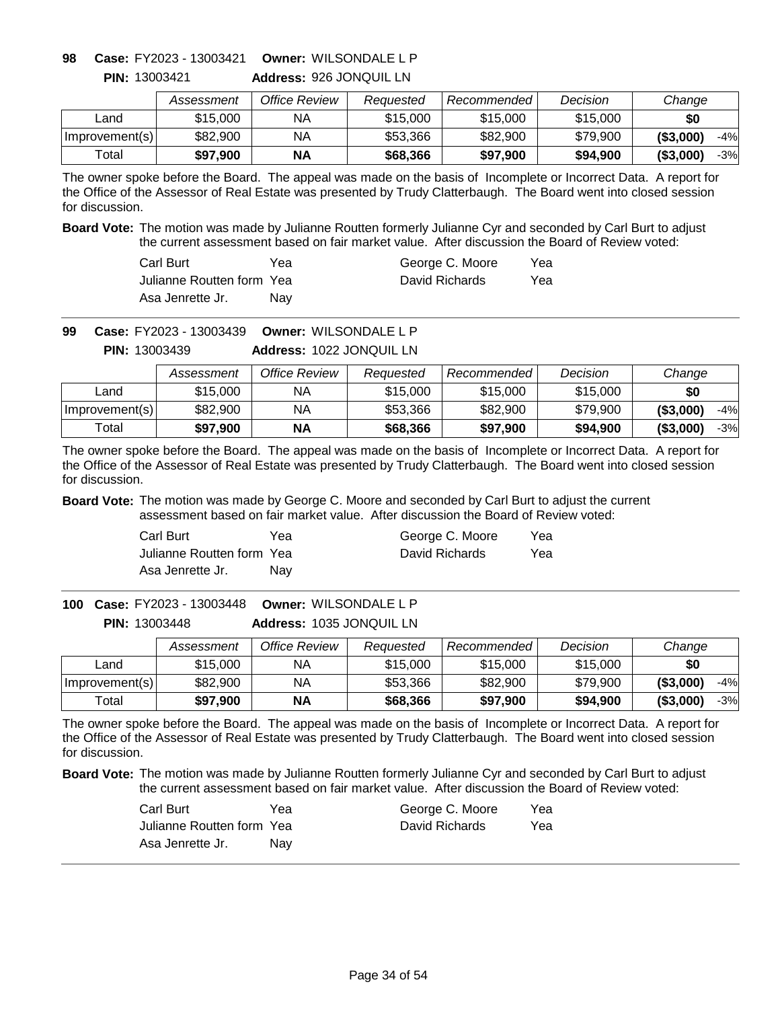**Address:** 926 JONQUIL LN **Owner:** WILSONDALE L P **98 Case:** FY2023 - 13003421

|                | Assessment | Office Review | Reauested | Recommended | Decision | Change              |
|----------------|------------|---------------|-----------|-------------|----------|---------------------|
| _and           | \$15,000   | ΝA            | \$15,000  | \$15,000    | \$15,000 | \$0                 |
| Improvement(s) | \$82,900   | ΝA            | \$53,366  | \$82,900    | \$79,900 | ( \$3,000)<br>$-4%$ |
| Total          | \$97,900   | <b>NA</b>     | \$68,366  | \$97,900    | \$94,900 | $-3%$<br>( \$3,000) |

The owner spoke before the Board. The appeal was made on the basis of Incomplete or Incorrect Data. A report for the Office of the Assessor of Real Estate was presented by Trudy Clatterbaugh. The Board went into closed session for discussion.

**Board Vote:** The motion was made by Julianne Routten formerly Julianne Cyr and seconded by Carl Burt to adjust the current assessment based on fair market value. After discussion the Board of Review voted:

| Carl Burt                  | Yea | George C. Moore | Yea |
|----------------------------|-----|-----------------|-----|
| Julianne Routten form Yeal |     | David Richards  | Yea |
| Asa Jenrette Jr.           | Nav |                 |     |

**Owner:** WILSONDALE L P **99 Case:** FY2023 - 13003439

**Address:** 1022 JONQUIL LN **PIN:** 13003439

|                | Assessment | Office Review | Reauested | Recommended | Decision | Change              |
|----------------|------------|---------------|-----------|-------------|----------|---------------------|
| Land           | \$15,000   | ΝA            | \$15,000  | \$15,000    | \$15,000 | \$0                 |
| Improvement(s) | \$82,900   | NA            | \$53,366  | \$82,900    | \$79.900 | ( \$3,000]<br>$-4%$ |
| Total          | \$97,900   | <b>NA</b>     | \$68,366  | \$97,900    | \$94,900 | ( \$3,000]<br>$-3%$ |

The owner spoke before the Board. The appeal was made on the basis of Incomplete or Incorrect Data. A report for the Office of the Assessor of Real Estate was presented by Trudy Clatterbaugh. The Board went into closed session for discussion.

**Board Vote:** The motion was made by George C. Moore and seconded by Carl Burt to adjust the current assessment based on fair market value. After discussion the Board of Review voted:

| Carl Burt                 | Yea | George C. Moore | Yea |
|---------------------------|-----|-----------------|-----|
| Julianne Routten form Yea |     | David Richards  | Yea |
| Asa Jenrette Jr.          | Nav |                 |     |

**Address:** 1035 JONQUIL LN **Owner:** WILSONDALE L P **100 Case:** FY2023 - 13003448 **PIN:** 13003448

|                  | Assessment | Office Review | Reauested | Recommended | Decision | Change              |
|------------------|------------|---------------|-----------|-------------|----------|---------------------|
| Land             | \$15,000   | ΝA            | \$15,000  | \$15,000    | \$15,000 | \$0                 |
| Improvement(s)   | \$82,900   | ΝA            | \$53,366  | \$82,900    | \$79,900 | (\$3,000)<br>$-4%$  |
| $\mathsf{Total}$ | \$97,900   | ΝA            | \$68,366  | \$97,900    | \$94,900 | ( \$3,000]<br>$-3%$ |

The owner spoke before the Board. The appeal was made on the basis of Incomplete or Incorrect Data. A report for the Office of the Assessor of Real Estate was presented by Trudy Clatterbaugh. The Board went into closed session for discussion.

| Carl Burt                 | Yea | George C. Moore | Yea |
|---------------------------|-----|-----------------|-----|
| Julianne Routten form Yea |     | David Richards  | Yea |
| Asa Jenrette Jr.          | Nav |                 |     |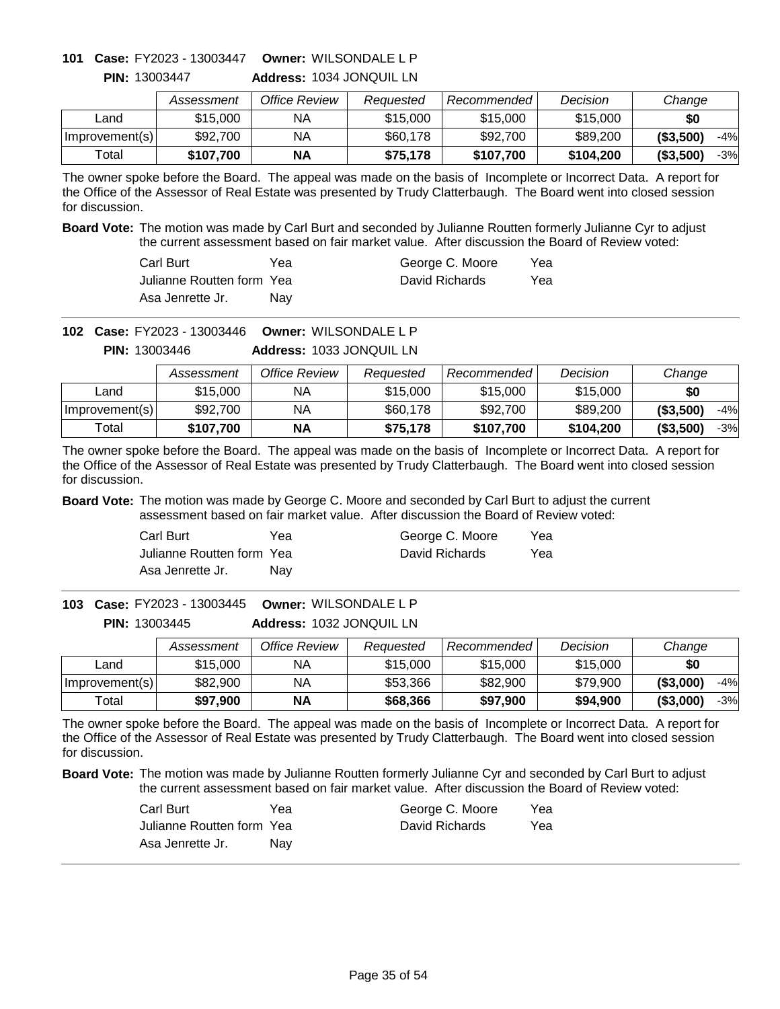# **Owner:** WILSONDALE L P **101 Case:** FY2023 - 13003447

|                | Assessment | Office Review | Reauested | Recommended | Decision  | Change              |
|----------------|------------|---------------|-----------|-------------|-----------|---------------------|
| ∟and           | \$15,000   | NA            | \$15,000  | \$15,000    | \$15,000  | \$0                 |
| Improvement(s) | \$92,700   | NА            | \$60,178  | \$92,700    | \$89,200  | ( \$3,500)<br>$-4%$ |
| Total          | \$107,700  | <b>NA</b>     | \$75.178  | \$107.700   | \$104,200 | (\$3,500)<br>-3%    |

**Address:** 1034 JONQUIL LN **PIN:** 13003447

The owner spoke before the Board. The appeal was made on the basis of Incomplete or Incorrect Data. A report for the Office of the Assessor of Real Estate was presented by Trudy Clatterbaugh. The Board went into closed session for discussion.

**Board Vote:** The motion was made by Carl Burt and seconded by Julianne Routten formerly Julianne Cyr to adjust the current assessment based on fair market value. After discussion the Board of Review voted:

| Carl Burt                  | Yea | George C. Moore | Yea |
|----------------------------|-----|-----------------|-----|
| Julianne Routten form Yeal |     | David Richards  | Yea |
| Asa Jenrette Jr.           | Nav |                 |     |

**Owner:** WILSONDALE L P **102 Case:** FY2023 - 13003446

**Address:** 1033 JONQUIL LN **PIN:** 13003446

|                | Assessment | Office Review | Reauested | Recommended | Decision  | Change              |
|----------------|------------|---------------|-----------|-------------|-----------|---------------------|
| Land           | \$15,000   | ΝA            | \$15,000  | \$15,000    | \$15,000  | \$0                 |
| Improvement(s) | \$92,700   | ΝA            | \$60,178  | \$92,700    | \$89,200  | ( \$3,500)<br>$-4%$ |
| Total          | \$107.700  | ΝA            | \$75.178  | \$107,700   | \$104,200 | ( \$3,500)<br>$-3%$ |

The owner spoke before the Board. The appeal was made on the basis of Incomplete or Incorrect Data. A report for the Office of the Assessor of Real Estate was presented by Trudy Clatterbaugh. The Board went into closed session for discussion.

**Board Vote:** The motion was made by George C. Moore and seconded by Carl Burt to adjust the current assessment based on fair market value. After discussion the Board of Review voted:

| Carl Burt                 | Yea | George C. Moore | Yea |
|---------------------------|-----|-----------------|-----|
| Julianne Routten form Yea |     | David Richards  | Yea |
| Asa Jenrette Jr.          | Nav |                 |     |

**Address:** 1032 JONQUIL LN **Owner:** WILSONDALE L P **103 Case:** FY2023 - 13003445 **PIN:** 13003445

|                | Assessment | Office Review | Reauested | Recommended | Decision | Change              |
|----------------|------------|---------------|-----------|-------------|----------|---------------------|
| _and           | \$15,000   | ΝA            | \$15,000  | \$15,000    | \$15,000 | \$0                 |
| Improvement(s) | \$82,900   | ΝA            | \$53,366  | \$82,900    | \$79.900 | ( \$3,000)<br>$-4%$ |
| Total          | \$97,900   | <b>NA</b>     | \$68,366  | \$97,900    | \$94,900 | ( \$3,000)<br>-3%   |

The owner spoke before the Board. The appeal was made on the basis of Incomplete or Incorrect Data. A report for the Office of the Assessor of Real Estate was presented by Trudy Clatterbaugh. The Board went into closed session for discussion.

| Carl Burt                 | Yea | George C. Moore | Yea |
|---------------------------|-----|-----------------|-----|
| Julianne Routten form Yea |     | David Richards  | Yea |
| Asa Jenrette Jr.          | Nav |                 |     |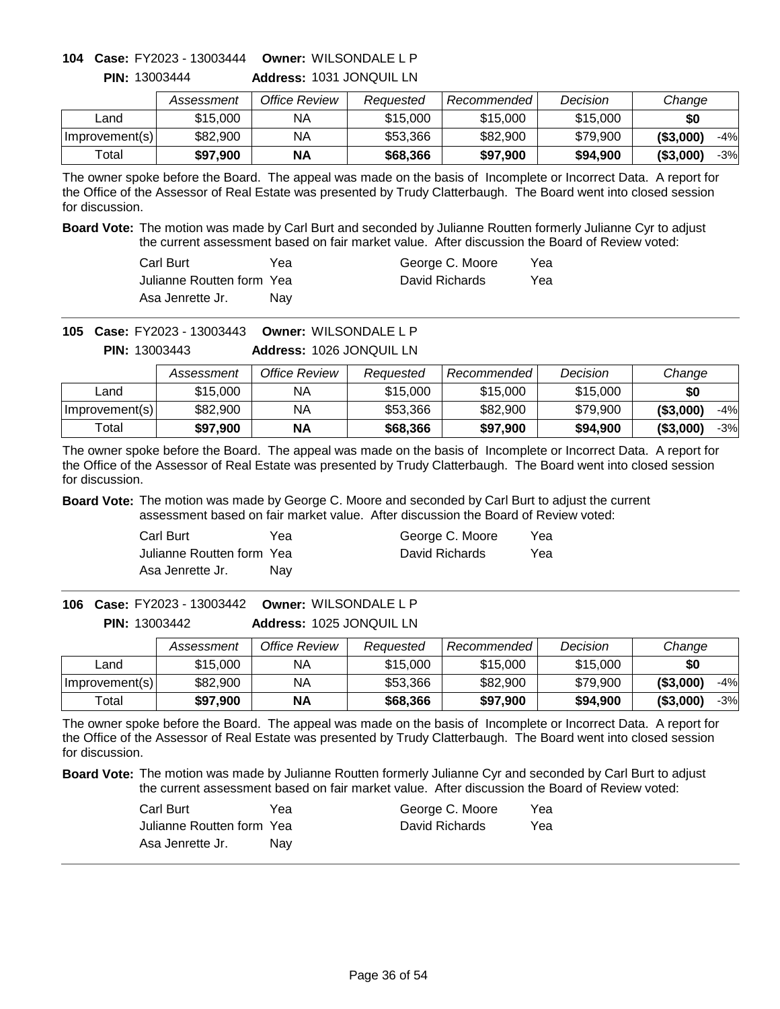### **Owner:** WILSONDALE L P **104 Case:** FY2023 - 13003444 **PIN:** 13003444

| <b>PIN: 13003444</b> |  |  | Address: 1031 JONQUIL LN |  |
|----------------------|--|--|--------------------------|--|
|                      |  |  |                          |  |

|                | Assessment | Office Review | Reauested | Recommended | Decision | Change              |
|----------------|------------|---------------|-----------|-------------|----------|---------------------|
| Land           | \$15,000   | NA            | \$15,000  | \$15,000    | \$15,000 | \$0                 |
| Improvement(s) | \$82,900   | NA            | \$53,366  | \$82.900    | \$79,900 | ( \$3,000)<br>$-4%$ |
| Total          | \$97,900   | NΑ            | \$68,366  | \$97,900    | \$94,900 | ( \$3,000)<br>-3%   |

The owner spoke before the Board. The appeal was made on the basis of Incomplete or Incorrect Data. A report for the Office of the Assessor of Real Estate was presented by Trudy Clatterbaugh. The Board went into closed session for discussion.

**Board Vote:** The motion was made by Carl Burt and seconded by Julianne Routten formerly Julianne Cyr to adjust the current assessment based on fair market value. After discussion the Board of Review voted:

| Carl Burt                  | Үеа | George C. Moore | Yea |
|----------------------------|-----|-----------------|-----|
| Julianne Routten form Yeal |     | David Richards  | Yea |
| Asa Jenrette Jr.           | Nav |                 |     |

**Owner:** WILSONDALE L P **105 Case:** FY2023 - 13003443

**Address:** 1026 JONQUIL LN **PIN:** 13003443

|                | Assessment | Office Review | Reauested | Recommended | Decision | Change              |
|----------------|------------|---------------|-----------|-------------|----------|---------------------|
| Land           | \$15,000   | NA            | \$15,000  | \$15,000    | \$15,000 | \$0                 |
| Improvement(s) | \$82,900   | ΝA            | \$53,366  | \$82,900    | \$79,900 | ( \$3,000)<br>$-4%$ |
| Total          | \$97,900   | ΝA            | \$68,366  | \$97,900    | \$94,900 | ( \$3,000)<br>$-3%$ |

The owner spoke before the Board. The appeal was made on the basis of Incomplete or Incorrect Data. A report for the Office of the Assessor of Real Estate was presented by Trudy Clatterbaugh. The Board went into closed session for discussion.

**Board Vote:** The motion was made by George C. Moore and seconded by Carl Burt to adjust the current assessment based on fair market value. After discussion the Board of Review voted:

| Carl Burt                 | Yea | George C. Moore | Yea |
|---------------------------|-----|-----------------|-----|
| Julianne Routten form Yea |     | David Richards  | Yea |
| Asa Jenrette Jr.          | Nav |                 |     |

**Address:** 1025 JONQUIL LN **Owner:** WILSONDALE L P **106 Case:** FY2023 - 13003442 **PIN:** 13003442

|                | Assessment | Office Review | Reauested | Recommended | Decision | Change              |
|----------------|------------|---------------|-----------|-------------|----------|---------------------|
| _and           | \$15,000   | NA            | \$15,000  | \$15,000    | \$15,000 | \$0                 |
| Improvement(s) | \$82,900   | NА            | \$53,366  | \$82,900    | \$79,900 | ( \$3,000)<br>$-4%$ |
| Total          | \$97,900   | <b>NA</b>     | \$68,366  | \$97,900    | \$94,900 | ( \$3,000)<br>-3%   |

The owner spoke before the Board. The appeal was made on the basis of Incomplete or Incorrect Data. A report for the Office of the Assessor of Real Estate was presented by Trudy Clatterbaugh. The Board went into closed session for discussion.

| Carl Burt                 | Yea | George C. Moore | Yea |
|---------------------------|-----|-----------------|-----|
| Julianne Routten form Yea |     | David Richards  | Yea |
| Asa Jenrette Jr.          | Nav |                 |     |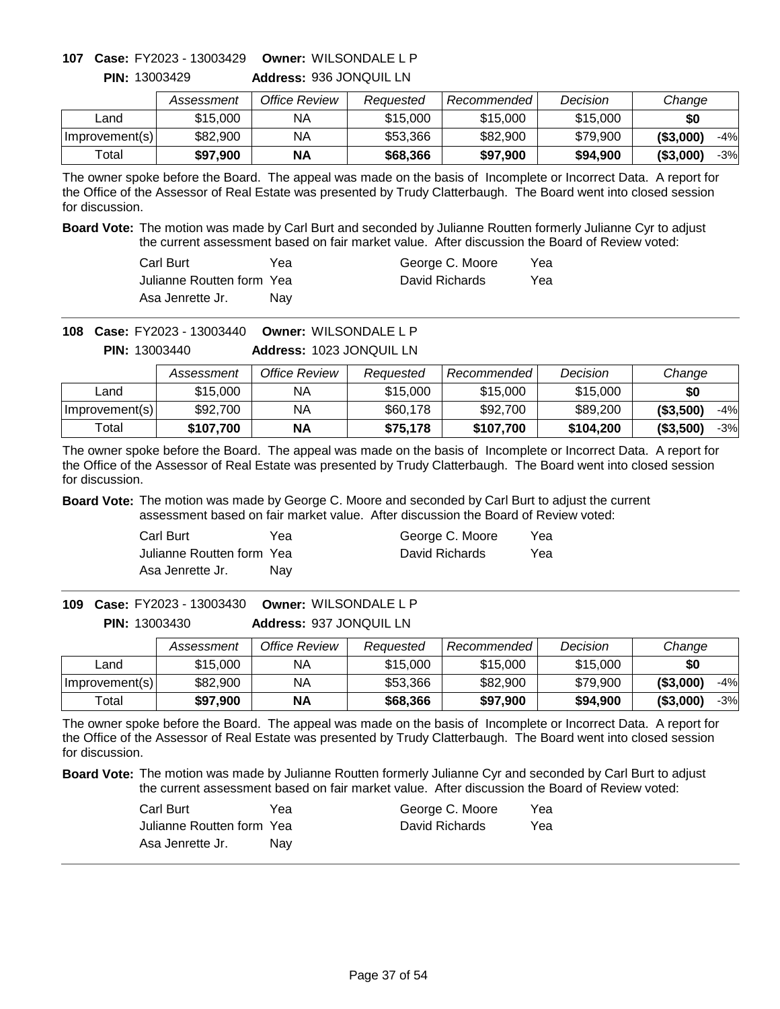# **Owner:** WILSONDALE L P **107 Case:** FY2023 - 13003429

**PIN:** 13003429

| _  _   _                |
|-------------------------|
| Address: 936 JONQUIL LN |

|                | Assessment | Office Review | Reauested | Recommended | Decision | Change              |
|----------------|------------|---------------|-----------|-------------|----------|---------------------|
| ∟and           | \$15,000   | ΝA            | \$15,000  | \$15,000    | \$15,000 | \$0                 |
| Improvement(s) | \$82,900   | NA            | \$53,366  | \$82,900    | \$79,900 | ( \$3,000)<br>$-4%$ |
| Total          | \$97.900   | <b>NA</b>     | \$68,366  | \$97,900    | \$94,900 | ( \$3,000)<br>$-3%$ |

The owner spoke before the Board. The appeal was made on the basis of Incomplete or Incorrect Data. A report for the Office of the Assessor of Real Estate was presented by Trudy Clatterbaugh. The Board went into closed session for discussion.

**Board Vote:** The motion was made by Carl Burt and seconded by Julianne Routten formerly Julianne Cyr to adjust the current assessment based on fair market value. After discussion the Board of Review voted:

| Carl Burt                  | Yea | George C. Moore | Yea |
|----------------------------|-----|-----------------|-----|
| Julianne Routten form Yeal |     | David Richards  | Yea |
| Asa Jenrette Jr.           | Nav |                 |     |

**Owner:** WILSONDALE L P **108 Case:** FY2023 - 13003440

**Address:** 1023 JONQUIL LN **PIN:** 13003440

|                | Assessment | Office Review | Reauested | Recommended | Decision  | Change              |
|----------------|------------|---------------|-----------|-------------|-----------|---------------------|
| Land           | \$15,000   | ΝA            | \$15,000  | \$15,000    | \$15,000  | \$0                 |
| Improvement(s) | \$92,700   | ΝA            | \$60,178  | \$92,700    | \$89,200  | ( \$3,500)<br>$-4%$ |
| Total          | \$107.700  | ΝA            | \$75.178  | \$107,700   | \$104,200 | ( \$3,500)<br>$-3%$ |

The owner spoke before the Board. The appeal was made on the basis of Incomplete or Incorrect Data. A report for the Office of the Assessor of Real Estate was presented by Trudy Clatterbaugh. The Board went into closed session for discussion.

**Board Vote:** The motion was made by George C. Moore and seconded by Carl Burt to adjust the current assessment based on fair market value. After discussion the Board of Review voted:

| Carl Burt                 | Yea | George C. Moore | Yea |
|---------------------------|-----|-----------------|-----|
| Julianne Routten form Yea |     | David Richards  | Yea |
| Asa Jenrette Jr.          | Nav |                 |     |

**Address:** 937 JONQUIL LN **Owner:** WILSONDALE L P **109 Case:** FY2023 - 13003430 **PIN:** 13003430

|                | Assessment | Office Review | Reauested | Recommended | Decision | Change              |
|----------------|------------|---------------|-----------|-------------|----------|---------------------|
| ∟and           | \$15,000   | NА            | \$15,000  | \$15,000    | \$15,000 | \$0                 |
| Improvement(s) | \$82,900   | NA            | \$53,366  | \$82,900    | \$79,900 | ( \$3,000]<br>$-4%$ |
| Total          | \$97,900   | <b>NA</b>     | \$68,366  | \$97,900    | \$94,900 | ( \$3,000]<br>$-3%$ |

The owner spoke before the Board. The appeal was made on the basis of Incomplete or Incorrect Data. A report for the Office of the Assessor of Real Estate was presented by Trudy Clatterbaugh. The Board went into closed session for discussion.

| Carl Burt                 | Yea | George C. Moore | Yea |
|---------------------------|-----|-----------------|-----|
| Julianne Routten form Yea |     | David Richards  | Yea |
| Asa Jenrette Jr.          | Nav |                 |     |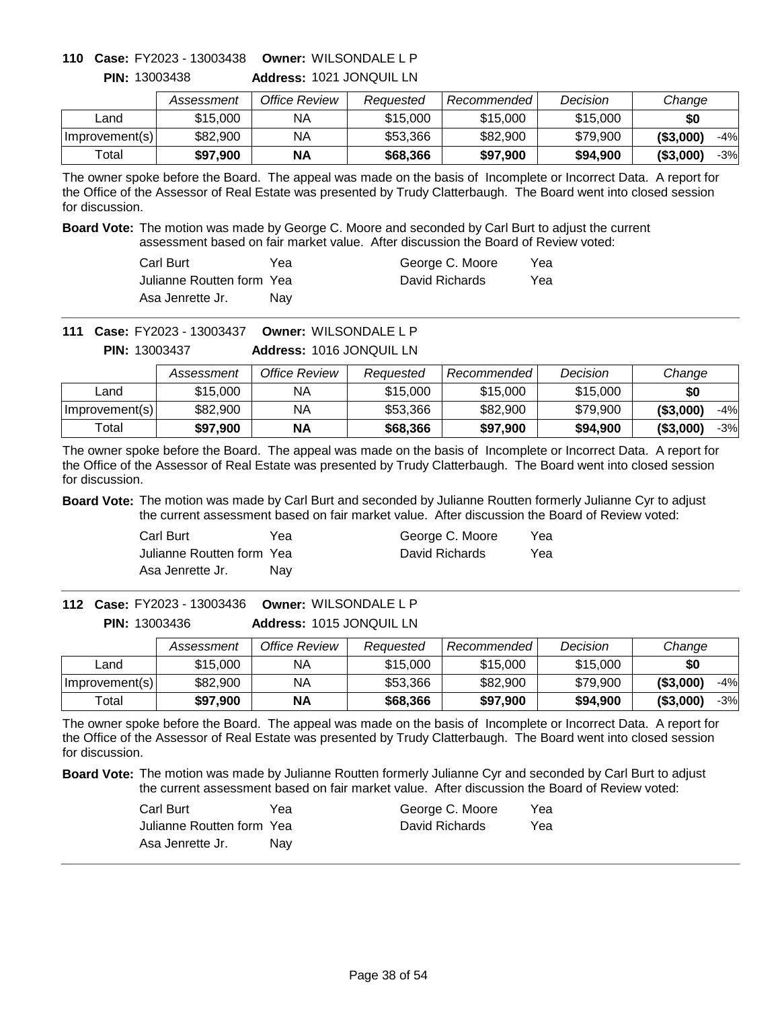# **Owner:** WILSONDALE L P **110 Case:** FY2023 - 13003438

|                | Assessment | Office Review | Reauested | Recommended | Decision | Change              |
|----------------|------------|---------------|-----------|-------------|----------|---------------------|
| Land           | \$15,000   | ΝA            | \$15,000  | \$15,000    | \$15,000 | \$0                 |
| Improvement(s) | \$82,900   | ΝA            | \$53,366  | \$82,900    | \$79,900 | ( \$3,000]<br>$-4%$ |
| Total          | \$97,900   | <b>NA</b>     | \$68,366  | \$97,900    | \$94,900 | $-3%$<br>( \$3,000] |

**Address:** 1021 JONQUIL LN **PIN:** 13003438

The owner spoke before the Board. The appeal was made on the basis of Incomplete or Incorrect Data. A report for the Office of the Assessor of Real Estate was presented by Trudy Clatterbaugh. The Board went into closed session for discussion.

**Board Vote:** The motion was made by George C. Moore and seconded by Carl Burt to adjust the current assessment based on fair market value. After discussion the Board of Review voted:

| Carl Burt                  | Yea        | George C. Moore | Yea |
|----------------------------|------------|-----------------|-----|
| Julianne Routten form Yeal |            | David Richards  | Yea |
| Asa Jenrette Jr.           | <b>Nav</b> |                 |     |

**Owner:** WILSONDALE L P **111 Case:** FY2023 - 13003437

**Address:** 1016 JONQUIL LN **PIN:** 13003437

|                | Assessment | Office Review | Reauested | Recommended | Decision | Change              |
|----------------|------------|---------------|-----------|-------------|----------|---------------------|
| Land           | \$15,000   | NA.           | \$15,000  | \$15,000    | \$15,000 | \$0                 |
| Improvement(s) | \$82,900   | NΑ            | \$53,366  | \$82,900    | \$79,900 | ( \$3,000]<br>$-4%$ |
| Total          | \$97.900   | <b>NA</b>     | \$68,366  | \$97,900    | \$94,900 | (\$3,000"<br>$-3%$  |

The owner spoke before the Board. The appeal was made on the basis of Incomplete or Incorrect Data. A report for the Office of the Assessor of Real Estate was presented by Trudy Clatterbaugh. The Board went into closed session for discussion.

**Board Vote:** The motion was made by Carl Burt and seconded by Julianne Routten formerly Julianne Cyr to adjust the current assessment based on fair market value. After discussion the Board of Review voted:

| Carl Burt                 | Yea | George C. Moore | Yea |
|---------------------------|-----|-----------------|-----|
| Julianne Routten form Yea |     | David Richards  | Yea |
| Asa Jenrette Jr.          | Nav |                 |     |

**Address:** 1015 JONQUIL LN **Owner:** WILSONDALE L P **112 Case:** FY2023 - 13003436 **PIN:** 13003436

|                | Assessment | Office Review | Reauested | Recommended | Decision | Change              |
|----------------|------------|---------------|-----------|-------------|----------|---------------------|
| Land           | \$15,000   | NA            | \$15,000  | \$15,000    | \$15,000 | \$0                 |
| Improvement(s) | \$82,900   | NA            | \$53,366  | \$82,900    | \$79,900 | ( \$3,000)<br>$-4%$ |
| Total          | \$97,900   | ΝA            | \$68,366  | \$97,900    | \$94,900 | ( \$3,000)<br>-3%   |

The owner spoke before the Board. The appeal was made on the basis of Incomplete or Incorrect Data. A report for the Office of the Assessor of Real Estate was presented by Trudy Clatterbaugh. The Board went into closed session for discussion.

| Carl Burt                 | Yea | George C. Moore | Yea |
|---------------------------|-----|-----------------|-----|
| Julianne Routten form Yea |     | David Richards  | Yea |
| Asa Jenrette Jr.          | Nav |                 |     |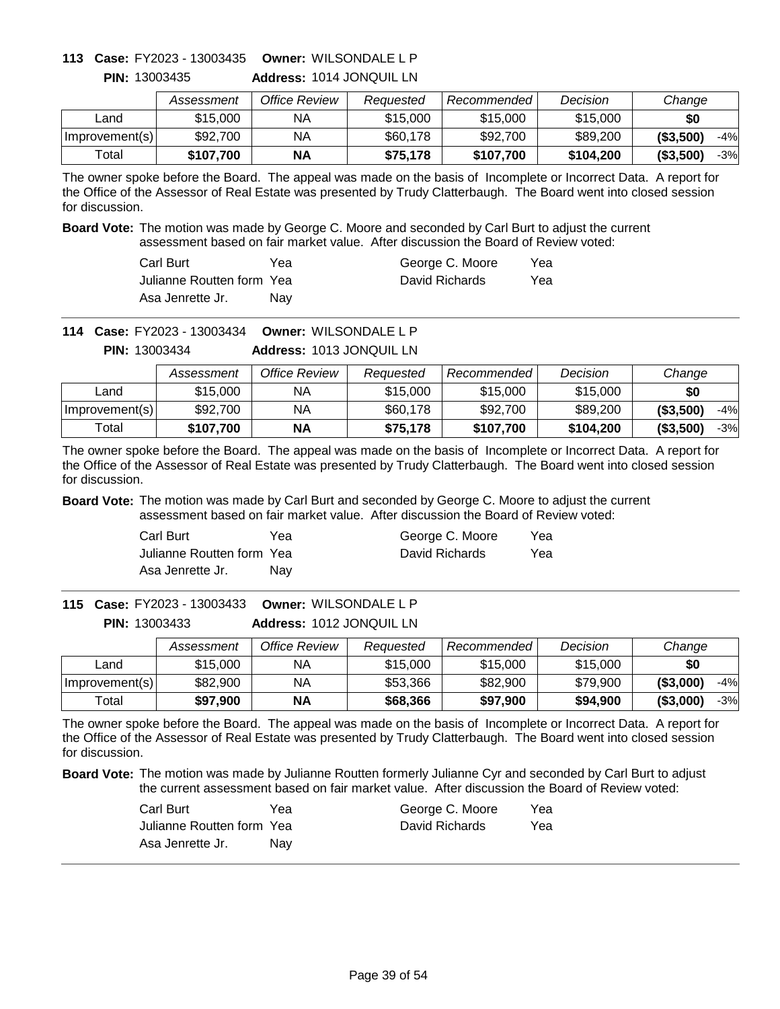# **Owner:** WILSONDALE L P **113 Case:** FY2023 - 13003435

|                | Assessment | Office Review | Requested | Recommended | Decision  | Change    |
|----------------|------------|---------------|-----------|-------------|-----------|-----------|
| Land           | \$15,000   | ΝA            | \$15,000  | \$15,000    | \$15,000  | \$0       |
| Improvement(s) | \$92,700   | ΝA            | \$60,178  | \$92,700    | \$89,200  | (\$3,500) |
| Total          | \$107,700  | ΝA            | \$75,178  | \$107,700   | \$104,200 | (\$3,500) |

-4% -3%

**Address:** 1014 JONQUIL LN **PIN:** 13003435

The owner spoke before the Board. The appeal was made on the basis of Incomplete or Incorrect Data. A report for the Office of the Assessor of Real Estate was presented by Trudy Clatterbaugh. The Board went into closed session for discussion.

**Board Vote:** The motion was made by George C. Moore and seconded by Carl Burt to adjust the current assessment based on fair market value. After discussion the Board of Review voted:

| Carl Burt                  | Үеа | George C. Moore | Yea |
|----------------------------|-----|-----------------|-----|
| Julianne Routten form Yeal |     | David Richards  | Yea |
| Asa Jenrette Jr.           | Nav |                 |     |

**Owner:** WILSONDALE L P **114 Case:** FY2023 - 13003434

**Address:** 1013 JONQUIL LN **PIN:** 13003434

|                | Assessment | Office Review | Reauested | Recommended | Decision  | Change              |
|----------------|------------|---------------|-----------|-------------|-----------|---------------------|
| Land           | \$15,000   | ΝA            | \$15,000  | \$15,000    | \$15,000  | \$0                 |
| Improvement(s) | \$92,700   | NA            | \$60,178  | \$92,700    | \$89,200  | ( \$3,500)<br>$-4%$ |
| Total          | \$107.700  | <b>NA</b>     | \$75.178  | \$107,700   | \$104,200 | (\$3,500)<br>$-3%$  |

The owner spoke before the Board. The appeal was made on the basis of Incomplete or Incorrect Data. A report for the Office of the Assessor of Real Estate was presented by Trudy Clatterbaugh. The Board went into closed session for discussion.

**Board Vote:** The motion was made by Carl Burt and seconded by George C. Moore to adjust the current assessment based on fair market value. After discussion the Board of Review voted:

| Carl Burt                 | Yea | George C. Moore | Yea |
|---------------------------|-----|-----------------|-----|
| Julianne Routten form Yea |     | David Richards  | Yea |
| Asa Jenrette Jr.          | Nav |                 |     |

**Address:** 1012 JONQUIL LN **Owner:** WILSONDALE L P **115 Case:** FY2023 - 13003433 **PIN:** 13003433

|                | Assessment | Office Review | Reauested | Recommended | Decision | Change              |
|----------------|------------|---------------|-----------|-------------|----------|---------------------|
| Land           | \$15,000   | NА            | \$15,000  | \$15,000    | \$15,000 | \$0                 |
| Improvement(s) | \$82,900   | NА            | \$53,366  | \$82,900    | \$79.900 | ( \$3,000)<br>$-4%$ |
| Total          | \$97.900   | <b>NA</b>     | \$68,366  | \$97,900    | \$94,900 | ( \$3,000)<br>$-3%$ |

The owner spoke before the Board. The appeal was made on the basis of Incomplete or Incorrect Data. A report for the Office of the Assessor of Real Estate was presented by Trudy Clatterbaugh. The Board went into closed session for discussion.

| Carl Burt                 | Yea | George C. Moore | Yea |
|---------------------------|-----|-----------------|-----|
| Julianne Routten form Yea |     | David Richards  | Yea |
| Asa Jenrette Jr.          | Nav |                 |     |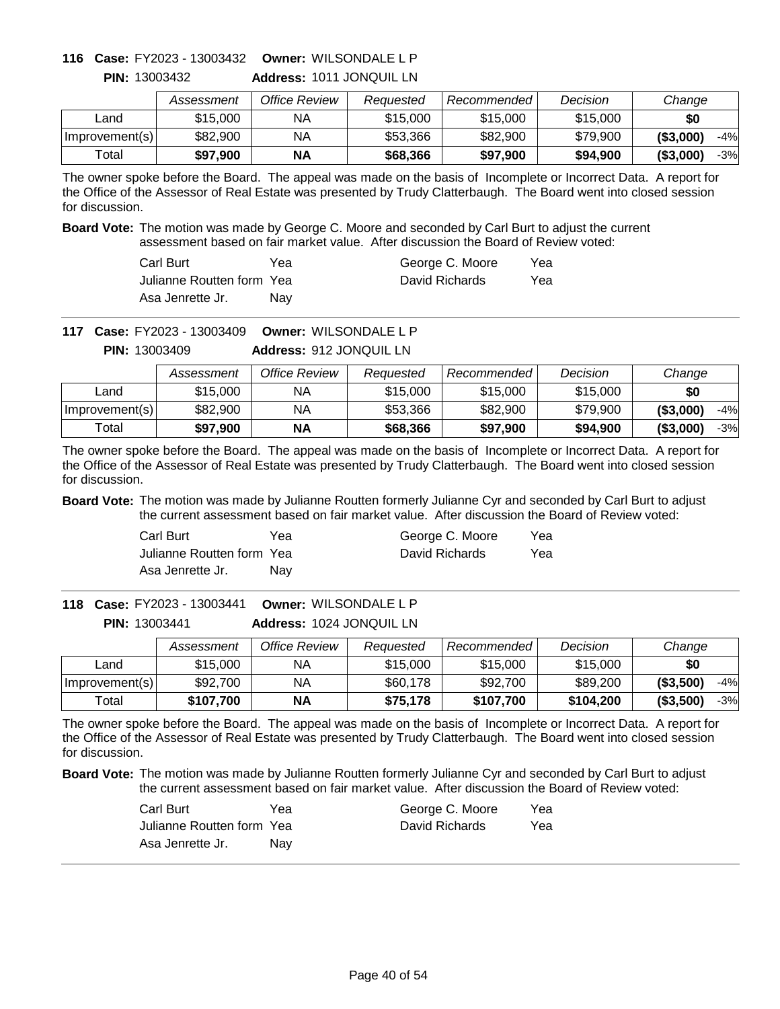# **Owner:** WILSONDALE L P **116 Case:** FY2023 - 13003432

**PIN:** 13003432

**Address:** 1011 JONQUIL LN

|                | Assessment | Office Review | Reauested | Recommended | Decision | Change              |
|----------------|------------|---------------|-----------|-------------|----------|---------------------|
| _and           | \$15,000   | ΝA            | \$15,000  | \$15,000    | \$15,000 | \$0                 |
| Improvement(s) | \$82,900   | ΝA            | \$53.366  | \$82,900    | \$79,900 | ( \$3,000)<br>$-4%$ |
| Total          | \$97.900   | <b>NA</b>     | \$68,366  | \$97,900    | \$94,900 | ( \$3,000]<br>$-3%$ |

The owner spoke before the Board. The appeal was made on the basis of Incomplete or Incorrect Data. A report for the Office of the Assessor of Real Estate was presented by Trudy Clatterbaugh. The Board went into closed session for discussion.

**Board Vote:** The motion was made by George C. Moore and seconded by Carl Burt to adjust the current assessment based on fair market value. After discussion the Board of Review voted:

| Carl Burt                  | Yea        | George C. Moore | Yea |
|----------------------------|------------|-----------------|-----|
| Julianne Routten form Yeal |            | David Richards  | Yea |
| Asa Jenrette Jr.           | <b>Nav</b> |                 |     |

**Owner:** WILSONDALE L P **117 Case:** FY2023 - 13003409

**Address:** 912 JONQUIL LN **PIN:** 13003409

|                | Assessment | Office Review | Reauested | Recommended | Decision | Change              |
|----------------|------------|---------------|-----------|-------------|----------|---------------------|
| Land           | \$15,000   | NA.           | \$15,000  | \$15,000    | \$15,000 | \$0                 |
| Improvement(s) | \$82,900   | NΑ            | \$53,366  | \$82,900    | \$79,900 | ( \$3,000]<br>$-4%$ |
| Total          | \$97.900   | <b>NA</b>     | \$68,366  | \$97,900    | \$94,900 | (\$3,000"<br>$-3%$  |

The owner spoke before the Board. The appeal was made on the basis of Incomplete or Incorrect Data. A report for the Office of the Assessor of Real Estate was presented by Trudy Clatterbaugh. The Board went into closed session for discussion.

**Board Vote:** The motion was made by Julianne Routten formerly Julianne Cyr and seconded by Carl Burt to adjust the current assessment based on fair market value. After discussion the Board of Review voted:

| Carl Burt                 | Yea | George C. Moore | Yea |
|---------------------------|-----|-----------------|-----|
| Julianne Routten form Yea |     | David Richards  | Yea |
| Asa Jenrette Jr.          | Nav |                 |     |

**Address:** 1024 JONQUIL LN **Owner:** WILSONDALE L P **118 Case:** FY2023 - 13003441 **PIN:** 13003441

|                | Assessment | Office Review | Reauested | Recommended | Decision  | Change              |
|----------------|------------|---------------|-----------|-------------|-----------|---------------------|
| Land           | \$15,000   | NА            | \$15,000  | \$15,000    | \$15,000  | \$0                 |
| Improvement(s) | \$92,700   | NА            | \$60,178  | \$92,700    | \$89,200  | ( \$3,500)<br>$-4%$ |
| Total          | \$107.700  | <b>NA</b>     | \$75.178  | \$107,700   | \$104,200 | ( \$3,500)<br>$-3%$ |

The owner spoke before the Board. The appeal was made on the basis of Incomplete or Incorrect Data. A report for the Office of the Assessor of Real Estate was presented by Trudy Clatterbaugh. The Board went into closed session for discussion.

| Carl Burt                 | Yea | George C. Moore | Yea |
|---------------------------|-----|-----------------|-----|
| Julianne Routten form Yea |     | David Richards  | Yea |
| Asa Jenrette Jr.          | Nav |                 |     |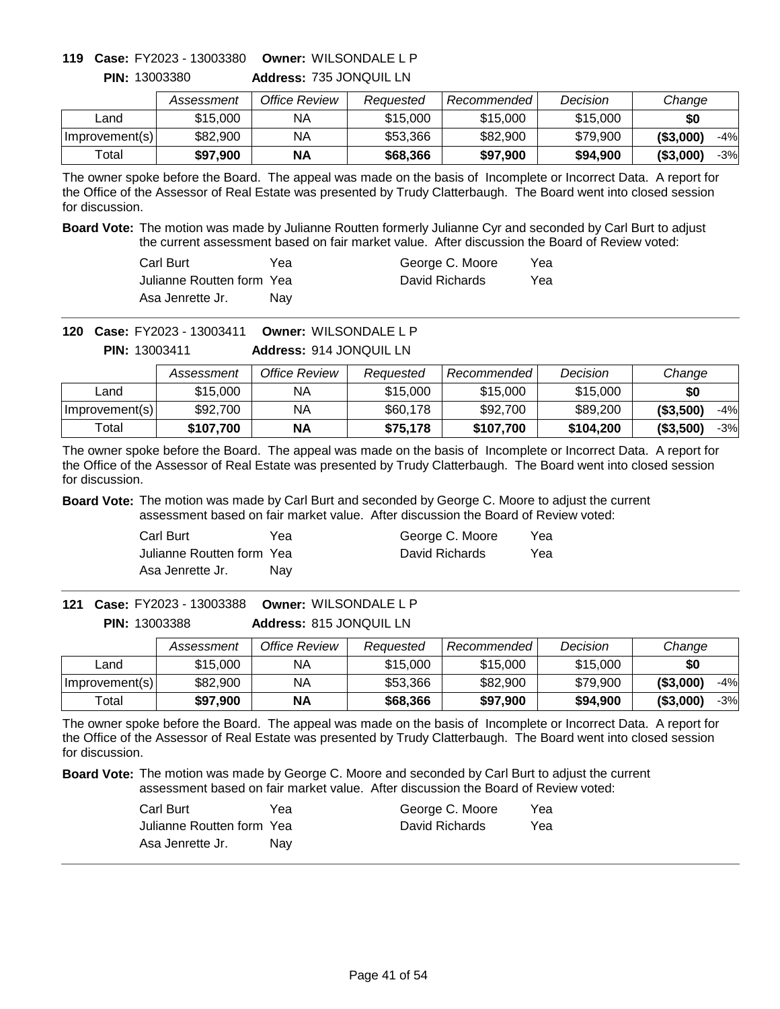# **Owner:** WILSONDALE L P **119 Case:** FY2023 - 13003380

|                | Assessment | Office Review | Reauested | Recommended | Decision | Change              |
|----------------|------------|---------------|-----------|-------------|----------|---------------------|
| ∟and           | \$15,000   | ΝA            | \$15,000  | \$15,000    | \$15,000 | \$0                 |
| Improvement(s) | \$82,900   | ΝA            | \$53,366  | \$82,900    | \$79.900 | $-4%$<br>( \$3,000] |
| Total          | \$97,900   | ΝA            | \$68,366  | \$97,900    | \$94,900 | ( \$3,000]<br>$-3%$ |

**Address:** 735 JONQUIL LN **PIN:** 13003380

The owner spoke before the Board. The appeal was made on the basis of Incomplete or Incorrect Data. A report for the Office of the Assessor of Real Estate was presented by Trudy Clatterbaugh. The Board went into closed session for discussion.

**Board Vote:** The motion was made by Julianne Routten formerly Julianne Cyr and seconded by Carl Burt to adjust the current assessment based on fair market value. After discussion the Board of Review voted:

| Carl Burt                  | Yea | George C. Moore | Yea |
|----------------------------|-----|-----------------|-----|
| Julianne Routten form Yeal |     | David Richards  | Yea |
| Asa Jenrette Jr.           | Nav |                 |     |

**Owner:** WILSONDALE L P **120 Case:** FY2023 - 13003411

> **Address:** 914 JONQUIL LN **PIN:** 13003411

|                | Assessment | Office Review | Reauested | Recommended | Decision  | Change              |
|----------------|------------|---------------|-----------|-------------|-----------|---------------------|
| Land           | \$15,000   | ΝA            | \$15,000  | \$15,000    | \$15,000  | \$0                 |
| Improvement(s) | \$92,700   | ΝA            | \$60,178  | \$92,700    | \$89,200  | ( \$3,500)<br>$-4%$ |
| Total          | \$107.700  | <b>NA</b>     | \$75,178  | \$107.700   | \$104.200 | (\$3,500)<br>$-3%$  |

The owner spoke before the Board. The appeal was made on the basis of Incomplete or Incorrect Data. A report for the Office of the Assessor of Real Estate was presented by Trudy Clatterbaugh. The Board went into closed session for discussion.

**Board Vote:** The motion was made by Carl Burt and seconded by George C. Moore to adjust the current assessment based on fair market value. After discussion the Board of Review voted:

| Carl Burt                 | Yea | George C. Moore | Yea |
|---------------------------|-----|-----------------|-----|
| Julianne Routten form Yea |     | David Richards  | Yea |
| Asa Jenrette Jr.          | Nav |                 |     |

**Address:** 815 JONQUIL LN **Owner:** WILSONDALE L P **121 Case:** FY2023 - 13003388 **PIN:** 13003388

|                | Assessment | Office Review | Reauested | Recommended | Decision | Change              |
|----------------|------------|---------------|-----------|-------------|----------|---------------------|
| Land           | \$15,000   | NA            | \$15,000  | \$15,000    | \$15,000 | \$0                 |
| Improvement(s) | \$82,900   | NA            | \$53,366  | \$82,900    | \$79.900 | ( \$3,000)<br>$-4%$ |
| ™otal          | \$97,900   | <b>NA</b>     | \$68,366  | \$97,900    | \$94.900 | ( \$3,000)<br>-3%   |

The owner spoke before the Board. The appeal was made on the basis of Incomplete or Incorrect Data. A report for the Office of the Assessor of Real Estate was presented by Trudy Clatterbaugh. The Board went into closed session for discussion.

| Carl Burt                 | Yea | George C. Moore | Yea |
|---------------------------|-----|-----------------|-----|
| Julianne Routten form Yea |     | David Richards  | Yea |
| Asa Jenrette Jr.          | Nav |                 |     |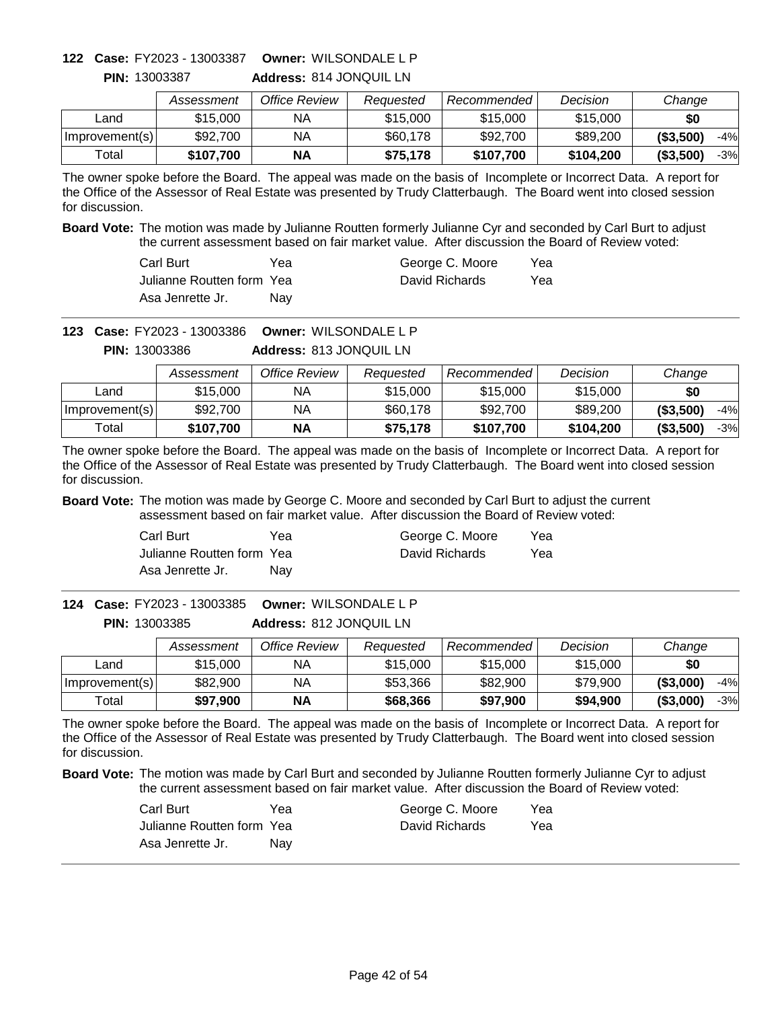### **Owner:** WILSONDALE L P **122 Case:** FY2023 - 13003387

**PIN:** 13003387

**Address:** 814 JONQUIL LN

|                | Assessment | Office Review | Reauested | Recommended | Decision  | Change              |
|----------------|------------|---------------|-----------|-------------|-----------|---------------------|
| _and           | \$15,000   | ΝA            | \$15,000  | \$15,000    | \$15,000  | \$0                 |
| Improvement(s) | \$92,700   | ΝA            | \$60,178  | \$92,700    | \$89,200  | ( \$3,500)<br>$-4%$ |
| Total          | \$107.700  | ΝA            | \$75.178  | \$107,700   | \$104,200 | ( \$3,500)<br>$-3%$ |

The owner spoke before the Board. The appeal was made on the basis of Incomplete or Incorrect Data. A report for the Office of the Assessor of Real Estate was presented by Trudy Clatterbaugh. The Board went into closed session for discussion.

**Board Vote:** The motion was made by Julianne Routten formerly Julianne Cyr and seconded by Carl Burt to adjust the current assessment based on fair market value. After discussion the Board of Review voted:

| Carl Burt                  | Yea | George C. Moore | Yea |
|----------------------------|-----|-----------------|-----|
| Julianne Routten form Yeal |     | David Richards  | Yea |
| Asa Jenrette Jr.           | Nav |                 |     |

**Owner:** WILSONDALE L P **123 Case:** FY2023 - 13003386

**Address:** 813 JONQUIL LN **PIN:** 13003386

|                | Assessment | Office Review | Reauested | Recommended | Decision  | Change              |
|----------------|------------|---------------|-----------|-------------|-----------|---------------------|
| Land           | \$15,000   | ΝA            | \$15,000  | \$15,000    | \$15,000  | \$0                 |
| Improvement(s) | \$92,700   | NА            | \$60,178  | \$92,700    | \$89,200  | ( \$3,500)<br>$-4%$ |
| Total          | \$107.700  | <b>NA</b>     | \$75.178  | \$107,700   | \$104,200 | ( \$3,500)<br>$-3%$ |

The owner spoke before the Board. The appeal was made on the basis of Incomplete or Incorrect Data. A report for the Office of the Assessor of Real Estate was presented by Trudy Clatterbaugh. The Board went into closed session for discussion.

**Board Vote:** The motion was made by George C. Moore and seconded by Carl Burt to adjust the current assessment based on fair market value. After discussion the Board of Review voted:

| Carl Burt                 | Yea | George C. Moore | Yea |
|---------------------------|-----|-----------------|-----|
| Julianne Routten form Yea |     | David Richards  | Yea |
| Asa Jenrette Jr.          | Nav |                 |     |

**Address:** 812 JONQUIL LN **Owner:** WILSONDALE L P **124 Case:** FY2023 - 13003385 **PIN:** 13003385

|                | Assessment | Office Review | Reauested | Recommended | Decision | Change              |
|----------------|------------|---------------|-----------|-------------|----------|---------------------|
| ∟and           | \$15,000   | ΝA            | \$15,000  | \$15,000    | \$15,000 | \$0                 |
| Improvement(s) | \$82,900   | NA            | \$53,366  | \$82,900    | \$79,900 | ( \$3,000)<br>$-4%$ |
| Total          | \$97,900   | <b>NA</b>     | \$68,366  | \$97,900    | \$94,900 | ( \$3,000)<br>-3%   |

The owner spoke before the Board. The appeal was made on the basis of Incomplete or Incorrect Data. A report for the Office of the Assessor of Real Estate was presented by Trudy Clatterbaugh. The Board went into closed session for discussion.

| Carl Burt                 | Yea | George C. Moore | Yea |
|---------------------------|-----|-----------------|-----|
| Julianne Routten form Yea |     | David Richards  | Yea |
| Asa Jenrette Jr.          | Nav |                 |     |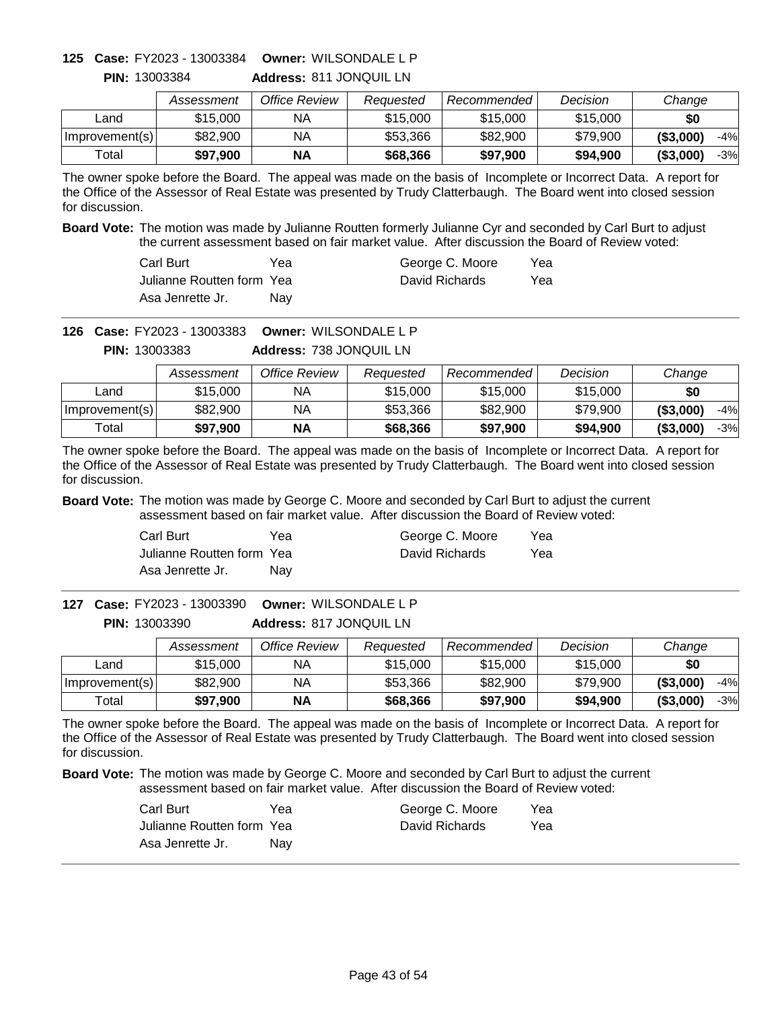# **Owner:** WILSONDALE L P **125 Case:** FY2023 - 13003384

**PIN:** 13003384

**Address:** 811 JONQUIL LN

|                | Assessment | Office Review | Reauested | Recommended | Decision | Change              |
|----------------|------------|---------------|-----------|-------------|----------|---------------------|
| _and           | \$15,000   | ΝA            | \$15,000  | \$15,000    | \$15,000 | \$0                 |
| Improvement(s) | \$82,900   | ΝA            | \$53.366  | \$82,900    | \$79,900 | ( \$3,000)<br>$-4%$ |
| Total          | \$97.900   | <b>NA</b>     | \$68,366  | \$97,900    | \$94,900 | ( \$3,000]<br>$-3%$ |

The owner spoke before the Board. The appeal was made on the basis of Incomplete or Incorrect Data. A report for the Office of the Assessor of Real Estate was presented by Trudy Clatterbaugh. The Board went into closed session for discussion.

**Board Vote:** The motion was made by Julianne Routten formerly Julianne Cyr and seconded by Carl Burt to adjust the current assessment based on fair market value. After discussion the Board of Review voted:

| Carl Burt                  | Yea | George C. Moore | Yea |
|----------------------------|-----|-----------------|-----|
| Julianne Routten form Yeal |     | David Richards  | Yea |
| Asa Jenrette Jr.           | Nav |                 |     |

**Owner:** WILSONDALE L P **126 Case:** FY2023 - 13003383

**Address:** 738 JONQUIL LN **PIN:** 13003383

|                | Assessment | Office Review | Reauested | Recommended | Decision | Change              |
|----------------|------------|---------------|-----------|-------------|----------|---------------------|
| Land           | \$15,000   | ΝA            | \$15,000  | \$15,000    | \$15,000 | \$0                 |
| Improvement(s) | \$82,900   | NA            | \$53,366  | \$82,900    | \$79.900 | ( \$3,000)<br>$-4%$ |
| Total          | \$97,900   | <b>NA</b>     | \$68,366  | \$97,900    | \$94.900 | ( \$3,000]<br>$-3%$ |

The owner spoke before the Board. The appeal was made on the basis of Incomplete or Incorrect Data. A report for the Office of the Assessor of Real Estate was presented by Trudy Clatterbaugh. The Board went into closed session for discussion.

**Board Vote:** The motion was made by George C. Moore and seconded by Carl Burt to adjust the current assessment based on fair market value. After discussion the Board of Review voted:

| Carl Burt                 | Yea | George C. Moore | Yea |
|---------------------------|-----|-----------------|-----|
| Julianne Routten form Yea |     | David Richards  | Yea |
| Asa Jenrette Jr.          | Nav |                 |     |

**Address:** 817 JONQUIL LN **Owner:** WILSONDALE L P **127 Case:** FY2023 - 13003390 **PIN:** 13003390

|                | Assessment | Office Review | Reauested | Recommended | Decision | Change              |
|----------------|------------|---------------|-----------|-------------|----------|---------------------|
| ∟and           | \$15,000   | ΝA            | \$15,000  | \$15,000    | \$15,000 | \$0                 |
| Improvement(s) | \$82,900   | NA            | \$53,366  | \$82,900    | \$79,900 | ( \$3,000)<br>$-4%$ |
| Total          | \$97,900   | <b>NA</b>     | \$68,366  | \$97,900    | \$94,900 | ( \$3,000)<br>-3%   |

The owner spoke before the Board. The appeal was made on the basis of Incomplete or Incorrect Data. A report for the Office of the Assessor of Real Estate was presented by Trudy Clatterbaugh. The Board went into closed session for discussion.

| Carl Burt                 | Yea | George C. Moore | Yea |
|---------------------------|-----|-----------------|-----|
| Julianne Routten form Yea |     | David Richards  | Yea |
| Asa Jenrette Jr.          | Nav |                 |     |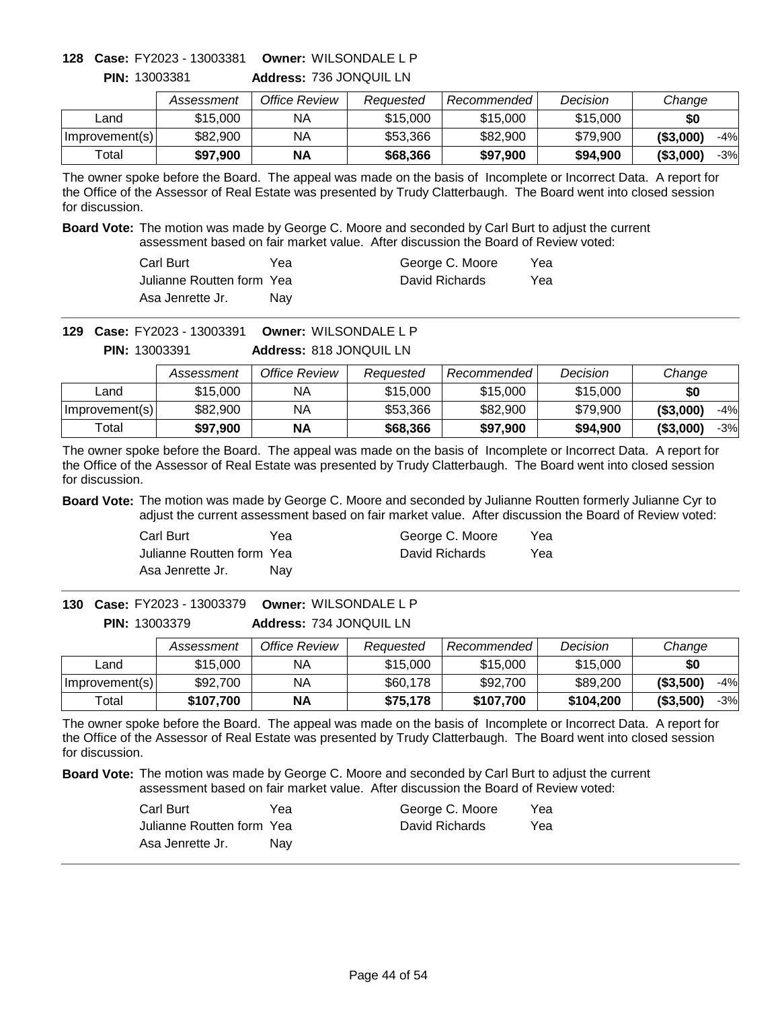### **Owner:** WILSONDALE L P **128 Case:** FY2023 - 13003381

**PIN:** 13003381

**Address:** 736 JONQUIL LN

|                | Assessment | Office Review | Reauested | Recommended | Decision | Change              |
|----------------|------------|---------------|-----------|-------------|----------|---------------------|
| Land           | \$15,000   | ΝA            | \$15,000  | \$15,000    | \$15,000 | \$0                 |
| Improvement(s) | \$82,900   | ΝA            | \$53,366  | \$82,900    | \$79,900 | ( \$3,000)<br>$-4%$ |
| Total          | \$97.900   | <b>NA</b>     | \$68,366  | \$97,900    | \$94,900 | ( \$3,000)<br>$-3%$ |

The owner spoke before the Board. The appeal was made on the basis of Incomplete or Incorrect Data. A report for the Office of the Assessor of Real Estate was presented by Trudy Clatterbaugh. The Board went into closed session for discussion.

**Board Vote:** The motion was made by George C. Moore and seconded by Carl Burt to adjust the current assessment based on fair market value. After discussion the Board of Review voted:

| Carl Burt                  | Yea        | George C. Moore | Yea |
|----------------------------|------------|-----------------|-----|
| Julianne Routten form Yeal |            | David Richards  | Yea |
| Asa Jenrette Jr.           | <b>Nav</b> |                 |     |

**Owner:** WILSONDALE L P **129 Case:** FY2023 - 13003391

> **Address:** 818 JONQUIL LN **PIN:** 13003391

|                | Assessment | Office Review | Reauested | Recommended | Decision | Change              |
|----------------|------------|---------------|-----------|-------------|----------|---------------------|
| Land           | \$15,000   | ΝA            | \$15,000  | \$15,000    | \$15,000 | \$0                 |
| Improvement(s) | \$82,900   | NA            | \$53,366  | \$82,900    | \$79.900 | ( \$3,000]<br>$-4%$ |
| Total          | \$97,900   | <b>NA</b>     | \$68,366  | \$97,900    | \$94,900 | ( \$3,000]<br>$-3%$ |

The owner spoke before the Board. The appeal was made on the basis of Incomplete or Incorrect Data. A report for the Office of the Assessor of Real Estate was presented by Trudy Clatterbaugh. The Board went into closed session for discussion.

**Board Vote:** The motion was made by George C. Moore and seconded by Julianne Routten formerly Julianne Cyr to adjust the current assessment based on fair market value. After discussion the Board of Review voted:

| Carl Burt                 | Yea | George C. Moore | Yea |
|---------------------------|-----|-----------------|-----|
| Julianne Routten form Yea |     | David Richards  | Yea |
| Asa Jenrette Jr.          | Nav |                 |     |

**Address:** 734 JONQUIL LN **Owner:** WILSONDALE L P **130 Case:** FY2023 - 13003379 **PIN:** 13003379

|                | Assessment | Office Review | Reauested | Recommended | Decision  | Change              |
|----------------|------------|---------------|-----------|-------------|-----------|---------------------|
| Land           | \$15,000   | ΝA            | \$15,000  | \$15,000    | \$15,000  | \$0                 |
| Improvement(s) | \$92,700   | NA            | \$60,178  | \$92,700    | \$89,200  | ( \$3,500)<br>$-4%$ |
| Total          | \$107,700  | <b>NA</b>     | \$75,178  | \$107.700   | \$104.200 | ( \$3,500)<br>-3%   |

The owner spoke before the Board. The appeal was made on the basis of Incomplete or Incorrect Data. A report for the Office of the Assessor of Real Estate was presented by Trudy Clatterbaugh. The Board went into closed session for discussion.

| Carl Burt                 | Yea | George C. Moore | Yea |
|---------------------------|-----|-----------------|-----|
| Julianne Routten form Yea |     | David Richards  | Yea |
| Asa Jenrette Jr.          | Nav |                 |     |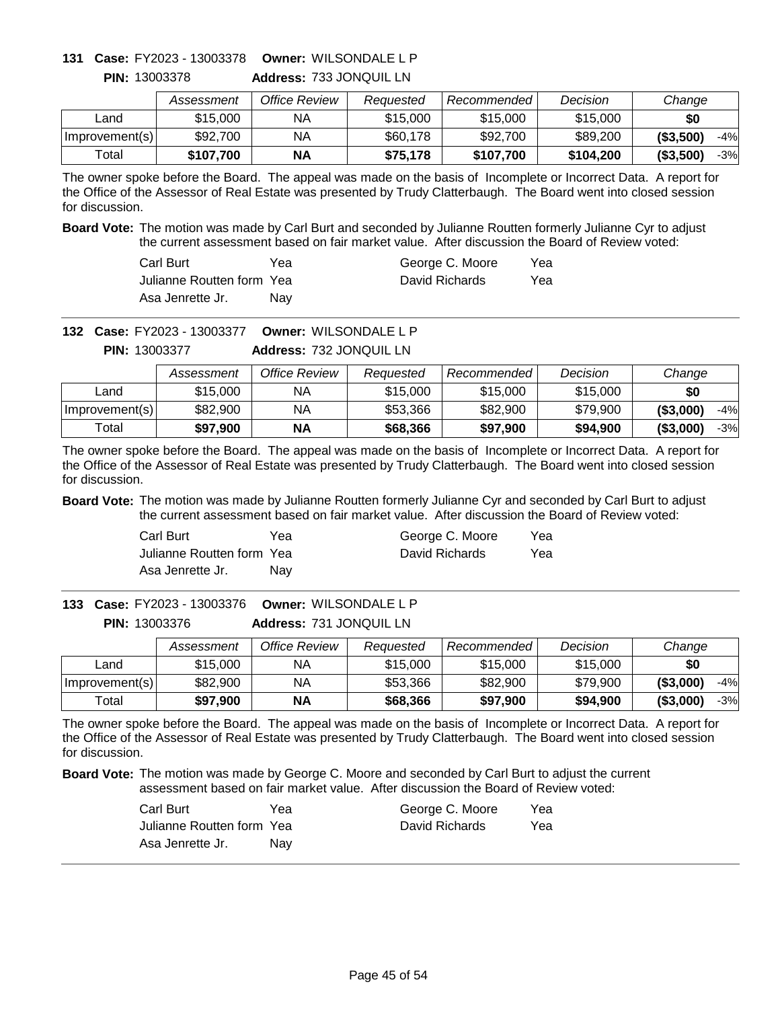# **Owner:** WILSONDALE L P **131 Case:** FY2023 - 13003378

**PIN:** 13003378

**Address:** 733 JONQUIL LN

|                | Assessment | Office Review | Reauested | Recommended | Decision  | Change              |
|----------------|------------|---------------|-----------|-------------|-----------|---------------------|
| ∟and           | \$15,000   | ΝA            | \$15,000  | \$15,000    | \$15,000  | \$0                 |
| Improvement(s) | \$92,700   | NA            | \$60,178  | \$92,700    | \$89,200  | ( \$3,500)<br>$-4%$ |
| Total          | \$107.700  | ΝA            | \$75.178  | \$107,700   | \$104,200 | ( \$3,500)<br>-3%   |

The owner spoke before the Board. The appeal was made on the basis of Incomplete or Incorrect Data. A report for the Office of the Assessor of Real Estate was presented by Trudy Clatterbaugh. The Board went into closed session for discussion.

**Board Vote:** The motion was made by Carl Burt and seconded by Julianne Routten formerly Julianne Cyr to adjust the current assessment based on fair market value. After discussion the Board of Review voted:

| Carl Burt                  | Үеа | George C. Moore | Yea |
|----------------------------|-----|-----------------|-----|
| Julianne Routten form Yeal |     | David Richards  | Yea |
| Asa Jenrette Jr.           | Nav |                 |     |

**Owner:** WILSONDALE L P **132 Case:** FY2023 - 13003377

**Address:** 732 JONQUIL LN **PIN:** 13003377

|                | Assessment | Office Review | Reauested | Recommended | Decision | Change              |
|----------------|------------|---------------|-----------|-------------|----------|---------------------|
| Land           | \$15,000   | NA.           | \$15,000  | \$15,000    | \$15,000 | \$0                 |
| Improvement(s) | \$82,900   | NΑ            | \$53,366  | \$82,900    | \$79,900 | ( \$3,000]<br>$-4%$ |
| Total          | \$97.900   | <b>NA</b>     | \$68,366  | \$97,900    | \$94,900 | (\$3,000"<br>$-3%$  |

The owner spoke before the Board. The appeal was made on the basis of Incomplete or Incorrect Data. A report for the Office of the Assessor of Real Estate was presented by Trudy Clatterbaugh. The Board went into closed session for discussion.

**Board Vote:** The motion was made by Julianne Routten formerly Julianne Cyr and seconded by Carl Burt to adjust the current assessment based on fair market value. After discussion the Board of Review voted:

| Carl Burt                 | Yea | George C. Moore | Yea |
|---------------------------|-----|-----------------|-----|
| Julianne Routten form Yea |     | David Richards  | Yea |
| Asa Jenrette Jr.          | Nav |                 |     |

**Address:** 731 JONQUIL LN **Owner:** WILSONDALE L P **133 Case:** FY2023 - 13003376 **PIN:** 13003376

|                | Assessment | Office Review | Reauested | <b>Recommended</b> | Decision | Change              |
|----------------|------------|---------------|-----------|--------------------|----------|---------------------|
| _and           | \$15,000   | NA            | \$15,000  | \$15,000           | \$15,000 | \$0                 |
| Improvement(s) | \$82,900   | NА            | \$53,366  | \$82,900           | \$79,900 | ( \$3,000)<br>$-4%$ |
| Total          | \$97,900   | <b>NA</b>     | \$68,366  | \$97,900           | \$94.900 | ( \$3,000)<br>-3%   |

The owner spoke before the Board. The appeal was made on the basis of Incomplete or Incorrect Data. A report for the Office of the Assessor of Real Estate was presented by Trudy Clatterbaugh. The Board went into closed session for discussion.

| Carl Burt                 | Yea | George C. Moore | Yea |
|---------------------------|-----|-----------------|-----|
| Julianne Routten form Yea |     | David Richards  | Yea |
| Asa Jenrette Jr.          | Nav |                 |     |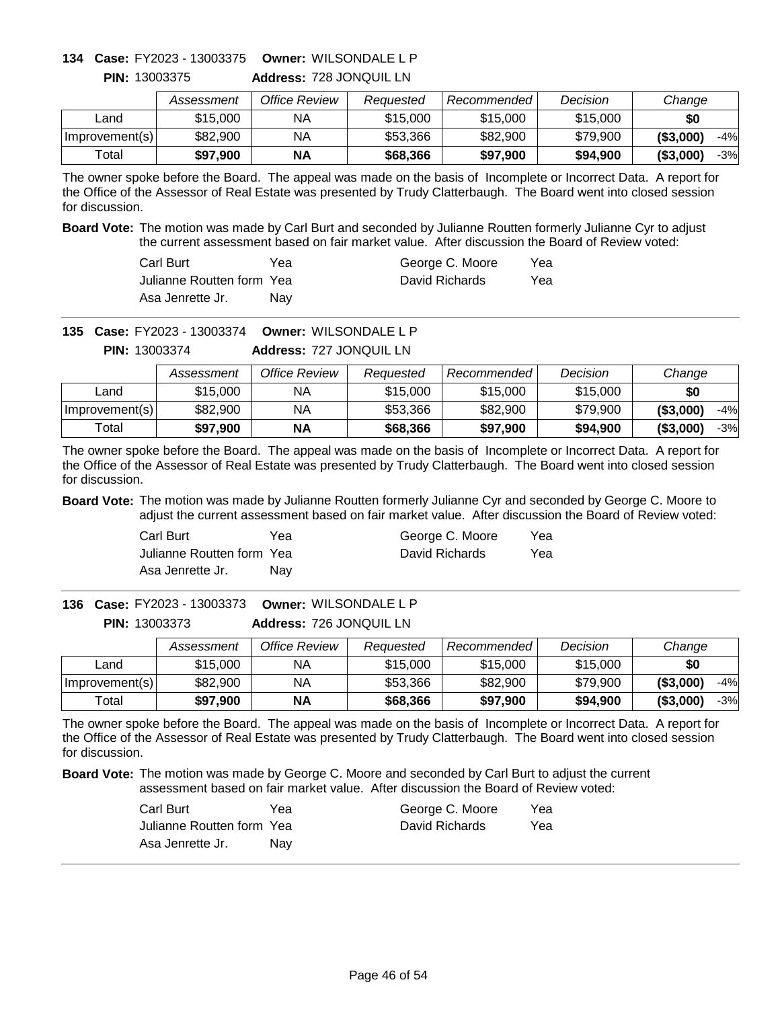# **Owner:** WILSONDALE L P **134 Case:** FY2023 - 13003375

|                | Assessment | Office Review | Reauested | Recommended | Decision | Change              |
|----------------|------------|---------------|-----------|-------------|----------|---------------------|
| Land           | \$15,000   | NA            | \$15,000  | \$15,000    | \$15,000 | \$0                 |
| Improvement(s) | \$82,900   | NA            | \$53,366  | \$82,900    | \$79,900 | ( \$3,000)<br>$-4%$ |
| Total          | \$97.900   | <b>NA</b>     | \$68,366  | \$97,900    | \$94,900 | ( \$3,000]<br>$-3%$ |

**Address:** 728 JONQUIL LN **PIN:** 13003375

The owner spoke before the Board. The appeal was made on the basis of Incomplete or Incorrect Data. A report for the Office of the Assessor of Real Estate was presented by Trudy Clatterbaugh. The Board went into closed session for discussion.

**Board Vote:** The motion was made by Carl Burt and seconded by Julianne Routten formerly Julianne Cyr to adjust the current assessment based on fair market value. After discussion the Board of Review voted:

| Carl Burt                  | Үеа | George C. Moore | Yea |
|----------------------------|-----|-----------------|-----|
| Julianne Routten form Yeal |     | David Richards  | Yea |
| Asa Jenrette Jr.           | Nav |                 |     |

**Owner:** WILSONDALE L P **135 Case:** FY2023 - 13003374

**Address:** 727 JONQUIL LN **PIN:** 13003374

|                | Assessment | Office Review | Reauested | Recommended | Decision | Change              |
|----------------|------------|---------------|-----------|-------------|----------|---------------------|
| Land           | \$15,000   | NA.           | \$15,000  | \$15,000    | \$15,000 | \$0                 |
| Improvement(s) | \$82,900   | NΑ            | \$53,366  | \$82,900    | \$79,900 | ( \$3,000]<br>$-4%$ |
| Total          | \$97.900   | <b>NA</b>     | \$68,366  | \$97,900    | \$94,900 | (\$3,000"<br>$-3%$  |

The owner spoke before the Board. The appeal was made on the basis of Incomplete or Incorrect Data. A report for the Office of the Assessor of Real Estate was presented by Trudy Clatterbaugh. The Board went into closed session for discussion.

**Board Vote:** The motion was made by Julianne Routten formerly Julianne Cyr and seconded by George C. Moore to adjust the current assessment based on fair market value. After discussion the Board of Review voted:

| Carl Burt                 | Yea | George C. Moore | Yea |
|---------------------------|-----|-----------------|-----|
| Julianne Routten form Yea |     | David Richards  | Yea |
| Asa Jenrette Jr.          | Nav |                 |     |

**Address:** 726 JONQUIL LN **Owner:** WILSONDALE L P **136 Case:** FY2023 - 13003373 **PIN:** 13003373

|                | Assessment | Office Review | Reauested | <b>Recommended</b> | Decision | Change            |
|----------------|------------|---------------|-----------|--------------------|----------|-------------------|
| ∟and           | \$15,000   | NA            | \$15,000  | \$15,000           | \$15,000 | \$0               |
| Improvement(s) | \$82,900   | <b>NA</b>     | \$53,366  | \$82,900           | \$79,900 | ( \$3,000)<br>-4% |
| ™otal          | \$97,900   | <b>NA</b>     | \$68,366  | \$97.900           | \$94,900 | ( \$3,000)<br>-3% |

The owner spoke before the Board. The appeal was made on the basis of Incomplete or Incorrect Data. A report for the Office of the Assessor of Real Estate was presented by Trudy Clatterbaugh. The Board went into closed session for discussion.

| Carl Burt                 | Yea | George C. Moore | Yea |
|---------------------------|-----|-----------------|-----|
| Julianne Routten form Yea |     | David Richards  | Yea |
| Asa Jenrette Jr.          | Nav |                 |     |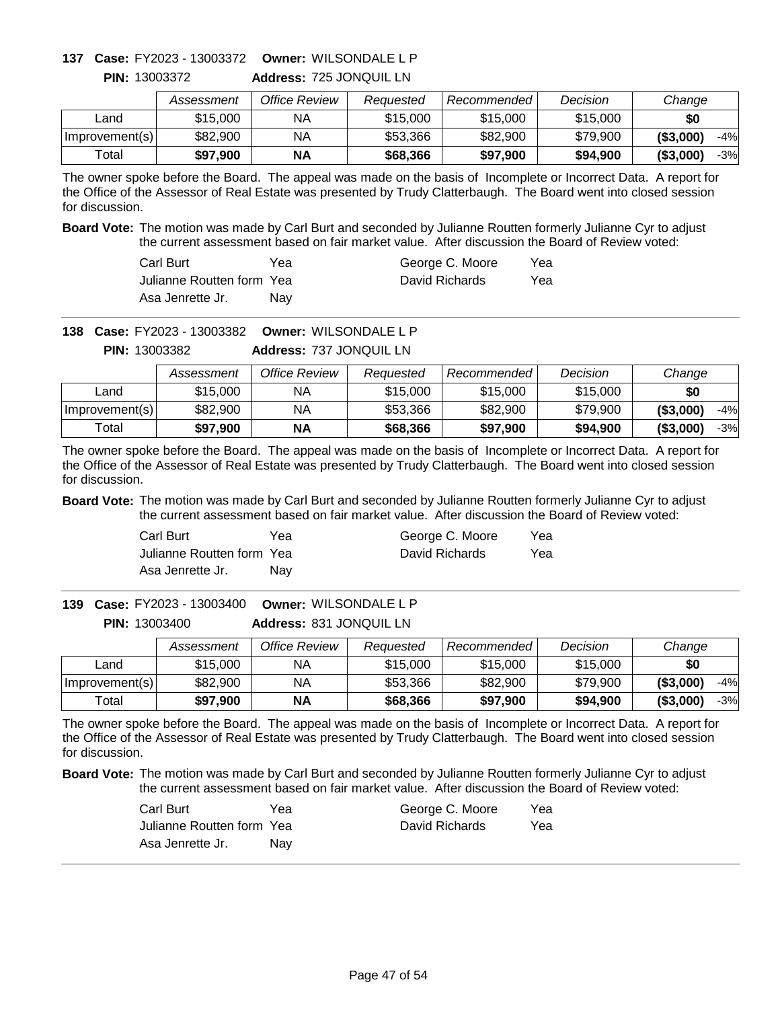# **Owner:** WILSONDALE L P **137 Case:** FY2023 - 13003372

**PIN:** 13003372

**Address:** 725 JONQUIL LN

|                | Assessment | Office Review | Reauested | Recommended | Decision | Change              |
|----------------|------------|---------------|-----------|-------------|----------|---------------------|
| ∟and           | \$15,000   | ΝA            | \$15,000  | \$15,000    | \$15,000 | \$0                 |
| Improvement(s) | \$82,900   | ΝA            | \$53.366  | \$82,900    | \$79,900 | ( \$3,000)<br>$-4%$ |
| ™otal          | \$97.900   | <b>NA</b>     | \$68,366  | \$97.900    | \$94,900 | ( \$3,000)<br>$-3%$ |

The owner spoke before the Board. The appeal was made on the basis of Incomplete or Incorrect Data. A report for the Office of the Assessor of Real Estate was presented by Trudy Clatterbaugh. The Board went into closed session for discussion.

**Board Vote:** The motion was made by Carl Burt and seconded by Julianne Routten formerly Julianne Cyr to adjust the current assessment based on fair market value. After discussion the Board of Review voted:

| Carl Burt                  | Үеа | George C. Moore | Yea |
|----------------------------|-----|-----------------|-----|
| Julianne Routten form Yeal |     | David Richards  | Yea |
| Asa Jenrette Jr.           | Nav |                 |     |

**Owner:** WILSONDALE L P **138 Case:** FY2023 - 13003382

**Address:** 737 JONQUIL LN **PIN:** 13003382

|                | Assessment | Office Review | Reauested | Recommended | Decision | Change              |
|----------------|------------|---------------|-----------|-------------|----------|---------------------|
| Land           | \$15,000   | NA.           | \$15,000  | \$15,000    | \$15,000 | \$0                 |
| Improvement(s) | \$82,900   | NΑ            | \$53,366  | \$82,900    | \$79,900 | ( \$3,000]<br>$-4%$ |
| Total          | \$97.900   | <b>NA</b>     | \$68,366  | \$97,900    | \$94,900 | (\$3,000"<br>$-3%$  |

The owner spoke before the Board. The appeal was made on the basis of Incomplete or Incorrect Data. A report for the Office of the Assessor of Real Estate was presented by Trudy Clatterbaugh. The Board went into closed session for discussion.

**Board Vote:** The motion was made by Carl Burt and seconded by Julianne Routten formerly Julianne Cyr to adjust the current assessment based on fair market value. After discussion the Board of Review voted:

| Carl Burt                 | Yea | George C. Moore | Yea |
|---------------------------|-----|-----------------|-----|
| Julianne Routten form Yea |     | David Richards  | Yea |
| Asa Jenrette Jr.          | Nav |                 |     |

**Address:** 831 JONQUIL LN **Owner:** WILSONDALE L P **139 Case:** FY2023 - 13003400 **PIN:** 13003400

|                | Assessment | Office Review | Reauested | Recommended | Decision | Change            |
|----------------|------------|---------------|-----------|-------------|----------|-------------------|
| _and           | \$15,000   | NА            | \$15,000  | \$15,000    | \$15,000 | \$0               |
| Improvement(s) | \$82,900   | ΝA            | \$53,366  | \$82,900    | \$79.900 | ( \$3,000)<br>-4% |
| $\tau$ otal    | \$97,900   | <b>NA</b>     | \$68,366  | \$97,900    | \$94,900 | ( \$3,000)<br>-3% |

The owner spoke before the Board. The appeal was made on the basis of Incomplete or Incorrect Data. A report for the Office of the Assessor of Real Estate was presented by Trudy Clatterbaugh. The Board went into closed session for discussion.

| Carl Burt                 | Yea | George C. Moore | Yea |
|---------------------------|-----|-----------------|-----|
| Julianne Routten form Yea |     | David Richards  | Yea |
| Asa Jenrette Jr.          | Nav |                 |     |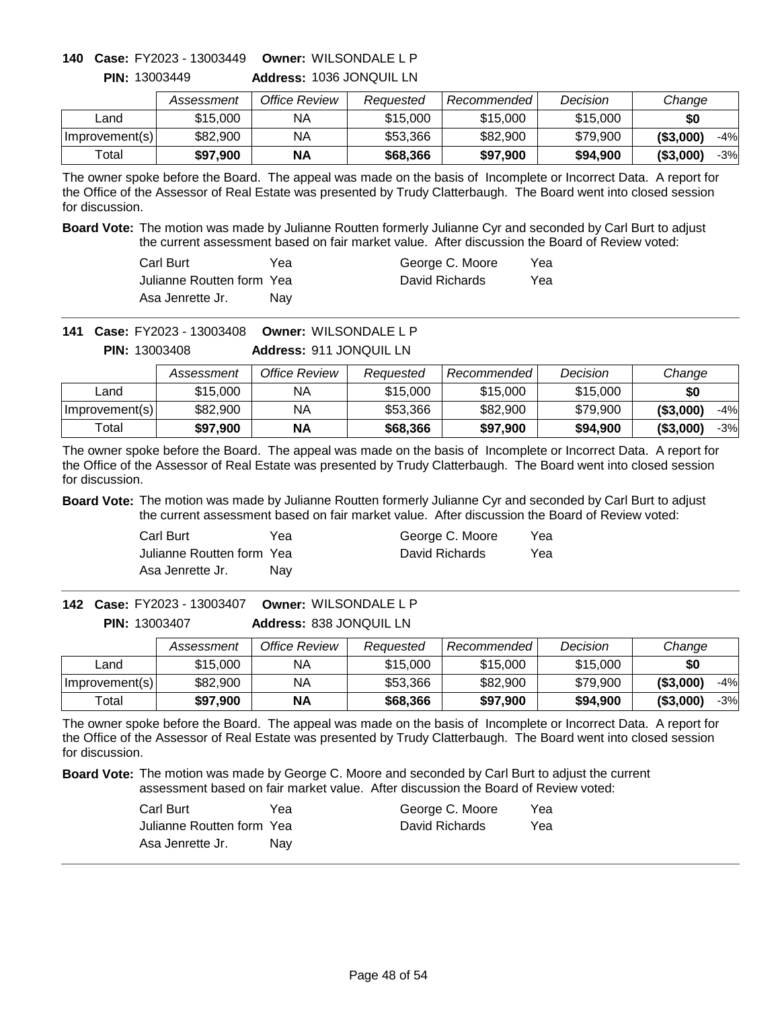# **Owner:** WILSONDALE L P **140 Case:** FY2023 - 13003449

|                | Assessment | Office Review | Reauested | Recommended <b>Recomment</b> | Decision | Change              |
|----------------|------------|---------------|-----------|------------------------------|----------|---------------------|
| Land           | \$15,000   | ΝA            | \$15,000  | \$15,000                     | \$15,000 | \$0                 |
| Improvement(s) | \$82,900   | ΝA            | \$53,366  | \$82,900                     | \$79,900 | ( \$3,000]<br>$-4%$ |
| Total          | \$97,900   | <b>NA</b>     | \$68,366  | \$97,900                     | \$94,900 | ( \$3,000]<br>$-3%$ |

**Address:** 1036 JONQUIL LN **PIN:** 13003449

The owner spoke before the Board. The appeal was made on the basis of Incomplete or Incorrect Data. A report for the Office of the Assessor of Real Estate was presented by Trudy Clatterbaugh. The Board went into closed session for discussion.

**Board Vote:** The motion was made by Julianne Routten formerly Julianne Cyr and seconded by Carl Burt to adjust the current assessment based on fair market value. After discussion the Board of Review voted:

| Carl Burt                  | Үеа | George C. Moore | Yea |
|----------------------------|-----|-----------------|-----|
| Julianne Routten form Yeal |     | David Richards  | Yea |
| Asa Jenrette Jr.           | Nav |                 |     |

**Owner:** WILSONDALE L P **141 Case:** FY2023 - 13003408

**Address:** 911 JONQUIL LN **PIN:** 13003408

|                | Assessment | Office Review | Reauested | Recommended | Decision | Change              |
|----------------|------------|---------------|-----------|-------------|----------|---------------------|
| ∟and           | \$15,000   | ΝA            | \$15,000  | \$15,000    | \$15,000 | \$0                 |
| Improvement(s) | \$82,900   | NА            | \$53,366  | \$82,900    | \$79,900 | ( \$3,000]<br>$-4%$ |
| Total          | \$97.900   | ΝA            | \$68,366  | \$97,900    | \$94,900 | ( \$3,000]<br>$-3%$ |

The owner spoke before the Board. The appeal was made on the basis of Incomplete or Incorrect Data. A report for the Office of the Assessor of Real Estate was presented by Trudy Clatterbaugh. The Board went into closed session for discussion.

**Board Vote:** The motion was made by Julianne Routten formerly Julianne Cyr and seconded by Carl Burt to adjust the current assessment based on fair market value. After discussion the Board of Review voted:

| Carl Burt                 | Yea | George C. Moore | Yea |
|---------------------------|-----|-----------------|-----|
| Julianne Routten form Yea |     | David Richards  | Yea |
| Asa Jenrette Jr.          | Nav |                 |     |

**Address:** 838 JONQUIL LN **Owner:** WILSONDALE L P **142 Case:** FY2023 - 13003407 **PIN:** 13003407

|                | Assessment | Office Review | Reauested | Recommended | Decision | Change                |
|----------------|------------|---------------|-----------|-------------|----------|-----------------------|
| Land           | \$15,000   | NА            | \$15,000  | \$15,000    | \$15,000 | \$0                   |
| Improvement(s) | \$82,900   | NA            | \$53,366  | \$82,900    | \$79,900 | ( \$3,000)<br>$-4%$   |
| ⊤otal          | \$97,900   | <b>NA</b>     | \$68,366  | \$97,900    | \$94,900 | $($ \$3,000)<br>$-3%$ |

The owner spoke before the Board. The appeal was made on the basis of Incomplete or Incorrect Data. A report for the Office of the Assessor of Real Estate was presented by Trudy Clatterbaugh. The Board went into closed session for discussion.

| Carl Burt                 | Yea | George C. Moore | Yea |
|---------------------------|-----|-----------------|-----|
| Julianne Routten form Yea |     | David Richards  | Yea |
| Asa Jenrette Jr.          | Nav |                 |     |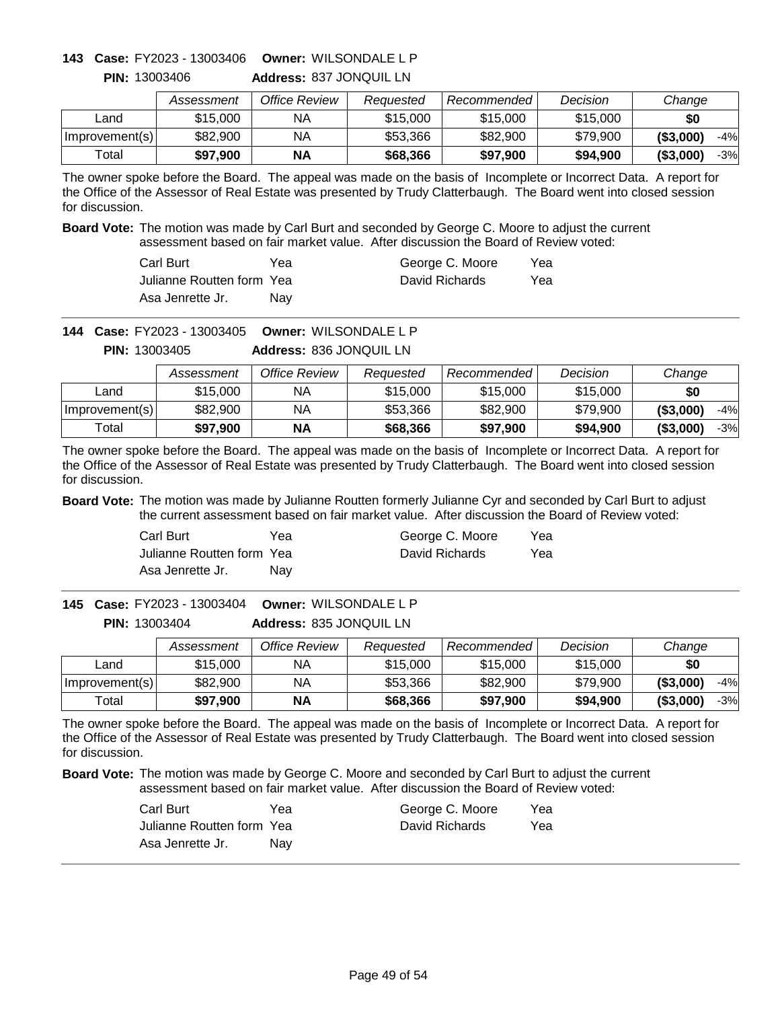# **Owner:** WILSONDALE L P **143 Case:** FY2023 - 13003406

|                | Assessment | Office Review | Reauested | Recommended | Decision | Change              |
|----------------|------------|---------------|-----------|-------------|----------|---------------------|
| _and           | \$15,000   | ΝA            | \$15,000  | \$15,000    | \$15,000 | \$0                 |
| Improvement(s) | \$82,900   | ΝA            | \$53.366  | \$82,900    | \$79.900 | ( \$3,000]<br>$-4%$ |
| Total          | \$97,900   | NΑ            | \$68,366  | \$97,900    | \$94,900 | ( \$3,000]<br>$-3%$ |

**Address:** 837 JONQUIL LN **PIN:** 13003406

The owner spoke before the Board. The appeal was made on the basis of Incomplete or Incorrect Data. A report for the Office of the Assessor of Real Estate was presented by Trudy Clatterbaugh. The Board went into closed session for discussion.

**Board Vote:** The motion was made by Carl Burt and seconded by George C. Moore to adjust the current assessment based on fair market value. After discussion the Board of Review voted:

| Carl Burt                  | Yea | George C. Moore | Yea |
|----------------------------|-----|-----------------|-----|
| Julianne Routten form Yeal |     | David Richards  | Yea |
| Asa Jenrette Jr.           | Nav |                 |     |

**Owner:** WILSONDALE L P **144 Case:** FY2023 - 13003405

**Address:** 836 JONQUIL LN **PIN:** 13003405

|                | Assessment | Office Review | Reauested | Recommended | Decision | Change              |
|----------------|------------|---------------|-----------|-------------|----------|---------------------|
| ∟and           | \$15,000   | NА            | \$15,000  | \$15,000    | \$15,000 | \$0                 |
| Improvement(s) | \$82,900   | ΝA            | \$53,366  | \$82,900    | \$79.900 | ( \$3,000)<br>$-4%$ |
| Total          | \$97.900   | <b>NA</b>     | \$68,366  | \$97,900    | \$94,900 | ( \$3,000)<br>$-3%$ |

The owner spoke before the Board. The appeal was made on the basis of Incomplete or Incorrect Data. A report for the Office of the Assessor of Real Estate was presented by Trudy Clatterbaugh. The Board went into closed session for discussion.

**Board Vote:** The motion was made by Julianne Routten formerly Julianne Cyr and seconded by Carl Burt to adjust the current assessment based on fair market value. After discussion the Board of Review voted:

| Carl Burt                 | Yea | George C. Moore | Yea |
|---------------------------|-----|-----------------|-----|
| Julianne Routten form Yea |     | David Richards  | Yea |
| Asa Jenrette Jr.          | Nav |                 |     |

**Address:** 835 JONQUIL LN **Owner:** WILSONDALE L P **145 Case:** FY2023 - 13003404 **PIN:** 13003404

|                | Assessment | Office Review | Reauested | Recommended | Decision | Change              |
|----------------|------------|---------------|-----------|-------------|----------|---------------------|
| ∟and           | \$15,000   | NА            | \$15,000  | \$15,000    | \$15,000 | \$0                 |
| Improvement(s) | \$82,900   | NA            | \$53,366  | \$82,900    | \$79,900 | ( \$3,000]<br>$-4%$ |
| Total          | \$97,900   | <b>NA</b>     | \$68,366  | \$97,900    | \$94,900 | ( \$3,000]<br>$-3%$ |

The owner spoke before the Board. The appeal was made on the basis of Incomplete or Incorrect Data. A report for the Office of the Assessor of Real Estate was presented by Trudy Clatterbaugh. The Board went into closed session for discussion.

| Carl Burt                 | Yea | George C. Moore | Yea |
|---------------------------|-----|-----------------|-----|
| Julianne Routten form Yea |     | David Richards  | Yea |
| Asa Jenrette Jr.          | Nav |                 |     |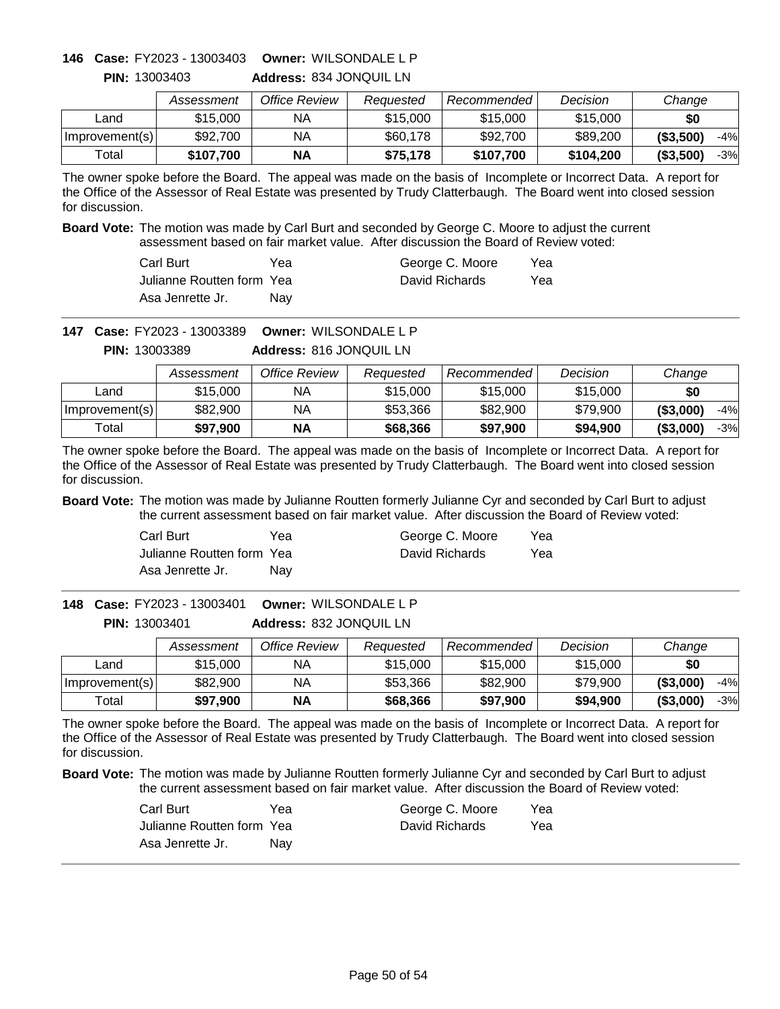# **Owner:** WILSONDALE L P **146 Case:** FY2023 - 13003403

|                | Assessment | Office Review | Reauested | Recommended | Decision  | Change              |
|----------------|------------|---------------|-----------|-------------|-----------|---------------------|
| Land           | \$15,000   | ΝA            | \$15,000  | \$15,000    | \$15,000  | \$0                 |
| Improvement(s) | \$92,700   | ΝA            | \$60,178  | \$92,700    | \$89,200  | ( \$3,500]<br>$-4%$ |
| Total          | \$107.700  | ΝA            | \$75,178  | \$107.700   | \$104.200 | (\$3,500)<br>$-3%$  |

**Address:** 834 JONQUIL LN **PIN:** 13003403

The owner spoke before the Board. The appeal was made on the basis of Incomplete or Incorrect Data. A report for the Office of the Assessor of Real Estate was presented by Trudy Clatterbaugh. The Board went into closed session for discussion.

**Board Vote:** The motion was made by Carl Burt and seconded by George C. Moore to adjust the current assessment based on fair market value. After discussion the Board of Review voted:

| Carl Burt                  | Yea | George C. Moore | Yea |
|----------------------------|-----|-----------------|-----|
| Julianne Routten form Yeal |     | David Richards  | Yea |
| Asa Jenrette Jr.           | Nav |                 |     |

**Owner:** WILSONDALE L P **147 Case:** FY2023 - 13003389

**Address:** 816 JONQUIL LN **PIN:** 13003389

|                | Assessment | Office Review | Reauested | Recommended | Decision | Change              |
|----------------|------------|---------------|-----------|-------------|----------|---------------------|
| Land           | \$15,000   | ΝA            | \$15,000  | \$15,000    | \$15,000 | \$0                 |
| Improvement(s) | \$82,900   | NA            | \$53,366  | \$82,900    | \$79.900 | ( \$3,000]<br>$-4%$ |
| Total          | \$97.900   | NΑ            | \$68,366  | \$97,900    | \$94,900 | (\$3,000)<br>$-3%$  |

The owner spoke before the Board. The appeal was made on the basis of Incomplete or Incorrect Data. A report for the Office of the Assessor of Real Estate was presented by Trudy Clatterbaugh. The Board went into closed session for discussion.

**Board Vote:** The motion was made by Julianne Routten formerly Julianne Cyr and seconded by Carl Burt to adjust the current assessment based on fair market value. After discussion the Board of Review voted:

| Carl Burt                 | Yea | George C. Moore | Yea |
|---------------------------|-----|-----------------|-----|
| Julianne Routten form Yea |     | David Richards  | Yea |
| Asa Jenrette Jr.          | Nav |                 |     |

**Address:** 832 JONQUIL LN **Owner:** WILSONDALE L P **148 Case:** FY2023 - 13003401 **PIN:** 13003401

|                | Assessment | Office Review | Reauested | Recommended | Decision | Change              |
|----------------|------------|---------------|-----------|-------------|----------|---------------------|
| Land           | \$15,000   | NА            | \$15,000  | \$15,000    | \$15,000 | \$0                 |
| Improvement(s) | \$82,900   | NА            | \$53,366  | \$82,900    | \$79.900 | ( \$3,000)<br>$-4%$ |
| Total          | \$97.900   | <b>NA</b>     | \$68,366  | \$97,900    | \$94,900 | ( \$3,000)<br>$-3%$ |

The owner spoke before the Board. The appeal was made on the basis of Incomplete or Incorrect Data. A report for the Office of the Assessor of Real Estate was presented by Trudy Clatterbaugh. The Board went into closed session for discussion.

| Carl Burt                 | Yea | George C. Moore | Yea |
|---------------------------|-----|-----------------|-----|
| Julianne Routten form Yea |     | David Richards  | Yea |
| Asa Jenrette Jr.          | Nav |                 |     |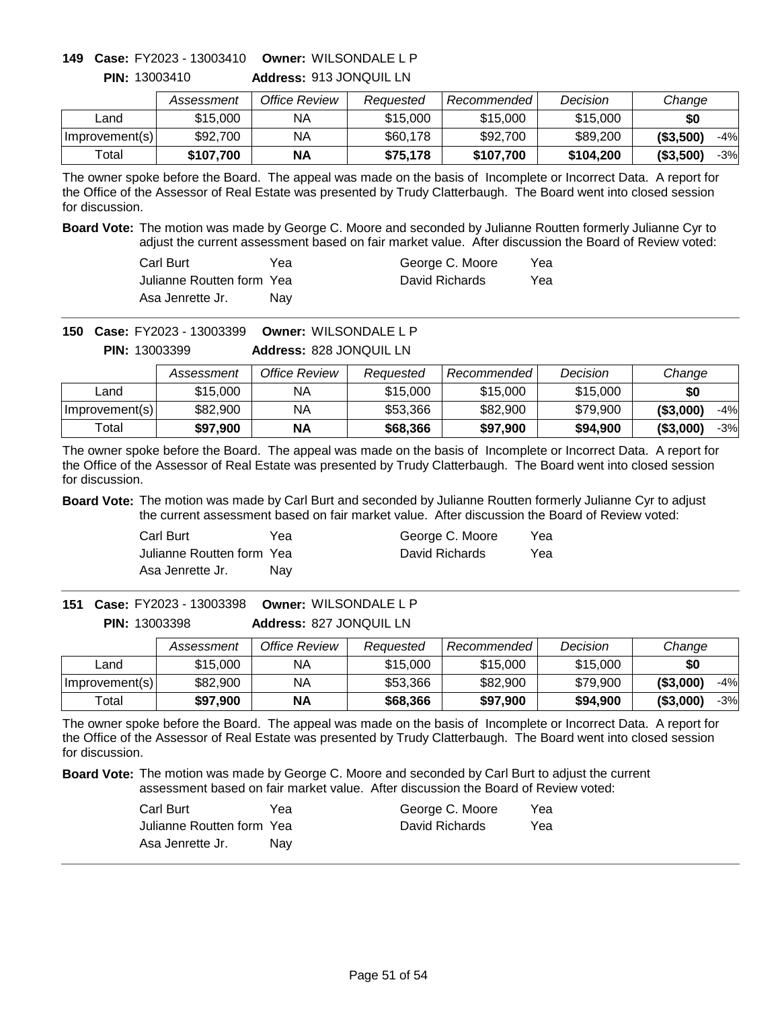# **Owner:** WILSONDALE L P **149 Case:** FY2023 - 13003410

|                | Assessment | Office Review | Reauested | Recommended | Decision  | Change              |
|----------------|------------|---------------|-----------|-------------|-----------|---------------------|
| ∟and           | \$15,000   | ΝA            | \$15,000  | \$15,000    | \$15,000  | \$0                 |
| Improvement(s) | \$92,700   | ΝA            | \$60,178  | \$92,700    | \$89,200  | ( \$3,500)<br>$-4%$ |
| Total          | \$107.700  | <b>NA</b>     | \$75,178  | \$107.700   | \$104.200 | ( \$3,500]<br>$-3%$ |

**Address:** 913 JONQUIL LN **PIN:** 13003410

The owner spoke before the Board. The appeal was made on the basis of Incomplete or Incorrect Data. A report for the Office of the Assessor of Real Estate was presented by Trudy Clatterbaugh. The Board went into closed session for discussion.

**Board Vote:** The motion was made by George C. Moore and seconded by Julianne Routten formerly Julianne Cyr to adjust the current assessment based on fair market value. After discussion the Board of Review voted:

| Carl Burt                  | Yea | George C. Moore | Yea |
|----------------------------|-----|-----------------|-----|
| Julianne Routten form Yeal |     | David Richards  | Yea |
| Asa Jenrette Jr.           | Nav |                 |     |

**Owner:** WILSONDALE L P **150 Case:** FY2023 - 13003399

**Address:** 828 JONQUIL LN **PIN:** 13003399

|                | Assessment | Office Review | Reauested | Recommended | Decision | Change              |
|----------------|------------|---------------|-----------|-------------|----------|---------------------|
| Land           | \$15,000   | NA            | \$15,000  | \$15,000    | \$15,000 | \$0                 |
| Improvement(s) | \$82,900   | ΝA            | \$53.366  | \$82,900    | \$79.900 | ( \$3,000]<br>$-4%$ |
| Total          | \$97.900   | <b>NA</b>     | \$68,366  | \$97,900    | \$94,900 | ( \$3,000]<br>$-3%$ |

The owner spoke before the Board. The appeal was made on the basis of Incomplete or Incorrect Data. A report for the Office of the Assessor of Real Estate was presented by Trudy Clatterbaugh. The Board went into closed session for discussion.

**Board Vote:** The motion was made by Carl Burt and seconded by Julianne Routten formerly Julianne Cyr to adjust the current assessment based on fair market value. After discussion the Board of Review voted:

| Carl Burt                 | Yea | George C. Moore | Yea |
|---------------------------|-----|-----------------|-----|
| Julianne Routten form Yea |     | David Richards  | Yea |
| Asa Jenrette Jr.          | Nav |                 |     |

**Address:** 827 JONQUIL LN **Owner:** WILSONDALE L P **151 Case:** FY2023 - 13003398 **PIN:** 13003398

|                | Assessment | Office Review | Reauested | Recommended | Decision | Change              |
|----------------|------------|---------------|-----------|-------------|----------|---------------------|
| ∟and           | \$15,000   | NА            | \$15,000  | \$15,000    | \$15,000 | \$0                 |
| Improvement(s) | \$82,900   | NA            | \$53,366  | \$82,900    | \$79.900 | ( \$3,000)<br>$-4%$ |
| Total          | \$97,900   | <b>NA</b>     | \$68,366  | \$97,900    | \$94,900 | ( \$3,000)<br>$-3%$ |

The owner spoke before the Board. The appeal was made on the basis of Incomplete or Incorrect Data. A report for the Office of the Assessor of Real Estate was presented by Trudy Clatterbaugh. The Board went into closed session for discussion.

| Carl Burt                 | Yea | George C. Moore | Yea |
|---------------------------|-----|-----------------|-----|
| Julianne Routten form Yea |     | David Richards  | Yea |
| Asa Jenrette Jr.          | Nav |                 |     |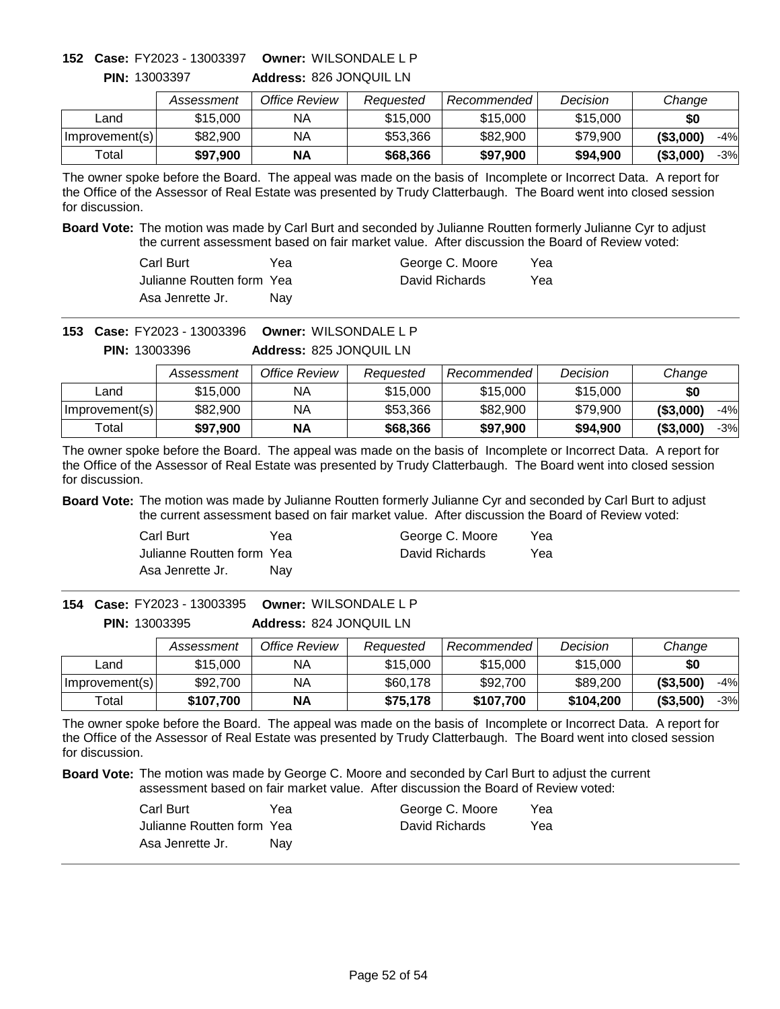# **Owner:** WILSONDALE L P **152 Case:** FY2023 - 13003397

**PIN:** 13003397

**Address:** 826 JONQUIL LN

|                | Assessment | Office Review | Reauested | Recommended | Decision | Change              |
|----------------|------------|---------------|-----------|-------------|----------|---------------------|
| ∟and           | \$15,000   | ΝA            | \$15,000  | \$15,000    | \$15,000 | \$0                 |
| Improvement(s) | \$82,900   | ΝA            | \$53,366  | \$82,900    | \$79,900 | ( \$3,000)<br>$-4%$ |
| $\tau$ otall   | \$97.900   | <b>NA</b>     | \$68,366  | \$97,900    | \$94.900 | ( \$3,000)<br>$-3%$ |

The owner spoke before the Board. The appeal was made on the basis of Incomplete or Incorrect Data. A report for the Office of the Assessor of Real Estate was presented by Trudy Clatterbaugh. The Board went into closed session for discussion.

**Board Vote:** The motion was made by Carl Burt and seconded by Julianne Routten formerly Julianne Cyr to adjust the current assessment based on fair market value. After discussion the Board of Review voted:

| Carl Burt                  | Yea | George C. Moore | Yea |
|----------------------------|-----|-----------------|-----|
| Julianne Routten form Yeal |     | David Richards  | Yea |
| Asa Jenrette Jr.           | Nav |                 |     |

**Owner:** WILSONDALE L P **153 Case:** FY2023 - 13003396

**Address:** 825 JONQUIL LN **PIN:** 13003396

|                | Assessment | Office Review | Reauested | Recommended | Decision | Change              |
|----------------|------------|---------------|-----------|-------------|----------|---------------------|
| Land           | \$15,000   | NA.           | \$15,000  | \$15,000    | \$15,000 | \$0                 |
| Improvement(s) | \$82,900   | NΑ            | \$53,366  | \$82,900    | \$79,900 | ( \$3,000]<br>$-4%$ |
| Total          | \$97.900   | <b>NA</b>     | \$68,366  | \$97,900    | \$94,900 | (\$3,000"<br>$-3%$  |

The owner spoke before the Board. The appeal was made on the basis of Incomplete or Incorrect Data. A report for the Office of the Assessor of Real Estate was presented by Trudy Clatterbaugh. The Board went into closed session for discussion.

**Board Vote:** The motion was made by Julianne Routten formerly Julianne Cyr and seconded by Carl Burt to adjust the current assessment based on fair market value. After discussion the Board of Review voted:

| Carl Burt                 | Yea | George C. Moore | Yea |
|---------------------------|-----|-----------------|-----|
| Julianne Routten form Yea |     | David Richards  | Yea |
| Asa Jenrette Jr.          | Nav |                 |     |

**Address:** 824 JONQUIL LN **Owner:** WILSONDALE L P **154 Case:** FY2023 - 13003395 **PIN:** 13003395

|                | Assessment | Office Review | Reauested | Recommended | Decision  | Change              |
|----------------|------------|---------------|-----------|-------------|-----------|---------------------|
| ∟and           | \$15,000   | NА            | \$15,000  | \$15,000    | \$15,000  | \$0                 |
| Improvement(s) | \$92,700   | NA            | \$60,178  | \$92,700    | \$89,200  | ( \$3,500)<br>$-4%$ |
| Total          | \$107.700  | <b>NA</b>     | \$75,178  | \$107,700   | \$104,200 | (\$3,500)<br>$-3%$  |

The owner spoke before the Board. The appeal was made on the basis of Incomplete or Incorrect Data. A report for the Office of the Assessor of Real Estate was presented by Trudy Clatterbaugh. The Board went into closed session for discussion.

| Carl Burt                 | Yea | George C. Moore | Yea |
|---------------------------|-----|-----------------|-----|
| Julianne Routten form Yea |     | David Richards  | Yea |
| Asa Jenrette Jr.          | Nav |                 |     |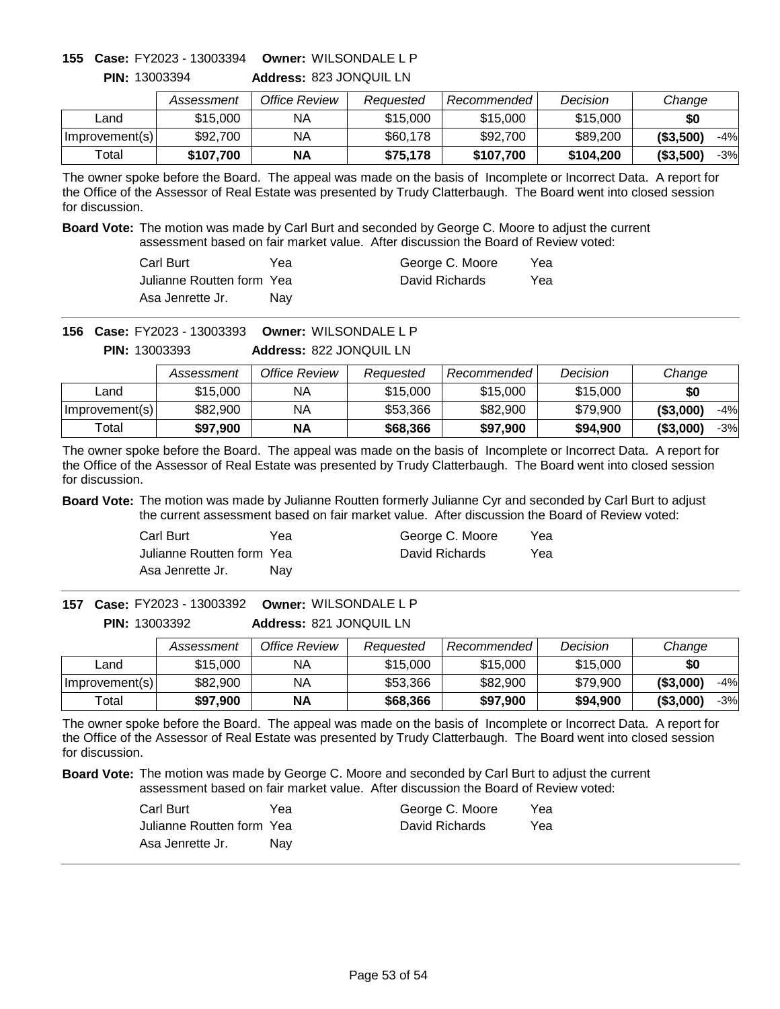# **Owner:** WILSONDALE L P **155 Case:** FY2023 - 13003394

**PIN:** 13003394

**Address:** 823 JONQUIL LN

|                | Assessment | Office Review | Reauested | Recommended | Decision  | Change                   |
|----------------|------------|---------------|-----------|-------------|-----------|--------------------------|
| Land           | \$15,000   | ΝA            | \$15,000  | \$15,000    | \$15,000  | \$0                      |
| Improvement(s) | \$92,700   | ΝA            | \$60,178  | \$92,700    | \$89,200  | $-4%$<br>(S3,500)        |
| Total          | \$107,700  | <b>NA</b>     | \$75,178  | \$107,700   | \$104,200 | $($ \$3,500 $)$<br>$-3%$ |

The owner spoke before the Board. The appeal was made on the basis of Incomplete or Incorrect Data. A report for the Office of the Assessor of Real Estate was presented by Trudy Clatterbaugh. The Board went into closed session for discussion.

**Board Vote:** The motion was made by Carl Burt and seconded by George C. Moore to adjust the current assessment based on fair market value. After discussion the Board of Review voted:

| Carl Burt                  | Yea        | George C. Moore | Yea |
|----------------------------|------------|-----------------|-----|
| Julianne Routten form Yeal |            | David Richards  | Yea |
| Asa Jenrette Jr.           | <b>Nav</b> |                 |     |

**Owner:** WILSONDALE L P **156 Case:** FY2023 - 13003393

**Address:** 822 JONQUIL LN **PIN:** 13003393

|                | Assessment | Office Review | Reauested | Recommended | Decision | Change              |
|----------------|------------|---------------|-----------|-------------|----------|---------------------|
| Land           | \$15,000   | ΝA            | \$15,000  | \$15,000    | \$15,000 | \$0                 |
| Improvement(s) | \$82,900   | NA            | \$53,366  | \$82,900    | \$79.900 | ( \$3,000]<br>$-4%$ |
| Total          | \$97,900   | <b>NA</b>     | \$68,366  | \$97,900    | \$94,900 | ( \$3,000]<br>$-3%$ |

The owner spoke before the Board. The appeal was made on the basis of Incomplete or Incorrect Data. A report for the Office of the Assessor of Real Estate was presented by Trudy Clatterbaugh. The Board went into closed session for discussion.

**Board Vote:** The motion was made by Julianne Routten formerly Julianne Cyr and seconded by Carl Burt to adjust the current assessment based on fair market value. After discussion the Board of Review voted:

| Carl Burt                 | Yea | George C. Moore | Yea |
|---------------------------|-----|-----------------|-----|
| Julianne Routten form Yea |     | David Richards  | Yea |
| Asa Jenrette Jr.          | Nav |                 |     |

**Address:** 821 JONQUIL LN **Owner:** WILSONDALE L P **157 Case:** FY2023 - 13003392 **PIN:** 13003392

|                | Assessment | Office Review | Reauested | Recommended | Decision | Change              |
|----------------|------------|---------------|-----------|-------------|----------|---------------------|
| ∟and           | \$15,000   | NА            | \$15,000  | \$15,000    | \$15,000 | \$0                 |
| Improvement(s) | \$82,900   | NA            | \$53,366  | \$82,900    | \$79,900 | ( \$3,000]<br>$-4%$ |
| Total          | \$97,900   | <b>NA</b>     | \$68,366  | \$97,900    | \$94,900 | ( \$3,000]<br>$-3%$ |

The owner spoke before the Board. The appeal was made on the basis of Incomplete or Incorrect Data. A report for the Office of the Assessor of Real Estate was presented by Trudy Clatterbaugh. The Board went into closed session for discussion.

| Carl Burt                 | Yea | George C. Moore | Yea |
|---------------------------|-----|-----------------|-----|
| Julianne Routten form Yea |     | David Richards  | Yea |
| Asa Jenrette Jr.          | Nav |                 |     |